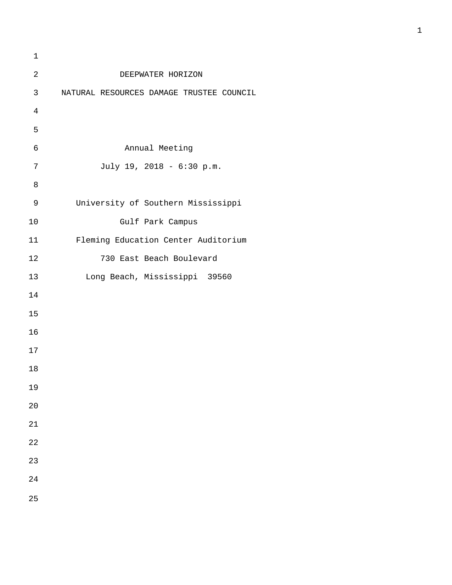| 1              |                                          |
|----------------|------------------------------------------|
| $\sqrt{2}$     | DEEPWATER HORIZON                        |
| 3              | NATURAL RESOURCES DAMAGE TRUSTEE COUNCIL |
| $\overline{4}$ |                                          |
| 5              |                                          |
| $\epsilon$     | Annual Meeting                           |
| 7              | July 19, 2018 - 6:30 p.m.                |
| $\,8\,$        |                                          |
| $\mathsf 9$    | University of Southern Mississippi       |
| 10             | Gulf Park Campus                         |
| 11             | Fleming Education Center Auditorium      |
| 12             | 730 East Beach Boulevard                 |
| 13             | Long Beach, Mississippi 39560            |
| 14             |                                          |
| 15             |                                          |
| 16             |                                          |
| 17             |                                          |
| 18             |                                          |
| 19             |                                          |
| 20             |                                          |
| 21             |                                          |
| 22             |                                          |
| 23             |                                          |
| 24             |                                          |
| 25             |                                          |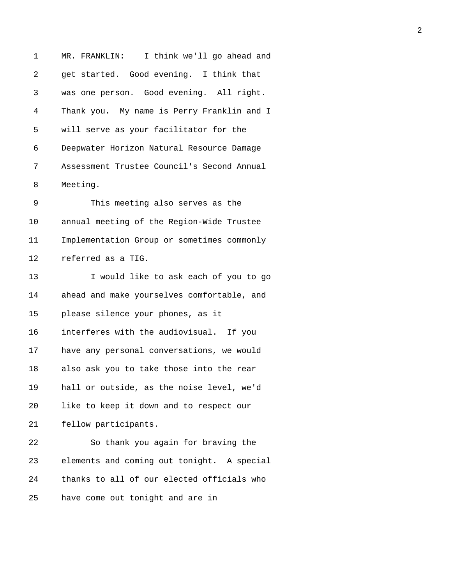1 MR. FRANKLIN: I think we'll go ahead and 2 get started. Good evening. I think that 3 was one person. Good evening. All right. 4 Thank you. My name is Perry Franklin and I 5 will serve as your facilitator for the 6 Deepwater Horizon Natural Resource Damage 7 Assessment Trustee Council's Second Annual 8 Meeting. 9 This meeting also serves as the 10 annual meeting of the Region-Wide Trustee 11 Implementation Group or sometimes commonly 12 referred as a TIG. 13 I would like to ask each of you to go 14 ahead and make yourselves comfortable, and 15 please silence your phones, as it 16 interferes with the audiovisual. If you 17 have any personal conversations, we would 18 also ask you to take those into the rear 19 hall or outside, as the noise level, we'd 20 like to keep it down and to respect our 21 fellow participants. 22 So thank you again for braving the 23 elements and coming out tonight. A special 24 thanks to all of our elected officials who 25 have come out tonight and are in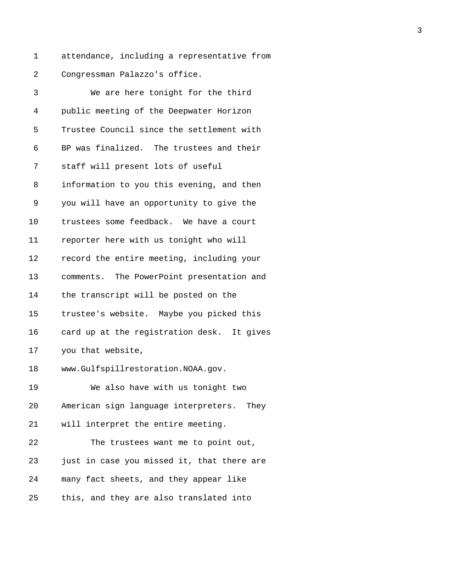1 attendance, including a representative from 2 Congressman Palazzo's office.

| 3  | We are here tonight for the third          |
|----|--------------------------------------------|
| 4  | public meeting of the Deepwater Horizon    |
| 5  | Trustee Council since the settlement with  |
| 6  | BP was finalized. The trustees and their   |
| 7  | staff will present lots of useful          |
| 8  | information to you this evening, and then  |
| 9  | you will have an opportunity to give the   |
| 10 | trustees some feedback. We have a court    |
| 11 | reporter here with us tonight who will     |
| 12 | record the entire meeting, including your  |
| 13 | comments. The PowerPoint presentation and  |
| 14 | the transcript will be posted on the       |
| 15 | trustee's website. Maybe you picked this   |
| 16 | card up at the registration desk. It gives |
| 17 | you that website,                          |
| 18 | www.Gulfspillrestoration.NOAA.gov.         |
| 19 | We also have with us tonight two           |
| 20 | American sign language interpreters. They  |
| 21 | will interpret the entire meeting.         |
| 22 | The trustees want me to point out,         |
| 23 | just in case you missed it, that there are |
| 24 | many fact sheets, and they appear like     |
| 25 | this, and they are also translated into    |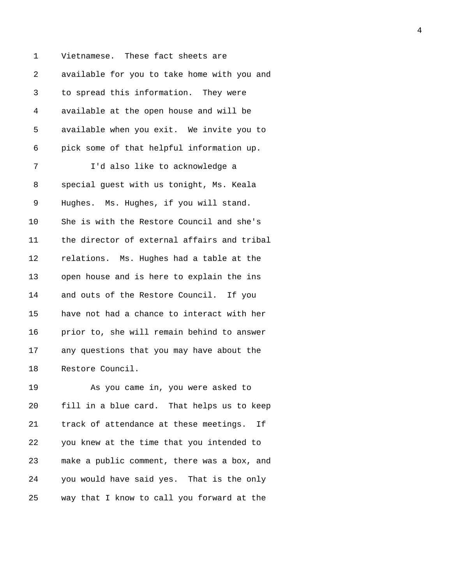1 Vietnamese. These fact sheets are 2 available for you to take home with you and 3 to spread this information. They were 4 available at the open house and will be 5 available when you exit. We invite you to 6 pick some of that helpful information up. 7 I'd also like to acknowledge a 8 special guest with us tonight, Ms. Keala 9 Hughes. Ms. Hughes, if you will stand. 10 She is with the Restore Council and she's 11 the director of external affairs and tribal 12 relations. Ms. Hughes had a table at the 13 open house and is here to explain the ins 14 and outs of the Restore Council. If you 15 have not had a chance to interact with her 16 prior to, she will remain behind to answer 17 any questions that you may have about the 18 Restore Council.

19 As you came in, you were asked to 20 fill in a blue card. That helps us to keep 21 track of attendance at these meetings. If 22 you knew at the time that you intended to 23 make a public comment, there was a box, and 24 you would have said yes. That is the only 25 way that I know to call you forward at the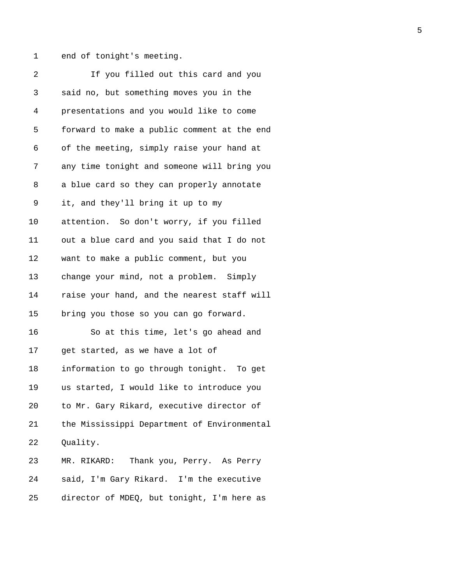1 end of tonight's meeting.

| 2  | If you filled out this card and you         |
|----|---------------------------------------------|
| 3  | said no, but something moves you in the     |
| 4  | presentations and you would like to come    |
| 5  | forward to make a public comment at the end |
| 6  | of the meeting, simply raise your hand at   |
| 7  | any time tonight and someone will bring you |
| 8  | a blue card so they can properly annotate   |
| 9  | it, and they'll bring it up to my           |
| 10 | attention. So don't worry, if you filled    |
| 11 | out a blue card and you said that I do not  |
| 12 | want to make a public comment, but you      |
| 13 | change your mind, not a problem. Simply     |
| 14 | raise your hand, and the nearest staff will |
| 15 | bring you those so you can go forward.      |
| 16 | So at this time, let's go ahead and         |
| 17 | get started, as we have a lot of            |
| 18 | information to go through tonight. To get   |
| 19 | us started, I would like to introduce you   |
| 20 | to Mr. Gary Rikard, executive director of   |
| 21 | the Mississippi Department of Environmental |
| 22 | Quality.                                    |
| 23 | MR. RIKARD: Thank you, Perry. As Perry      |
| 24 | said, I'm Gary Rikard. I'm the executive    |
| 25 | director of MDEQ, but tonight, I'm here as  |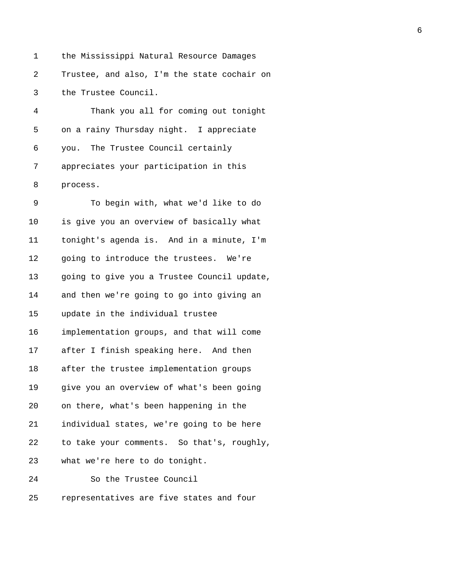1 the Mississippi Natural Resource Damages 2 Trustee, and also, I'm the state cochair on 3 the Trustee Council.

4 Thank you all for coming out tonight 5 on a rainy Thursday night. I appreciate 6 you. The Trustee Council certainly 7 appreciates your participation in this 8 process.

9 To begin with, what we'd like to do 10 is give you an overview of basically what 11 tonight's agenda is. And in a minute, I'm 12 going to introduce the trustees. We're 13 going to give you a Trustee Council update, 14 and then we're going to go into giving an 15 update in the individual trustee 16 implementation groups, and that will come 17 after I finish speaking here. And then 18 after the trustee implementation groups 19 give you an overview of what's been going 20 on there, what's been happening in the 21 individual states, we're going to be here 22 to take your comments. So that's, roughly, 23 what we're here to do tonight. 24 So the Trustee Council 25 representatives are five states and four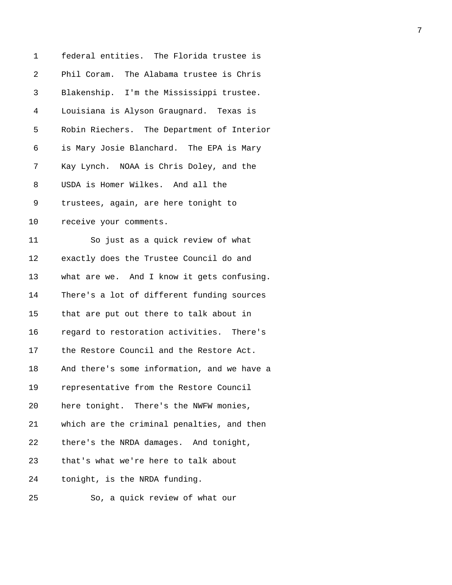| 1  | federal entities. The Florida trustee is    |
|----|---------------------------------------------|
| 2  | Phil Coram. The Alabama trustee is Chris    |
| 3  | Blakenship. I'm the Mississippi trustee.    |
| 4  | Louisiana is Alyson Graugnard. Texas is     |
| 5  | Robin Riechers. The Department of Interior  |
| 6  | is Mary Josie Blanchard. The EPA is Mary    |
| 7  | Kay Lynch. NOAA is Chris Doley, and the     |
| 8  | USDA is Homer Wilkes. And all the           |
| 9  | trustees, again, are here tonight to        |
| 10 | receive your comments.                      |
| 11 | So just as a quick review of what           |
| 12 | exactly does the Trustee Council do and     |
| 13 | what are we. And I know it gets confusing.  |
| 14 | There's a lot of different funding sources  |
| 15 | that are put out there to talk about in     |
| 16 | regard to restoration activities. There's   |
| 17 | the Restore Council and the Restore Act.    |
| 18 | And there's some information, and we have a |
| 19 | representative from the Restore Council     |
| 20 | here tonight. There's the NWFW monies,      |
| 21 | which are the criminal penalties, and then  |
| 22 | there's the NRDA damages. And tonight,      |
| 23 | that's what we're here to talk about        |
| 24 | tonight, is the NRDA funding.               |
| 25 | So, a quick review of what our              |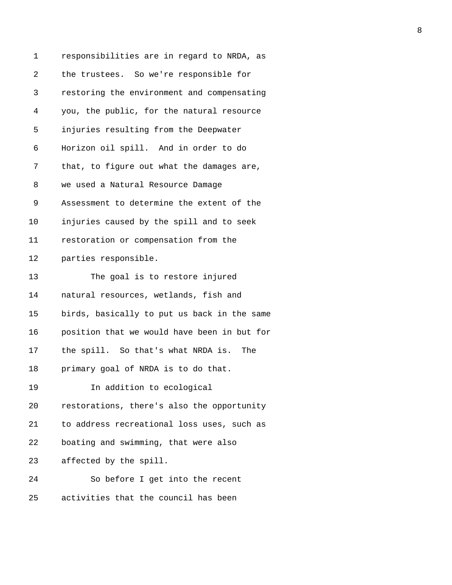| 1  | responsibilities are in regard to NRDA, as  |
|----|---------------------------------------------|
| 2  | the trustees. So we're responsible for      |
| 3  | restoring the environment and compensating  |
| 4  | you, the public, for the natural resource   |
| 5  | injuries resulting from the Deepwater       |
| 6  | Horizon oil spill. And in order to do       |
| 7  | that, to figure out what the damages are,   |
| 8  | we used a Natural Resource Damage           |
| 9  | Assessment to determine the extent of the   |
| 10 | injuries caused by the spill and to seek    |
| 11 | restoration or compensation from the        |
| 12 | parties responsible.                        |
| 13 | The goal is to restore injured              |
| 14 | natural resources, wetlands, fish and       |
| 15 | birds, basically to put us back in the same |
| 16 | position that we would have been in but for |
| 17 | the spill. So that's what NRDA is. The      |
| 18 | primary goal of NRDA is to do that.         |
| 19 | In addition to ecological                   |
| 20 | restorations, there's also the opportunity  |
| 21 | to address recreational loss uses, such as  |
| 22 | boating and swimming, that were also        |
| 23 | affected by the spill.                      |
| 24 | So before I get into the recent             |
| 25 | activities that the council has been        |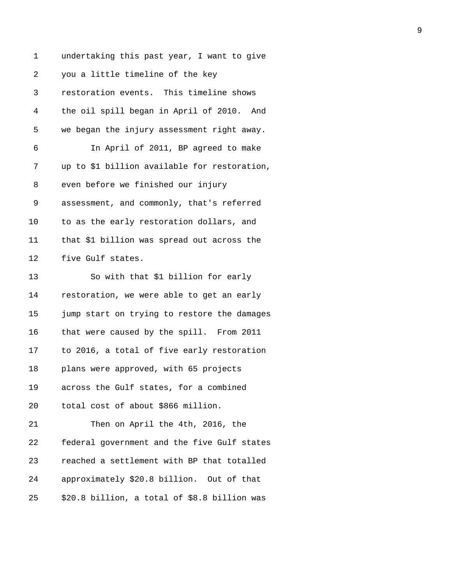| 1  | undertaking this past year, I want to give   |
|----|----------------------------------------------|
| 2  | you a little timeline of the key             |
| 3  | restoration events. This timeline shows      |
| 4  | the oil spill began in April of 2010. And    |
| 5  | we began the injury assessment right away.   |
| 6  | In April of 2011, BP agreed to make          |
| 7  | up to \$1 billion available for restoration, |
| 8  | even before we finished our injury           |
| 9  | assessment, and commonly, that's referred    |
| 10 | to as the early restoration dollars, and     |
| 11 | that \$1 billion was spread out across the   |
| 12 | five Gulf states.                            |
| 13 | So with that \$1 billion for early           |
| 14 | restoration, we were able to get an early    |
| 15 | jump start on trying to restore the damages  |
| 16 | that were caused by the spill. From 2011     |
| 17 | to 2016, a total of five early restoration   |
| 18 | plans were approved, with 65 projects        |
| 19 | across the Gulf states, for a combined       |
| 20 | total cost of about \$866 million.           |
| 21 | Then on April the 4th, 2016, the             |
| 22 | federal government and the five Gulf states  |
| 23 | reached a settlement with BP that totalled   |
| 24 | approximately \$20.8 billion. Out of that    |
| 25 | \$20.8 billion, a total of \$8.8 billion was |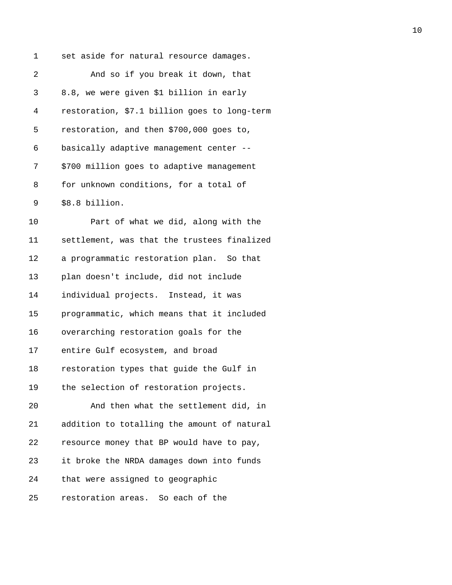1 set aside for natural resource damages. 2 And so if you break it down, that 3 8.8, we were given \$1 billion in early 4 restoration, \$7.1 billion goes to long-term 5 restoration, and then \$700,000 goes to, 6 basically adaptive management center -- 7 \$700 million goes to adaptive management 8 for unknown conditions, for a total of 9 \$8.8 billion. 10 Part of what we did, along with the 11 settlement, was that the trustees finalized 12 a programmatic restoration plan. So that 13 plan doesn't include, did not include 14 individual projects. Instead, it was 15 programmatic, which means that it included 16 overarching restoration goals for the 17 entire Gulf ecosystem, and broad 18 restoration types that guide the Gulf in 19 the selection of restoration projects. 20 And then what the settlement did, in 21 addition to totalling the amount of natural 22 resource money that BP would have to pay, 23 it broke the NRDA damages down into funds 24 that were assigned to geographic 25 restoration areas. So each of the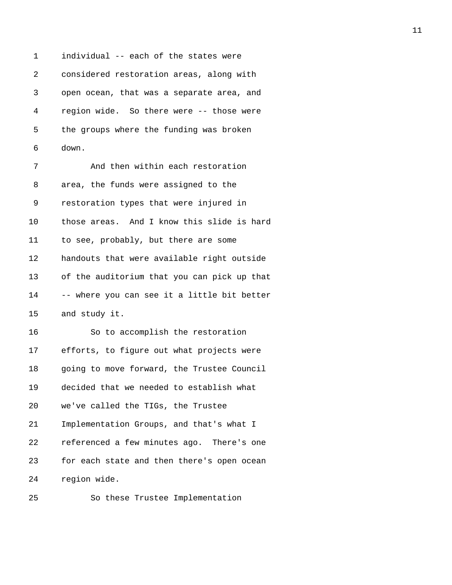1 individual -- each of the states were 2 considered restoration areas, along with 3 open ocean, that was a separate area, and 4 region wide. So there were -- those were 5 the groups where the funding was broken 6 down. 7 And then within each restoration 8 area, the funds were assigned to the 9 restoration types that were injured in

10 those areas. And I know this slide is hard 11 to see, probably, but there are some 12 handouts that were available right outside 13 of the auditorium that you can pick up that 14 -- where you can see it a little bit better 15 and study it.

16 So to accomplish the restoration 17 efforts, to figure out what projects were 18 going to move forward, the Trustee Council 19 decided that we needed to establish what 20 we've called the TIGs, the Trustee 21 Implementation Groups, and that's what I 22 referenced a few minutes ago. There's one 23 for each state and then there's open ocean 24 region wide.

25 So these Trustee Implementation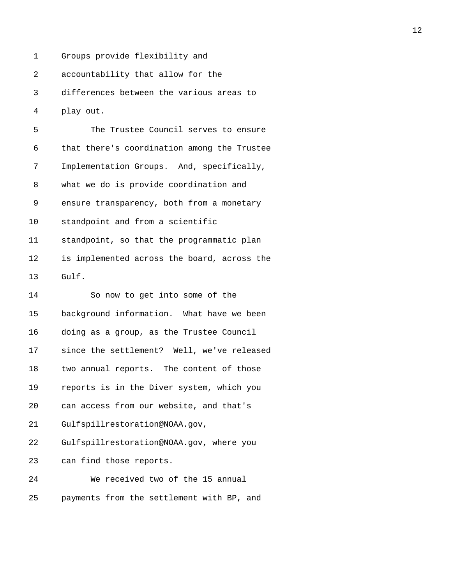1 Groups provide flexibility and

2 accountability that allow for the

3 differences between the various areas to

4 play out.

| 5  | The Trustee Council serves to ensure        |
|----|---------------------------------------------|
| 6  | that there's coordination among the Trustee |
| 7  | Implementation Groups. And, specifically,   |
| 8  | what we do is provide coordination and      |
| 9  | ensure transparency, both from a monetary   |
| 10 | standpoint and from a scientific            |
| 11 | standpoint, so that the programmatic plan   |
| 12 | is implemented across the board, across the |
| 13 | Gulf.                                       |
| 14 | So now to get into some of the              |
| 15 | background information. What have we been   |
| 16 | doing as a group, as the Trustee Council    |
| 17 | since the settlement? Well, we've released  |
| 18 | two annual reports. The content of those    |
| 19 | reports is in the Diver system, which you   |
| 20 | can access from our website, and that's     |
| 21 | Gulfspillrestoration@NOAA.gov,              |
| 22 | Gulfspillrestoration@NOAA.gov, where you    |
| 23 | can find those reports.                     |
| 24 | We received two of the 15 annual            |
| 25 | payments from the settlement with BP, and   |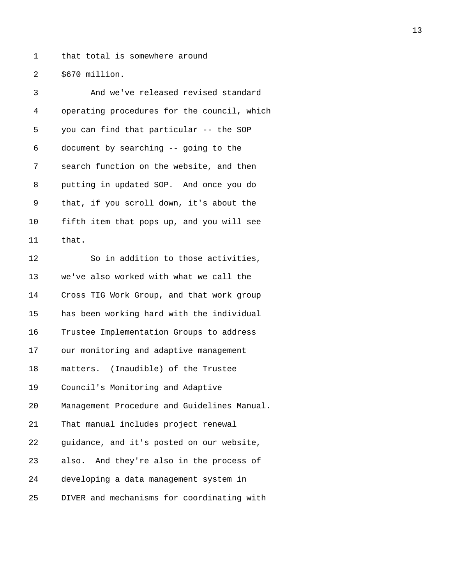1 that total is somewhere around

2 \$670 million.

| 3              | And we've released revised standard         |
|----------------|---------------------------------------------|
| $\overline{4}$ | operating procedures for the council, which |
| 5              | you can find that particular -- the SOP     |
| 6              | document by searching -- going to the       |
| 7              | search function on the website, and then    |
| 8              | putting in updated SOP. And once you do     |
| 9              | that, if you scroll down, it's about the    |
| 10             | fifth item that pops up, and you will see   |
| 11             | that.                                       |
| 12             | So in addition to those activities,         |
| 13             | we've also worked with what we call the     |
| 14             | Cross TIG Work Group, and that work group   |
| 15             | has been working hard with the individual   |
| 16             | Trustee Implementation Groups to address    |
| 17             | our monitoring and adaptive management      |
| 18             | matters. (Inaudible) of the Trustee         |
| 19             | Council's Monitoring and Adaptive           |
| 20             | Management Procedure and Guidelines Manual. |
| 21             | That manual includes project renewal        |
| 22             | guidance, and it's posted on our website,   |
| 23             | also. And they're also in the process of    |
| 24             | developing a data management system in      |
| 25             | DIVER and mechanisms for coordinating with  |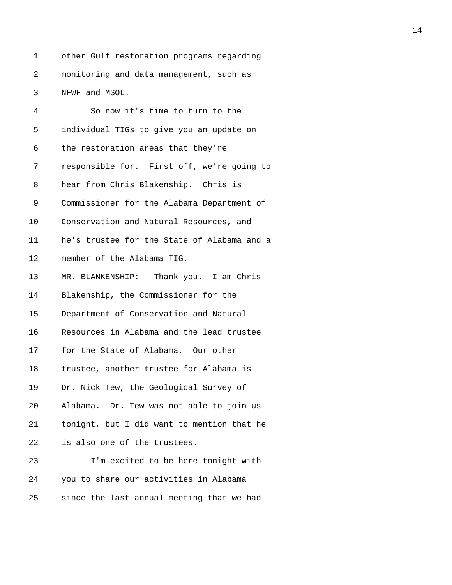1 other Gulf restoration programs regarding 2 monitoring and data management, such as 3 NFWF and MSOL.

| 4  | So now it's time to turn to the             |
|----|---------------------------------------------|
| 5  | individual TIGs to give you an update on    |
| 6  | the restoration areas that they're          |
| 7  | responsible for. First off, we're going to  |
| 8  | hear from Chris Blakenship. Chris is        |
| 9  | Commissioner for the Alabama Department of  |
| 10 | Conservation and Natural Resources, and     |
| 11 | he's trustee for the State of Alabama and a |
| 12 | member of the Alabama TIG.                  |
| 13 | MR. BLANKENSHIP: Thank you. I am Chris      |
| 14 | Blakenship, the Commissioner for the        |
| 15 | Department of Conservation and Natural      |
| 16 | Resources in Alabama and the lead trustee   |
| 17 | for the State of Alabama. Our other         |
| 18 | trustee, another trustee for Alabama is     |
| 19 | Dr. Nick Tew, the Geological Survey of      |
| 20 | Alabama. Dr. Tew was not able to join us    |
| 21 | tonight, but I did want to mention that he  |
| 22 | is also one of the trustees.                |
| 23 | I'm excited to be here tonight with         |
| 24 | you to share our activities in Alabama      |
| 25 | since the last annual meeting that we had   |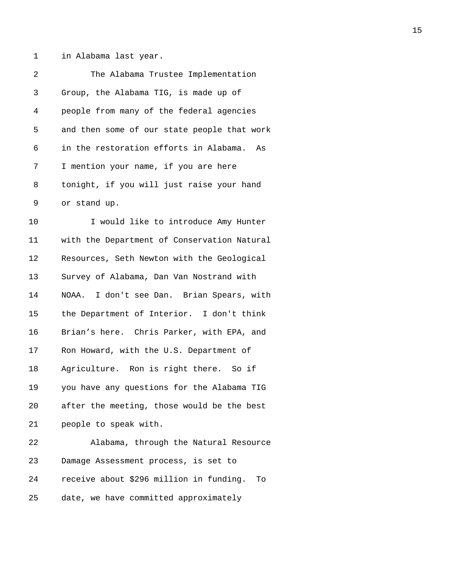1 in Alabama last year.

| 2  | The Alabama Trustee Implementation            |
|----|-----------------------------------------------|
| 3  | Group, the Alabama TIG, is made up of         |
| 4  | people from many of the federal agencies      |
| 5  | and then some of our state people that work   |
| 6  | in the restoration efforts in Alabama. As     |
| 7  | I mention your name, if you are here          |
| 8  | tonight, if you will just raise your hand     |
| 9  | or stand up.                                  |
| 10 | I would like to introduce Amy Hunter          |
| 11 | with the Department of Conservation Natural   |
| 12 | Resources, Seth Newton with the Geological    |
| 13 | Survey of Alabama, Dan Van Nostrand with      |
| 14 | NOAA. I don't see Dan. Brian Spears, with     |
| 15 | the Department of Interior. I don't think     |
| 16 | Brian's here. Chris Parker, with EPA, and     |
| 17 | Ron Howard, with the U.S. Department of       |
| 18 | Agriculture. Ron is right there. So if        |
| 19 | you have any questions for the Alabama TIG    |
| 20 | after the meeting, those would be the best    |
| 21 | people to speak with.                         |
| 22 | Alabama, through the Natural Resource         |
| 23 | Damage Assessment process, is set to          |
| 24 | receive about \$296 million in funding.<br>Tо |
|    |                                               |

25 date, we have committed approximately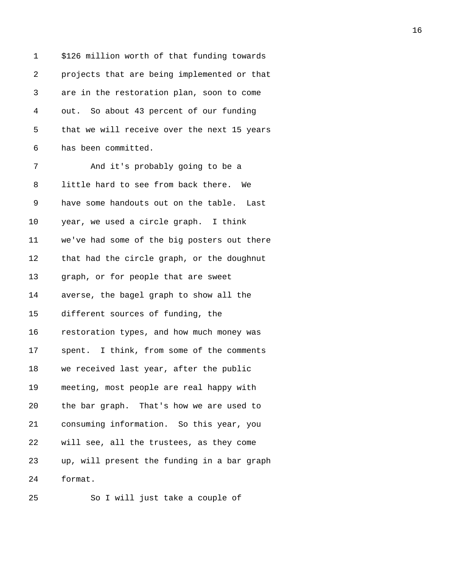| 1  | \$126 million worth of that funding towards |
|----|---------------------------------------------|
| 2  | projects that are being implemented or that |
| 3  | are in the restoration plan, soon to come   |
| 4  | out. So about 43 percent of our funding     |
| 5  | that we will receive over the next 15 years |
| 6  | has been committed.                         |
| 7  | And it's probably going to be a             |
| 8  | little hard to see from back there. We      |
| 9  | have some handouts out on the table. Last   |
| 10 | year, we used a circle graph. I think       |
| 11 | we've had some of the big posters out there |
| 12 | that had the circle graph, or the doughnut  |
| 13 | graph, or for people that are sweet         |
| 14 | averse, the bagel graph to show all the     |
| 15 | different sources of funding, the           |
| 16 | restoration types, and how much money was   |
| 17 | spent. I think, from some of the comments   |
| 18 | we received last year, after the public     |
| 19 | meeting, most people are real happy with    |
| 20 | the bar graph. That's how we are used to    |
| 21 | consuming information. So this year, you    |
| 22 | will see, all the trustees, as they come    |
| 23 | up, will present the funding in a bar graph |
| 24 | format.                                     |
|    |                                             |

25 So I will just take a couple of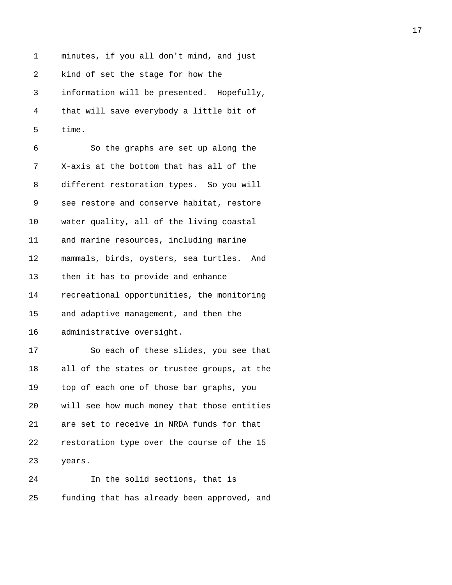1 minutes, if you all don't mind, and just 2 kind of set the stage for how the 3 information will be presented. Hopefully, 4 that will save everybody a little bit of 5 time.

| 6  | So the graphs are set up along the          |
|----|---------------------------------------------|
| 7  | X-axis at the bottom that has all of the    |
| 8  | different restoration types. So you will    |
| 9  | see restore and conserve habitat, restore   |
| 10 | water quality, all of the living coastal    |
| 11 | and marine resources, including marine      |
| 12 | mammals, birds, oysters, sea turtles. And   |
| 13 | then it has to provide and enhance          |
| 14 | recreational opportunities, the monitoring  |
| 15 | and adaptive management, and then the       |
| 16 | administrative oversight.                   |
| 17 | So each of these slides, you see that       |
| 18 | all of the states or trustee groups, at the |
| 19 | top of each one of those bar graphs, you    |
| 20 | will see how much money that those entities |
| 21 | are set to receive in NRDA funds for that   |
| 22 | restoration type over the course of the 15  |
| 23 | years.                                      |
| 24 | In the solid sections, that is              |

25 funding that has already been approved, and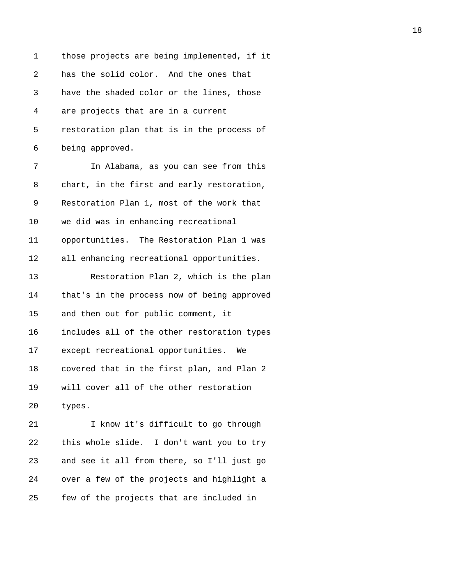1 those projects are being implemented, if it 2 has the solid color. And the ones that 3 have the shaded color or the lines, those 4 are projects that are in a current 5 restoration plan that is in the process of 6 being approved. 7 In Alabama, as you can see from this 8 chart, in the first and early restoration, 9 Restoration Plan 1, most of the work that 10 we did was in enhancing recreational 11 opportunities. The Restoration Plan 1 was 12 all enhancing recreational opportunities. 13 Restoration Plan 2, which is the plan 14 that's in the process now of being approved 15 and then out for public comment, it 16 includes all of the other restoration types 17 except recreational opportunities. We 18 covered that in the first plan, and Plan 2 19 will cover all of the other restoration 20 types. 21 I know it's difficult to go through 22 this whole slide. I don't want you to try 23 and see it all from there, so I'll just go 24 over a few of the projects and highlight a

25 few of the projects that are included in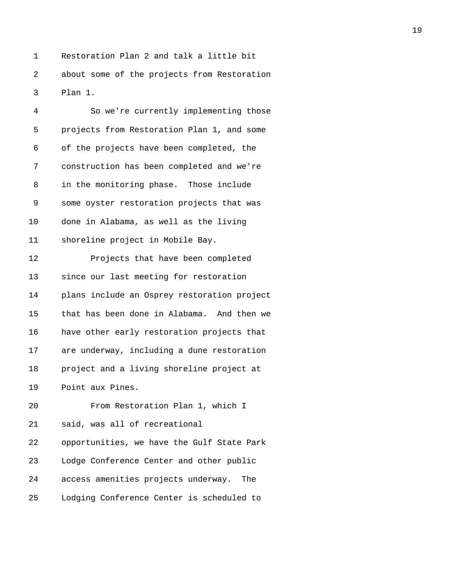1 Restoration Plan 2 and talk a little bit 2 about some of the projects from Restoration 3 Plan 1.

| 4  | So we're currently implementing those       |
|----|---------------------------------------------|
| 5  | projects from Restoration Plan 1, and some  |
| 6  | of the projects have been completed, the    |
| 7  | construction has been completed and we're   |
| 8  | in the monitoring phase. Those include      |
| 9  | some oyster restoration projects that was   |
| 10 | done in Alabama, as well as the living      |
| 11 | shoreline project in Mobile Bay.            |
| 12 | Projects that have been completed           |
| 13 | since our last meeting for restoration      |
| 14 | plans include an Osprey restoration project |
| 15 | that has been done in Alabama. And then we  |
| 16 | have other early restoration projects that  |
| 17 | are underway, including a dune restoration  |
| 18 | project and a living shoreline project at   |
| 19 | Point aux Pines.                            |
| 20 | From Restoration Plan 1, which I            |
| 21 | said, was all of recreational               |
| 22 | opportunities, we have the Gulf State Park  |
| 23 | Lodge Conference Center and other public    |
| 24 | access amenities projects underway.<br>The  |
| 25 | Lodging Conference Center is scheduled to   |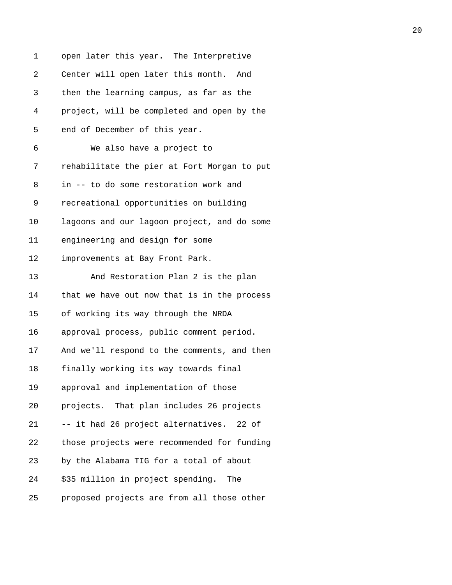| 1  | open later this year. The Interpretive      |
|----|---------------------------------------------|
| 2  | Center will open later this month. And      |
| 3  | then the learning campus, as far as the     |
| 4  | project, will be completed and open by the  |
| 5  | end of December of this year.               |
| 6  | We also have a project to                   |
| 7  | rehabilitate the pier at Fort Morgan to put |
| 8  | in -- to do some restoration work and       |
| 9  | recreational opportunities on building      |
| 10 | lagoons and our lagoon project, and do some |
| 11 | engineering and design for some             |
| 12 | improvements at Bay Front Park.             |
| 13 | And Restoration Plan 2 is the plan          |
| 14 | that we have out now that is in the process |
| 15 | of working its way through the NRDA         |
| 16 | approval process, public comment period.    |
| 17 | And we'll respond to the comments, and then |
| 18 | finally working its way towards final       |
| 19 | approval and implementation of those        |
| 20 | projects. That plan includes 26 projects    |
| 21 | -- it had 26 project alternatives. 22 of    |
| 22 | those projects were recommended for funding |
| 23 | by the Alabama TIG for a total of about     |
| 24 | \$35 million in project spending.<br>The    |
| 25 | proposed projects are from all those other  |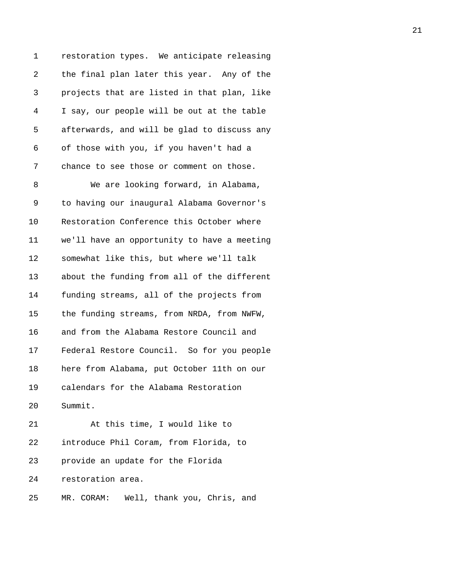1 restoration types. We anticipate releasing 2 the final plan later this year. Any of the 3 projects that are listed in that plan, like 4 I say, our people will be out at the table 5 afterwards, and will be glad to discuss any 6 of those with you, if you haven't had a 7 chance to see those or comment on those.

8 We are looking forward, in Alabama, 9 to having our inaugural Alabama Governor's 10 Restoration Conference this October where 11 we'll have an opportunity to have a meeting 12 somewhat like this, but where we'll talk 13 about the funding from all of the different 14 funding streams, all of the projects from 15 the funding streams, from NRDA, from NWFW, 16 and from the Alabama Restore Council and 17 Federal Restore Council. So for you people 18 here from Alabama, put October 11th on our 19 calendars for the Alabama Restoration 20 Summit. 21 At this time, I would like to

23 provide an update for the Florida

22 introduce Phil Coram, from Florida, to

24 restoration area.

25 MR. CORAM: Well, thank you, Chris, and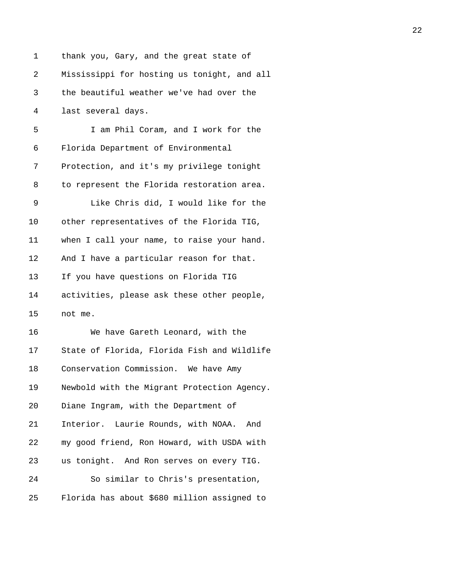| 1  | thank you, Gary, and the great state of     |
|----|---------------------------------------------|
| 2  | Mississippi for hosting us tonight, and all |
| 3  | the beautiful weather we've had over the    |
| 4  | last several days.                          |
| 5  | I am Phil Coram, and I work for the         |
| 6  | Florida Department of Environmental         |
| 7  | Protection, and it's my privilege tonight   |
| 8  | to represent the Florida restoration area.  |
| 9  | Like Chris did, I would like for the        |
| 10 | other representatives of the Florida TIG,   |
| 11 | when I call your name, to raise your hand.  |
| 12 | And I have a particular reason for that.    |
| 13 | If you have questions on Florida TIG        |
| 14 | activities, please ask these other people,  |
| 15 | not me.                                     |
| 16 | We have Gareth Leonard, with the            |
| 17 | State of Florida, Florida Fish and Wildlife |
| 18 | Conservation Commission. We have Amy        |
| 19 | Newbold with the Migrant Protection Agency. |
| 20 | Diane Ingram, with the Department of        |
| 21 | Interior. Laurie Rounds, with NOAA. And     |
| 22 | my good friend, Ron Howard, with USDA with  |
| 23 | us tonight. And Ron serves on every TIG.    |
| 24 | So similar to Chris's presentation,         |
| 25 | Florida has about \$680 million assigned to |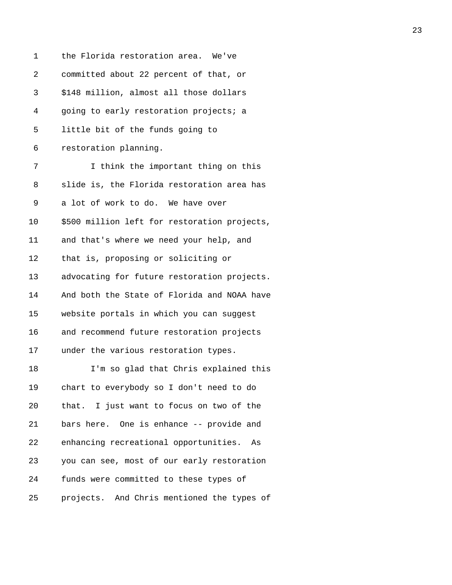| 1  | the Florida restoration area. We've          |
|----|----------------------------------------------|
| 2  | committed about 22 percent of that, or       |
| 3  | \$148 million, almost all those dollars      |
| 4  | going to early restoration projects; a       |
| 5  | little bit of the funds going to             |
| 6  | restoration planning.                        |
| 7  | I think the important thing on this          |
| 8  | slide is, the Florida restoration area has   |
| 9  | a lot of work to do. We have over            |
| 10 | \$500 million left for restoration projects, |
| 11 | and that's where we need your help, and      |
| 12 | that is, proposing or soliciting or          |
| 13 | advocating for future restoration projects.  |
| 14 | And both the State of Florida and NOAA have  |
| 15 | website portals in which you can suggest     |
| 16 | and recommend future restoration projects    |
| 17 | under the various restoration types.         |
| 18 | I'm so glad that Chris explained this        |
| 19 | chart to everybody so I don't need to do     |
| 20 | that. I just want to focus on two of the     |
| 21 | bars here. One is enhance -- provide and     |
| 22 | enhancing recreational opportunities.<br>As  |
| 23 | you can see, most of our early restoration   |
| 24 | funds were committed to these types of       |
| 25 | projects. And Chris mentioned the types of   |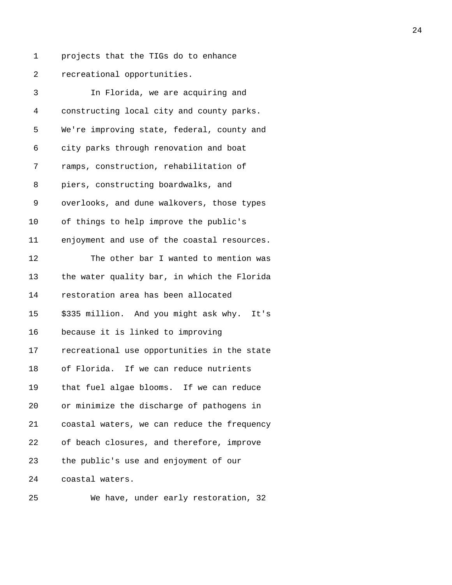- 
- 1 projects that the TIGs do to enhance 2 recreational opportunities.

| 3  | In Florida, we are acquiring and            |
|----|---------------------------------------------|
| 4  | constructing local city and county parks.   |
| 5  | We're improving state, federal, county and  |
| 6  | city parks through renovation and boat      |
| 7  | ramps, construction, rehabilitation of      |
| 8  | piers, constructing boardwalks, and         |
| 9  | overlooks, and dune walkovers, those types  |
| 10 | of things to help improve the public's      |
| 11 | enjoyment and use of the coastal resources. |
| 12 | The other bar I wanted to mention was       |
| 13 | the water quality bar, in which the Florida |
| 14 | restoration area has been allocated         |
| 15 | \$335 million. And you might ask why. It's  |
| 16 | because it is linked to improving           |
| 17 | recreational use opportunities in the state |
| 18 | of Florida. If we can reduce nutrients      |
| 19 | that fuel algae blooms. If we can reduce    |
| 20 | or minimize the discharge of pathogens in   |
| 21 | coastal waters, we can reduce the frequency |
| 22 | of beach closures, and therefore, improve   |
| 23 | the public's use and enjoyment of our       |
| 24 | coastal waters.                             |
|    |                                             |

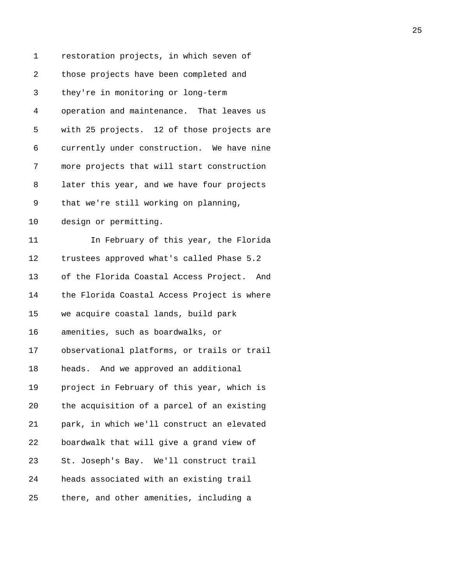| 1          | restoration projects, in which seven of     |
|------------|---------------------------------------------|
| $\sqrt{2}$ | those projects have been completed and      |
| 3          | they're in monitoring or long-term          |
| 4          | operation and maintenance. That leaves us   |
| 5          | with 25 projects. 12 of those projects are  |
| 6          | currently under construction. We have nine  |
| 7          | more projects that will start construction  |
| 8          | later this year, and we have four projects  |
| 9          | that we're still working on planning,       |
| $10 \,$    | design or permitting.                       |
| 11         | In February of this year, the Florida       |
| 12         | trustees approved what's called Phase 5.2   |
| 13         | of the Florida Coastal Access Project. And  |
| 14         | the Florida Coastal Access Project is where |
| 15         | we acquire coastal lands, build park        |
| 16         | amenities, such as boardwalks, or           |
| 17         | observational platforms, or trails or trail |
| 18         | heads. And we approved an additional        |
| 19         | project in February of this year, which is  |
| 20         | the acquisition of a parcel of an existing  |
| 21         | park, in which we'll construct an elevated  |
| 22         | boardwalk that will give a grand view of    |
| 23         | St. Joseph's Bay. We'll construct trail     |
| 24         | heads associated with an existing trail     |
| 25         | there, and other amenities, including a     |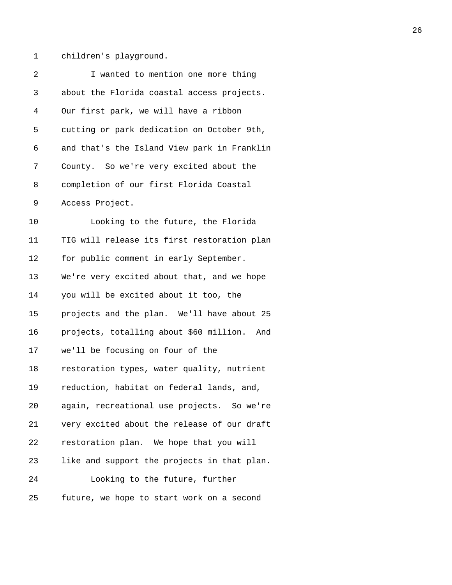1 children's playground.

| 2  | I wanted to mention one more thing          |
|----|---------------------------------------------|
| 3  | about the Florida coastal access projects.  |
| 4  | Our first park, we will have a ribbon       |
| 5  | cutting or park dedication on October 9th,  |
| 6  | and that's the Island View park in Franklin |
| 7  | County. So we're very excited about the     |
| 8  | completion of our first Florida Coastal     |
| 9  | Access Project.                             |
| 10 | Looking to the future, the Florida          |
| 11 | TIG will release its first restoration plan |
| 12 | for public comment in early September.      |
| 13 | We're very excited about that, and we hope  |
| 14 | you will be excited about it too, the       |
| 15 | projects and the plan. We'll have about 25  |
| 16 | projects, totalling about \$60 million. And |
| 17 | we'll be focusing on four of the            |
| 18 | restoration types, water quality, nutrient  |
| 19 | reduction, habitat on federal lands, and,   |
| 20 | again, recreational use projects. So we're  |
| 21 | very excited about the release of our draft |
| 22 | restoration plan. We hope that you will     |
| 23 | like and support the projects in that plan. |
| 24 | Looking to the future, further              |
| 25 | future, we hope to start work on a second   |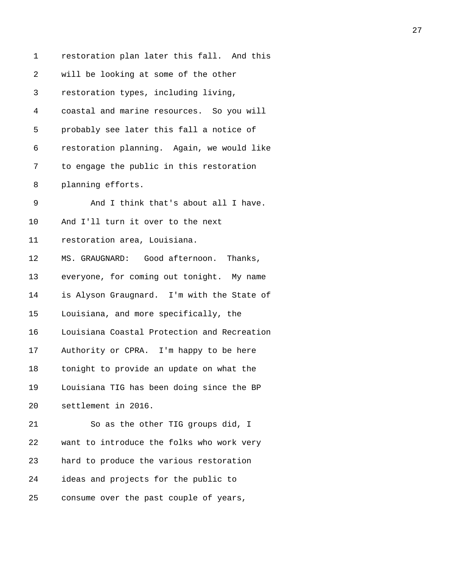| 1  | restoration plan later this fall. And this  |
|----|---------------------------------------------|
| 2  | will be looking at some of the other        |
| 3  | restoration types, including living,        |
| 4  | coastal and marine resources. So you will   |
| 5  | probably see later this fall a notice of    |
| 6  | restoration planning. Again, we would like  |
| 7  | to engage the public in this restoration    |
| 8  | planning efforts.                           |
| 9  | And I think that's about all I have.        |
| 10 | And I'll turn it over to the next           |
| 11 | restoration area, Louisiana.                |
| 12 | MS. GRAUGNARD: Good afternoon. Thanks,      |
| 13 | everyone, for coming out tonight. My name   |
| 14 | is Alyson Graugnard. I'm with the State of  |
| 15 | Louisiana, and more specifically, the       |
| 16 | Louisiana Coastal Protection and Recreation |
| 17 | Authority or CPRA. I'm happy to be here     |
| 18 | tonight to provide an update on what the    |
| 19 | Louisiana TIG has been doing since the BP   |
| 20 | settlement in 2016.                         |
| 21 | So as the other TIG groups did, I           |
| 22 | want to introduce the folks who work very   |
| 23 | hard to produce the various restoration     |
| 24 | ideas and projects for the public to        |
| 25 | consume over the past couple of years,      |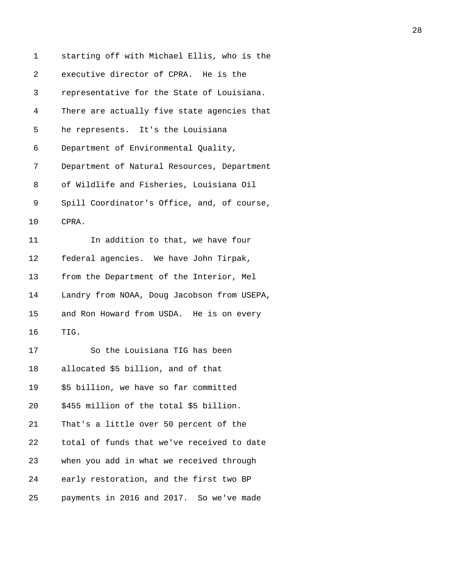| 1  | starting off with Michael Ellis, who is the |
|----|---------------------------------------------|
| 2  | executive director of CPRA. He is the       |
| 3  | representative for the State of Louisiana.  |
| 4  | There are actually five state agencies that |
| 5  | he represents. It's the Louisiana           |
| 6  | Department of Environmental Quality,        |
| 7  | Department of Natural Resources, Department |
| 8  | of Wildlife and Fisheries, Louisiana Oil    |
| 9  | Spill Coordinator's Office, and, of course, |
| 10 | CPRA.                                       |
| 11 | In addition to that, we have four           |
| 12 | federal agencies. We have John Tirpak,      |
| 13 | from the Department of the Interior, Mel    |
| 14 | Landry from NOAA, Doug Jacobson from USEPA, |
| 15 | and Ron Howard from USDA. He is on every    |
| 16 | TIG.                                        |
| 17 | So the Louisiana TIG has been               |
| 18 | allocated \$5 billion, and of that          |
| 19 | \$5 billion, we have so far committed       |
| 20 | \$455 million of the total \$5 billion.     |
| 21 | That's a little over 50 percent of the      |
| 22 | total of funds that we've received to date  |
| 23 | when you add in what we received through    |
| 24 | early restoration, and the first two BP     |
| 25 | payments in 2016 and 2017. So we've made    |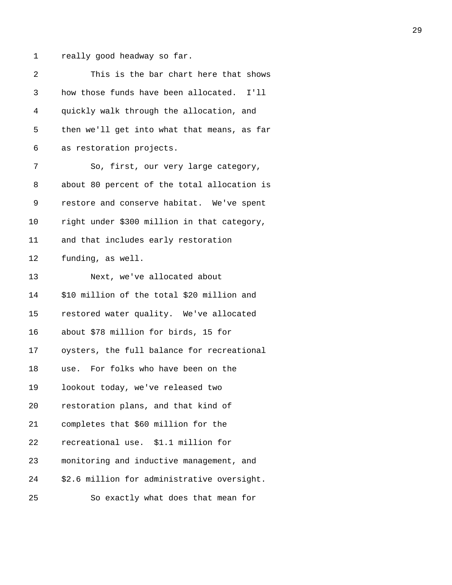1 really good headway so far.

| 2  | This is the bar chart here that shows       |
|----|---------------------------------------------|
| 3  | how those funds have been allocated. I'll   |
| 4  | quickly walk through the allocation, and    |
| 5  | then we'll get into what that means, as far |
| 6  | as restoration projects.                    |
| 7  | So, first, our very large category,         |
| 8  | about 80 percent of the total allocation is |
| 9  | restore and conserve habitat. We've spent   |
| 10 | right under \$300 million in that category, |
| 11 | and that includes early restoration         |
| 12 | funding, as well.                           |
| 13 | Next, we've allocated about                 |
| 14 | \$10 million of the total \$20 million and  |
| 15 | restored water quality. We've allocated     |
| 16 | about \$78 million for birds, 15 for        |
| 17 | oysters, the full balance for recreational  |
| 18 | use. For folks who have been on the         |
| 19 | lookout today, we've released two           |
| 20 | restoration plans, and that kind of         |
| 21 | completes that \$60 million for the         |
| 22 | recreational use. \$1.1 million for         |
| 23 | monitoring and inductive management, and    |
| 24 | \$2.6 million for administrative oversight. |
| 25 | So exactly what does that mean for          |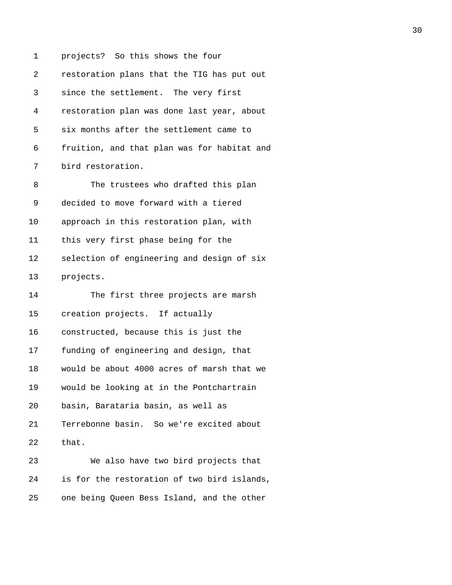1 projects? So this shows the four 2 restoration plans that the TIG has put out 3 since the settlement. The very first 4 restoration plan was done last year, about 5 six months after the settlement came to 6 fruition, and that plan was for habitat and 7 bird restoration. 8 The trustees who drafted this plan 9 decided to move forward with a tiered 10 approach in this restoration plan, with 11 this very first phase being for the 12 selection of engineering and design of six 13 projects. 14 The first three projects are marsh 15 creation projects. If actually 16 constructed, because this is just the 17 funding of engineering and design, that 18 would be about 4000 acres of marsh that we 19 would be looking at in the Pontchartrain 20 basin, Barataria basin, as well as 21 Terrebonne basin. So we're excited about 22 that. 23 We also have two bird projects that 24 is for the restoration of two bird islands, 25 one being Queen Bess Island, and the other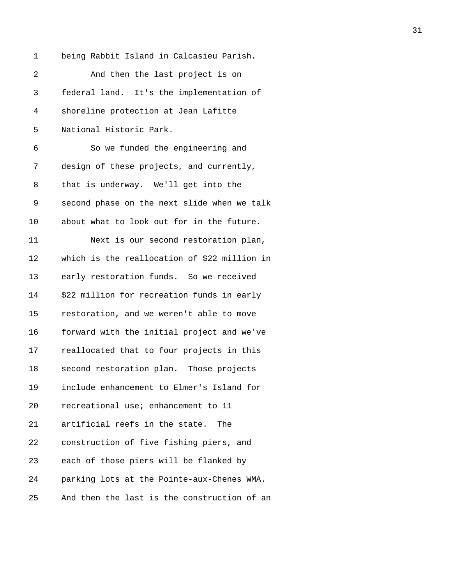1 being Rabbit Island in Calcasieu Parish.

| 2  | And then the last project is on              |
|----|----------------------------------------------|
| 3  | federal land. It's the implementation of     |
| 4  | shoreline protection at Jean Lafitte         |
| 5  | National Historic Park.                      |
| 6  | So we funded the engineering and             |
| 7  | design of these projects, and currently,     |
| 8  | that is underway. We'll get into the         |
| 9  | second phase on the next slide when we talk  |
| 10 | about what to look out for in the future.    |
| 11 | Next is our second restoration plan,         |
| 12 | which is the reallocation of \$22 million in |
| 13 | early restoration funds. So we received      |
| 14 | \$22 million for recreation funds in early   |
| 15 | restoration, and we weren't able to move     |
| 16 | forward with the initial project and we've   |
| 17 | reallocated that to four projects in this    |
| 18 | second restoration plan. Those projects      |
| 19 | include enhancement to Elmer's Island for    |
| 20 | recreational use; enhancement to 11          |
| 21 | artificial reefs in the state.<br>The        |
| 22 | construction of five fishing piers, and      |
| 23 | each of those piers will be flanked by       |
| 24 | parking lots at the Pointe-aux-Chenes WMA.   |
| 25 | And then the last is the construction of an  |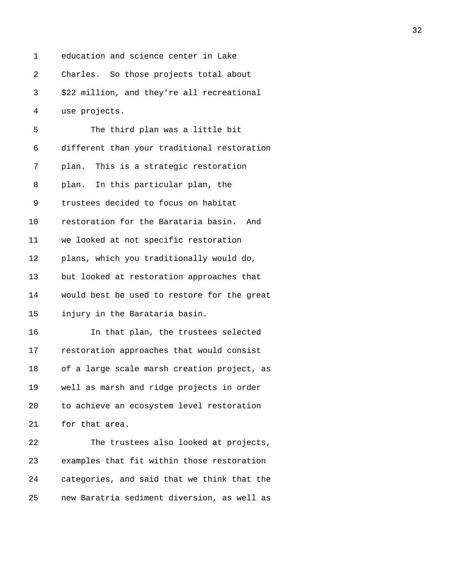1 education and science center in Lake 2 Charles. So those projects total about 3 \$22 million, and they're all recreational 4 use projects.

| 5  | The third plan was a little bit             |
|----|---------------------------------------------|
| 6  | different than your traditional restoration |
| 7  | This is a strategic restoration<br>plan.    |
| 8  | plan. In this particular plan, the          |
| 9  | trustees decided to focus on habitat        |
| 10 | restoration for the Barataria basin.<br>And |
| 11 | we looked at not specific restoration       |
| 12 | plans, which you traditionally would do,    |
| 13 | but looked at restoration approaches that   |
| 14 | would best be used to restore for the great |
| 15 | injury in the Barataria basin.              |
| 16 | In that plan, the trustees selected         |
| 17 | restoration approaches that would consist   |
| 18 | of a large scale marsh creation project, as |
| 19 | well as marsh and ridge projects in order   |
| 20 | to achieve an ecosystem level restoration   |
| 21 | for that area.                              |
| 22 | The trustees also looked at projects,       |
|    |                                             |

23 examples that fit within those restoration 24 categories, and said that we think that the 25 new Baratria sediment diversion, as well as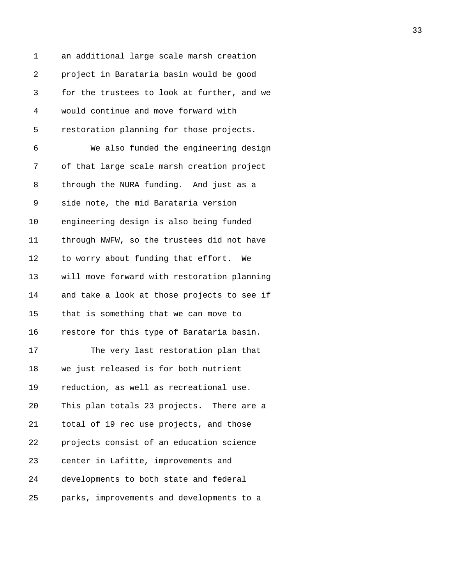| 1  | an additional large scale marsh creation    |
|----|---------------------------------------------|
| 2  | project in Barataria basin would be good    |
| 3  | for the trustees to look at further, and we |
| 4  | would continue and move forward with        |
| 5  | restoration planning for those projects.    |
| 6  | We also funded the engineering design       |
| 7  | of that large scale marsh creation project  |
| 8  | through the NURA funding. And just as a     |
| 9  | side note, the mid Barataria version        |
| 10 | engineering design is also being funded     |
| 11 | through NWFW, so the trustees did not have  |
| 12 | to worry about funding that effort. We      |
| 13 | will move forward with restoration planning |
| 14 | and take a look at those projects to see if |
| 15 | that is something that we can move to       |
| 16 | restore for this type of Barataria basin.   |
| 17 | The very last restoration plan that         |
| 18 | we just released is for both nutrient       |
| 19 | reduction, as well as recreational use.     |
| 20 | This plan totals 23 projects. There are a   |
| 21 | total of 19 rec use projects, and those     |
| 22 | projects consist of an education science    |
| 23 | center in Lafitte, improvements and         |
| 24 | developments to both state and federal      |
| 25 | parks, improvements and developments to a   |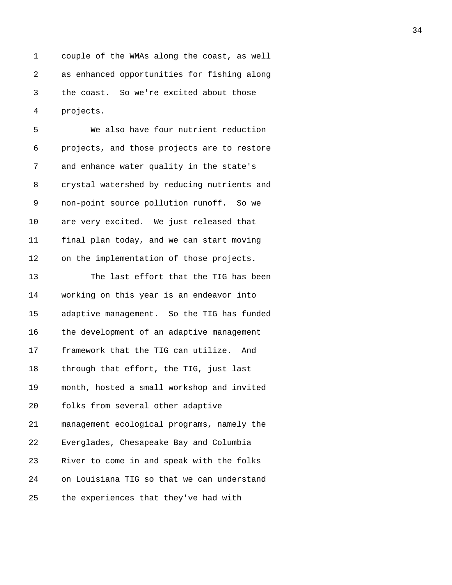1 couple of the WMAs along the coast, as well 2 as enhanced opportunities for fishing along 3 the coast. So we're excited about those 4 projects.

5 We also have four nutrient reduction 6 projects, and those projects are to restore 7 and enhance water quality in the state's 8 crystal watershed by reducing nutrients and 9 non-point source pollution runoff. So we 10 are very excited. We just released that 11 final plan today, and we can start moving 12 on the implementation of those projects.

13 The last effort that the TIG has been 14 working on this year is an endeavor into 15 adaptive management. So the TIG has funded 16 the development of an adaptive management 17 framework that the TIG can utilize. And 18 through that effort, the TIG, just last 19 month, hosted a small workshop and invited 20 folks from several other adaptive 21 management ecological programs, namely the 22 Everglades, Chesapeake Bay and Columbia 23 River to come in and speak with the folks 24 on Louisiana TIG so that we can understand 25 the experiences that they've had with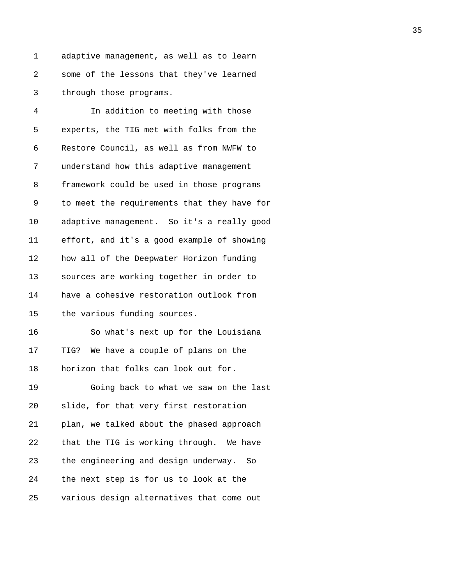1 adaptive management, as well as to learn 2 some of the lessons that they've learned 3 through those programs.

| 4  | In addition to meeting with those           |
|----|---------------------------------------------|
| 5  | experts, the TIG met with folks from the    |
| 6  | Restore Council, as well as from NWFW to    |
| 7  | understand how this adaptive management     |
| 8  | framework could be used in those programs   |
| 9  | to meet the requirements that they have for |
| 10 | adaptive management. So it's a really good  |
| 11 | effort, and it's a good example of showing  |
| 12 | how all of the Deepwater Horizon funding    |
| 13 | sources are working together in order to    |
| 14 | have a cohesive restoration outlook from    |
| 15 | the various funding sources.                |
| 16 | So what's next up for the Louisiana         |
| 17 | TIG? We have a couple of plans on the       |
| 18 | horizon that folks can look out for.        |
| 19 | Going back to what we saw on the last       |
| 20 | slide, for that very first restoration      |
| 21 | plan, we talked about the phased approach   |
| 22 | that the TIG is working through. We have    |
| 23 | the engineering and design underway.<br>So  |
| 24 | the next step is for us to look at the      |
| 25 | various design alternatives that come out   |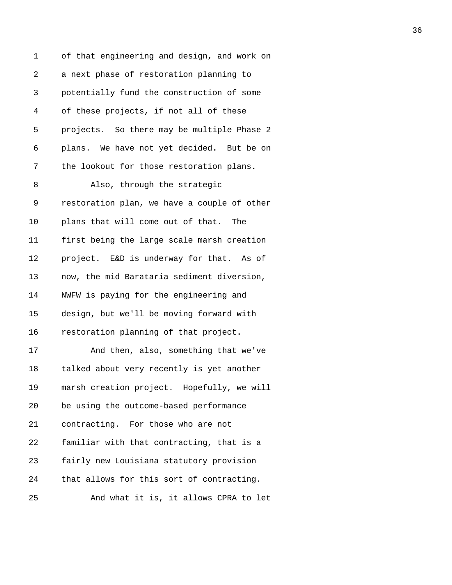1 of that engineering and design, and work on 2 a next phase of restoration planning to 3 potentially fund the construction of some 4 of these projects, if not all of these 5 projects. So there may be multiple Phase 2 6 plans. We have not yet decided. But be on 7 the lookout for those restoration plans. 8 Also, through the strategic 9 restoration plan, we have a couple of other 10 plans that will come out of that. The 11 first being the large scale marsh creation 12 project. E&D is underway for that. As of 13 now, the mid Barataria sediment diversion, 14 NWFW is paying for the engineering and 15 design, but we'll be moving forward with 16 restoration planning of that project. 17 And then, also, something that we've 18 talked about very recently is yet another 19 marsh creation project. Hopefully, we will 20 be using the outcome-based performance 21 contracting. For those who are not 22 familiar with that contracting, that is a 23 fairly new Louisiana statutory provision 24 that allows for this sort of contracting. 25 And what it is, it allows CPRA to let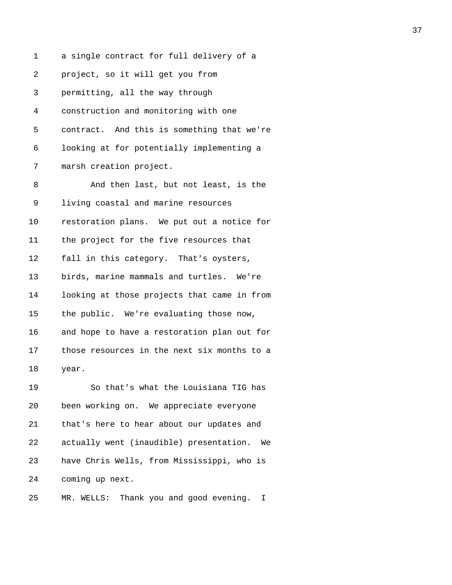1 a single contract for full delivery of a 2 project, so it will get you from 3 permitting, all the way through 4 construction and monitoring with one 5 contract. And this is something that we're 6 looking at for potentially implementing a 7 marsh creation project. 8 And then last, but not least, is the 9 living coastal and marine resources 10 restoration plans. We put out a notice for 11 the project for the five resources that 12 fall in this category. That's oysters, 13 birds, marine mammals and turtles. We're 14 looking at those projects that came in from 15 the public. We're evaluating those now, 16 and hope to have a restoration plan out for 17 those resources in the next six months to a 18 year. 19 So that's what the Louisiana TIG has 20 been working on. We appreciate everyone 21 that's here to hear about our updates and 22 actually went (inaudible) presentation. We 23 have Chris Wells, from Mississippi, who is 24 coming up next.

25 MR. WELLS: Thank you and good evening. I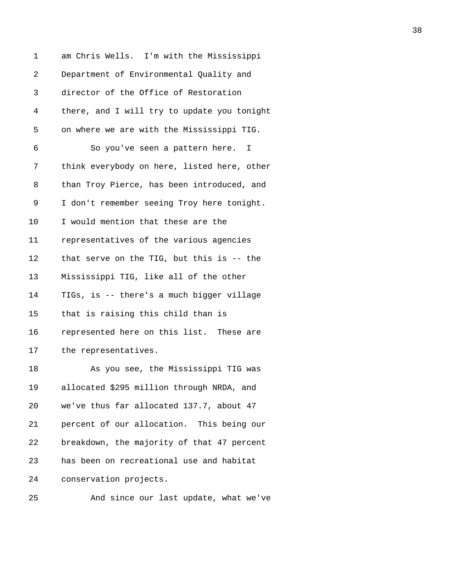| 1  | am Chris Wells. I'm with the Mississippi    |
|----|---------------------------------------------|
| 2  | Department of Environmental Quality and     |
| 3  | director of the Office of Restoration       |
| 4  | there, and I will try to update you tonight |
| 5  | on where we are with the Mississippi TIG.   |
| 6  | So you've seen a pattern here. I            |
| 7  | think everybody on here, listed here, other |
| 8  | than Troy Pierce, has been introduced, and  |
| 9  | I don't remember seeing Troy here tonight.  |
| 10 | I would mention that these are the          |
| 11 | representatives of the various agencies     |
| 12 | that serve on the TIG, but this is -- the   |
| 13 | Mississippi TIG, like all of the other      |
| 14 | TIGs, is -- there's a much bigger village   |
| 15 | that is raising this child than is          |
| 16 | represented here on this list. These are    |
| 17 | the representatives.                        |
| 18 | As you see, the Mississippi TIG was         |
| 19 | allocated \$295 million through NRDA, and   |
| 20 | we've thus far allocated 137.7, about 47    |
| 21 | percent of our allocation. This being our   |
| 22 | breakdown, the majority of that 47 percent  |
| 23 | has been on recreational use and habitat    |
| 24 | conservation projects.                      |
|    |                                             |

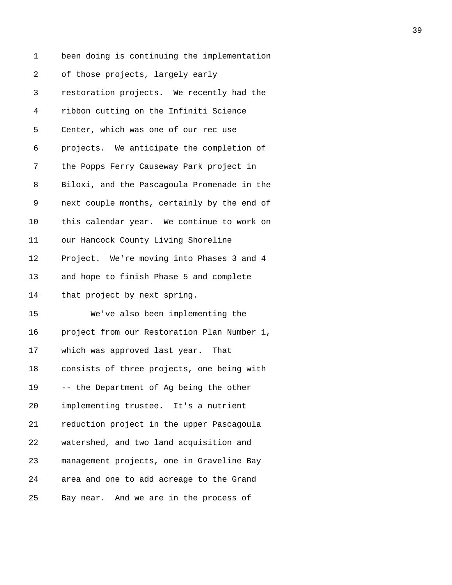1 been doing is continuing the implementation 2 of those projects, largely early 3 restoration projects. We recently had the 4 ribbon cutting on the Infiniti Science 5 Center, which was one of our rec use 6 projects. We anticipate the completion of 7 the Popps Ferry Causeway Park project in 8 Biloxi, and the Pascagoula Promenade in the 9 next couple months, certainly by the end of 10 this calendar year. We continue to work on 11 our Hancock County Living Shoreline 12 Project. We're moving into Phases 3 and 4 13 and hope to finish Phase 5 and complete 14 that project by next spring. 15 We've also been implementing the 16 project from our Restoration Plan Number 1, 17 which was approved last year. That 18 consists of three projects, one being with 19 -- the Department of Ag being the other 20 implementing trustee. It's a nutrient 21 reduction project in the upper Pascagoula 22 watershed, and two land acquisition and 23 management projects, one in Graveline Bay 24 area and one to add acreage to the Grand 25 Bay near. And we are in the process of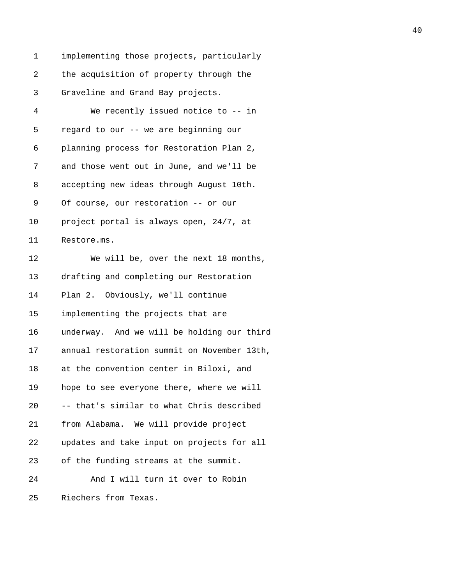1 implementing those projects, particularly 2 the acquisition of property through the 3 Graveline and Grand Bay projects. 4 We recently issued notice to -- in 5 regard to our -- we are beginning our 6 planning process for Restoration Plan 2, 7 and those went out in June, and we'll be 8 accepting new ideas through August 10th. 9 Of course, our restoration -- or our 10 project portal is always open, 24/7, at 11 Restore.ms. 12 We will be, over the next 18 months, 13 drafting and completing our Restoration 14 Plan 2. Obviously, we'll continue 15 implementing the projects that are 16 underway. And we will be holding our third 17 annual restoration summit on November 13th, 18 at the convention center in Biloxi, and 19 hope to see everyone there, where we will 20 -- that's similar to what Chris described 21 from Alabama. We will provide project 22 updates and take input on projects for all 23 of the funding streams at the summit. 24 And I will turn it over to Robin 25 Riechers from Texas.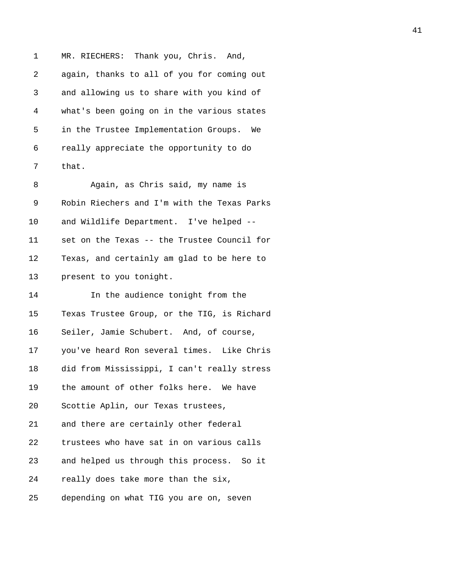1 MR. RIECHERS: Thank you, Chris. And, 2 again, thanks to all of you for coming out 3 and allowing us to share with you kind of 4 what's been going on in the various states 5 in the Trustee Implementation Groups. We 6 really appreciate the opportunity to do 7 that.

8 Again, as Chris said, my name is 9 Robin Riechers and I'm with the Texas Parks 10 and Wildlife Department. I've helped -- 11 set on the Texas -- the Trustee Council for 12 Texas, and certainly am glad to be here to 13 present to you tonight.

14 In the audience tonight from the 15 Texas Trustee Group, or the TIG, is Richard 16 Seiler, Jamie Schubert. And, of course, 17 you've heard Ron several times. Like Chris 18 did from Mississippi, I can't really stress 19 the amount of other folks here. We have 20 Scottie Aplin, our Texas trustees, 21 and there are certainly other federal 22 trustees who have sat in on various calls 23 and helped us through this process. So it 24 really does take more than the six, 25 depending on what TIG you are on, seven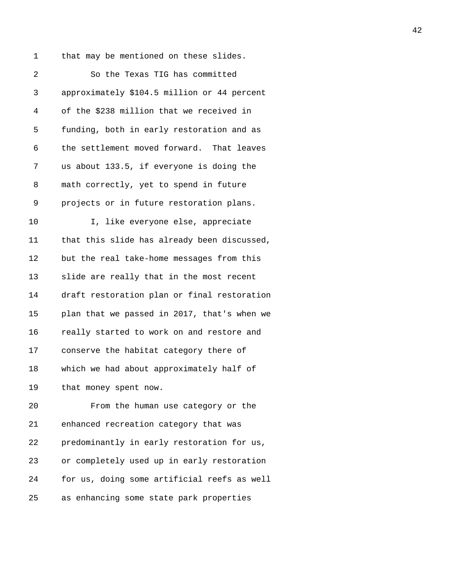1 that may be mentioned on these slides.

| 2  | So the Texas TIG has committed              |
|----|---------------------------------------------|
| 3  | approximately \$104.5 million or 44 percent |
| 4  | of the \$238 million that we received in    |
| 5  | funding, both in early restoration and as   |
| 6  | the settlement moved forward. That leaves   |
| 7  | us about 133.5, if everyone is doing the    |
| 8  | math correctly, yet to spend in future      |
| 9  | projects or in future restoration plans.    |
| 10 | I, like everyone else, appreciate           |
| 11 | that this slide has already been discussed, |
| 12 | but the real take-home messages from this   |
| 13 | slide are really that in the most recent    |
| 14 | draft restoration plan or final restoration |
| 15 | plan that we passed in 2017, that's when we |
| 16 | really started to work on and restore and   |
| 17 | conserve the habitat category there of      |
| 18 | which we had about approximately half of    |
| 19 | that money spent now.                       |
| 20 | From the human use category or the          |
| 21 | enhanced recreation category that was       |
| 22 | predominantly in early restoration for us,  |
| 23 | or completely used up in early restoration  |

24 for us, doing some artificial reefs as well

25 as enhancing some state park properties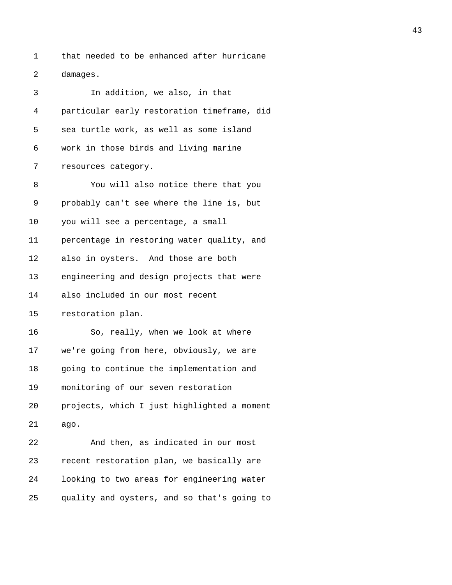1 that needed to be enhanced after hurricane 2 damages.

| 3  | In addition, we also, in that               |
|----|---------------------------------------------|
| 4  | particular early restoration timeframe, did |
| 5  | sea turtle work, as well as some island     |
| 6  | work in those birds and living marine       |
| 7  | resources category.                         |
| 8  | You will also notice there that you         |
| 9  | probably can't see where the line is, but   |
| 10 | you will see a percentage, a small          |
| 11 | percentage in restoring water quality, and  |
| 12 | also in oysters. And those are both         |
| 13 | engineering and design projects that were   |
| 14 | also included in our most recent            |
| 15 | restoration plan.                           |
| 16 | So, really, when we look at where           |
| 17 | we're going from here, obviously, we are    |
| 18 | going to continue the implementation and    |
| 19 | monitoring of our seven restoration         |
| 20 | projects, which I just highlighted a moment |
| 21 | ago.                                        |
| 22 | And then, as indicated in our most          |
| 23 | recent restoration plan, we basically are   |
| 24 | looking to two areas for engineering water  |
| 25 | quality and oysters, and so that's going to |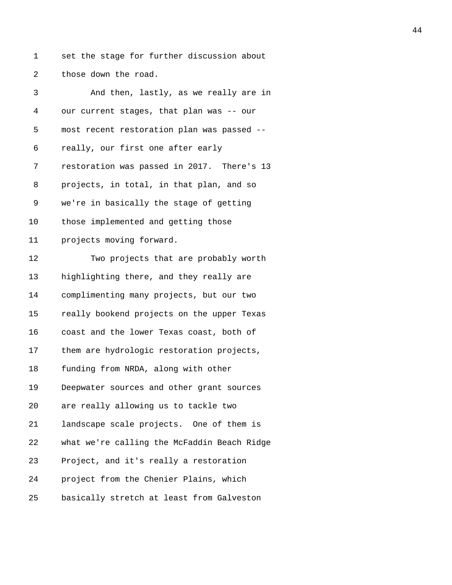1 set the stage for further discussion about 2 those down the road.

| 3              | And then, lastly, as we really are in       |
|----------------|---------------------------------------------|
| $\overline{4}$ | our current stages, that plan was -- our    |
| 5              | most recent restoration plan was passed --  |
| 6              | really, our first one after early           |
| 7              | restoration was passed in 2017. There's 13  |
| 8              | projects, in total, in that plan, and so    |
| 9              | we're in basically the stage of getting     |
| 10             | those implemented and getting those         |
| 11             | projects moving forward.                    |
| 12             | Two projects that are probably worth        |
| 13             | highlighting there, and they really are     |
| 14             | complimenting many projects, but our two    |
| 15             | really bookend projects on the upper Texas  |
| 16             | coast and the lower Texas coast, both of    |
| 17             | them are hydrologic restoration projects,   |
| 18             | funding from NRDA, along with other         |
| 19             | Deepwater sources and other grant sources   |
| 20             | are really allowing us to tackle two        |
| 21             | landscape scale projects. One of them is    |
| 22             | what we're calling the McFaddin Beach Ridge |
| 23             | Project, and it's really a restoration      |
| 24             | project from the Chenier Plains, which      |
| 25             | basically stretch at least from Galveston   |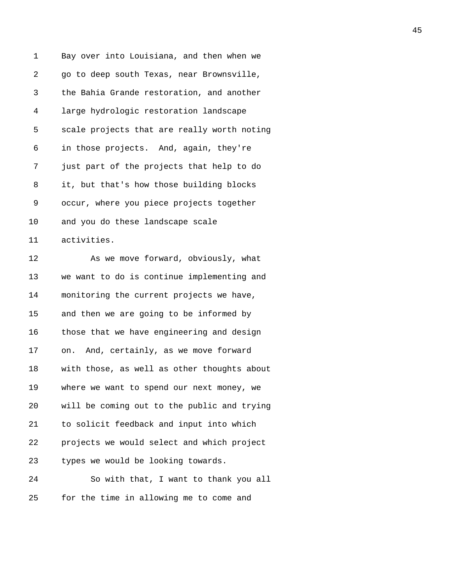| 1  | Bay over into Louisiana, and then when we   |
|----|---------------------------------------------|
| 2  | go to deep south Texas, near Brownsville,   |
| 3  | the Bahia Grande restoration, and another   |
| 4  | large hydrologic restoration landscape      |
| 5  | scale projects that are really worth noting |
| 6  | in those projects. And, again, they're      |
| 7  | just part of the projects that help to do   |
| 8  | it, but that's how those building blocks    |
| 9  | occur, where you piece projects together    |
| 10 | and you do these landscape scale            |
| 11 | activities.                                 |
| 12 | As we move forward, obviously, what         |
| 13 | we want to do is continue implementing and  |
| 14 | monitoring the current projects we have,    |
| 15 | and then we are going to be informed by     |
| 16 | those that we have engineering and design   |
| 17 | on. And, certainly, as we move forward      |
| 18 | with those, as well as other thoughts about |
| 19 | where we want to spend our next money, we   |
| 20 | will be coming out to the public and trying |
| 21 | to solicit feedback and input into which    |
| 22 | projects we would select and which project  |
| 23 | types we would be looking towards.          |
| 24 | So with that, I want to thank you all       |
| 25 | for the time in allowing me to come and     |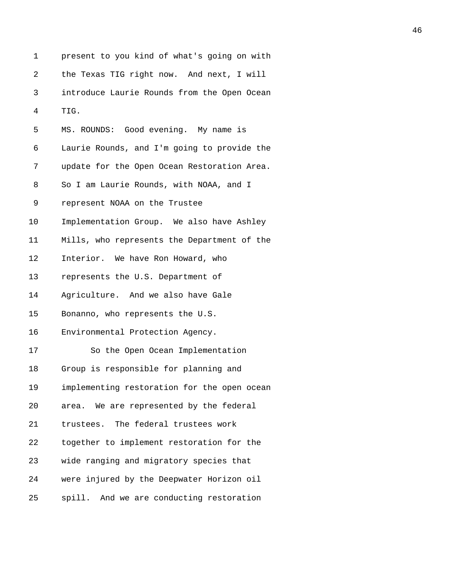| 1  | present to you kind of what's going on with |
|----|---------------------------------------------|
| 2  | the Texas TIG right now. And next, I will   |
| 3  | introduce Laurie Rounds from the Open Ocean |
| 4  | TIG.                                        |
| 5  | MS. ROUNDS: Good evening. My name is        |
| 6  | Laurie Rounds, and I'm going to provide the |
| 7  | update for the Open Ocean Restoration Area. |
| 8  | So I am Laurie Rounds, with NOAA, and I     |
| 9  | represent NOAA on the Trustee               |
| 10 | Implementation Group. We also have Ashley   |
| 11 | Mills, who represents the Department of the |
| 12 | Interior. We have Ron Howard, who           |
| 13 | represents the U.S. Department of           |
| 14 | Agriculture. And we also have Gale          |
| 15 | Bonanno, who represents the U.S.            |
| 16 | Environmental Protection Agency.            |
| 17 | So the Open Ocean Implementation            |
| 18 | Group is responsible for planning and       |
| 19 | implementing restoration for the open ocean |
| 20 | area. We are represented by the federal     |
| 21 | trustees. The federal trustees work         |
| 22 | together to implement restoration for the   |
| 23 | wide ranging and migratory species that     |
| 24 | were injured by the Deepwater Horizon oil   |
| 25 | spill. And we are conducting restoration    |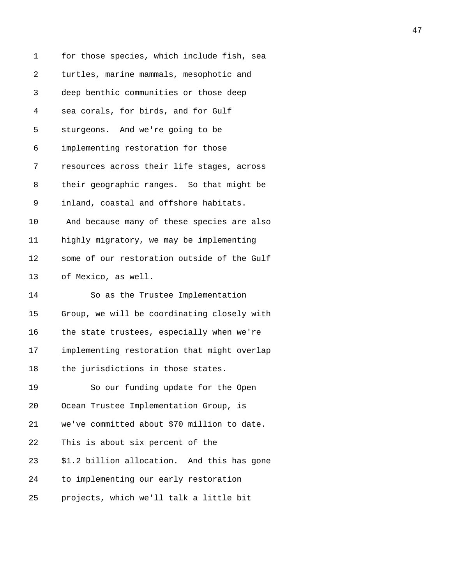| 1              | for those species, which include fish, sea  |
|----------------|---------------------------------------------|
| $\overline{2}$ | turtles, marine mammals, mesophotic and     |
| 3              | deep benthic communities or those deep      |
| 4              | sea corals, for birds, and for Gulf         |
| 5              | sturgeons. And we're going to be            |
| 6              | implementing restoration for those          |
| 7              | resources across their life stages, across  |
| 8              | their geographic ranges. So that might be   |
| 9              | inland, coastal and offshore habitats.      |
| 10             | And because many of these species are also  |
| 11             | highly migratory, we may be implementing    |
| 12             | some of our restoration outside of the Gulf |
| 13             | of Mexico, as well.                         |
| 14             | So as the Trustee Implementation            |
| 15             | Group, we will be coordinating closely with |
| 16             | the state trustees, especially when we're   |
| 17             | implementing restoration that might overlap |
| 18             | the jurisdictions in those states.          |
| 19             | So our funding update for the Open          |
| 20             | Ocean Trustee Implementation Group, is      |
| 21             | we've committed about \$70 million to date. |
| 22             | This is about six percent of the            |
| 23             | \$1.2 billion allocation. And this has gone |
| 24             | to implementing our early restoration       |
| 25             | projects, which we'll talk a little bit     |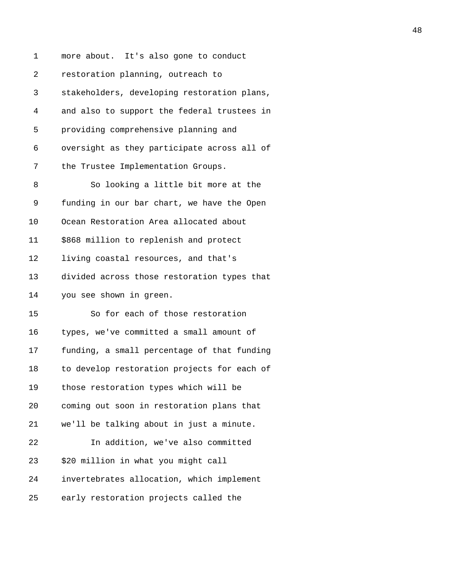| 1  | more about. It's also gone to conduct       |
|----|---------------------------------------------|
| 2  | restoration planning, outreach to           |
| 3  | stakeholders, developing restoration plans, |
| 4  | and also to support the federal trustees in |
| 5  | providing comprehensive planning and        |
| 6  | oversight as they participate across all of |
| 7  | the Trustee Implementation Groups.          |
| 8  | So looking a little bit more at the         |
| 9  | funding in our bar chart, we have the Open  |
| 10 | Ocean Restoration Area allocated about      |
| 11 | \$868 million to replenish and protect      |
| 12 | living coastal resources, and that's        |
| 13 | divided across those restoration types that |
| 14 | you see shown in green.                     |
| 15 | So for each of those restoration            |
| 16 | types, we've committed a small amount of    |
| 17 | funding, a small percentage of that funding |
| 18 | to develop restoration projects for each of |
| 19 | those restoration types which will be       |
| 20 | coming out soon in restoration plans that   |
| 21 | we'll be talking about in just a minute.    |
| 22 | In addition, we've also committed           |
| 23 | \$20 million in what you might call         |
| 24 | invertebrates allocation, which implement   |
| 25 | early restoration projects called the       |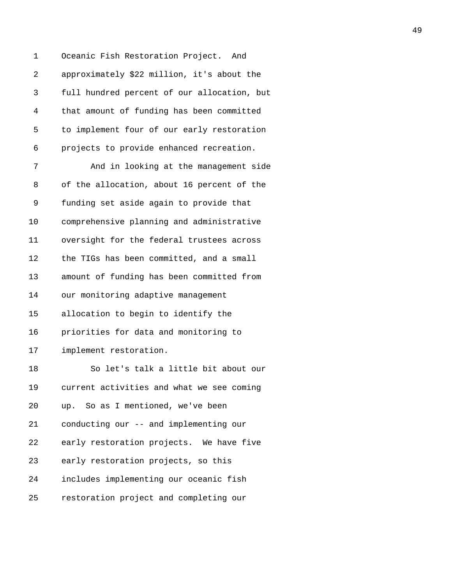1 Oceanic Fish Restoration Project. And 2 approximately \$22 million, it's about the 3 full hundred percent of our allocation, but 4 that amount of funding has been committed 5 to implement four of our early restoration 6 projects to provide enhanced recreation.

7 And in looking at the management side 8 of the allocation, about 16 percent of the 9 funding set aside again to provide that 10 comprehensive planning and administrative 11 oversight for the federal trustees across 12 the TIGs has been committed, and a small 13 amount of funding has been committed from 14 our monitoring adaptive management 15 allocation to begin to identify the 16 priorities for data and monitoring to 17 implement restoration. 18 So let's talk a little bit about our 19 current activities and what we see coming 20 up. So as I mentioned, we've been 21 conducting our -- and implementing our 22 early restoration projects. We have five 23 early restoration projects, so this 24 includes implementing our oceanic fish 25 restoration project and completing our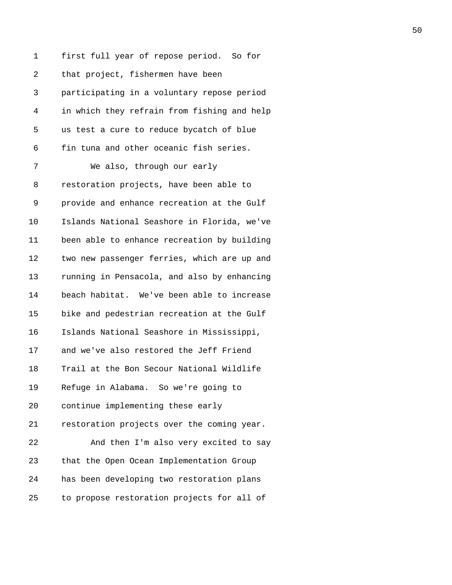1 first full year of repose period. So for 2 that project, fishermen have been 3 participating in a voluntary repose period 4 in which they refrain from fishing and help 5 us test a cure to reduce bycatch of blue 6 fin tuna and other oceanic fish series. 7 We also, through our early 8 restoration projects, have been able to 9 provide and enhance recreation at the Gulf 10 Islands National Seashore in Florida, we've 11 been able to enhance recreation by building 12 two new passenger ferries, which are up and 13 running in Pensacola, and also by enhancing 14 beach habitat. We've been able to increase 15 bike and pedestrian recreation at the Gulf 16 Islands National Seashore in Mississippi, 17 and we've also restored the Jeff Friend 18 Trail at the Bon Secour National Wildlife 19 Refuge in Alabama. So we're going to 20 continue implementing these early 21 restoration projects over the coming year. 22 And then I'm also very excited to say 23 that the Open Ocean Implementation Group 24 has been developing two restoration plans 25 to propose restoration projects for all of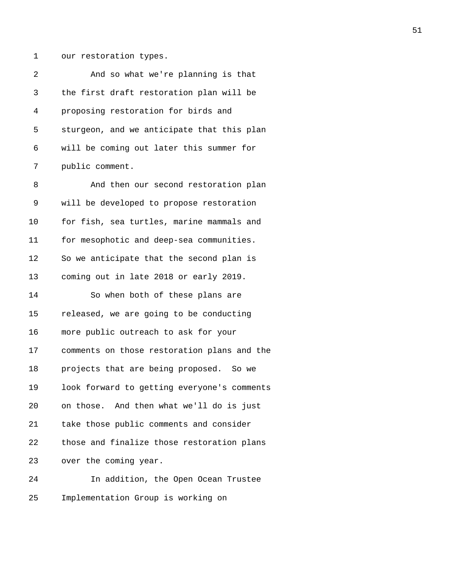1 our restoration types.

| 2  | And so what we're planning is that          |
|----|---------------------------------------------|
| 3  | the first draft restoration plan will be    |
| 4  | proposing restoration for birds and         |
| 5  | sturgeon, and we anticipate that this plan  |
| 6  | will be coming out later this summer for    |
| 7  | public comment.                             |
| 8  | And then our second restoration plan        |
| 9  | will be developed to propose restoration    |
| 10 | for fish, sea turtles, marine mammals and   |
| 11 | for mesophotic and deep-sea communities.    |
| 12 | So we anticipate that the second plan is    |
| 13 | coming out in late 2018 or early 2019.      |
| 14 | So when both of these plans are             |
| 15 | released, we are going to be conducting     |
| 16 | more public outreach to ask for your        |
| 17 | comments on those restoration plans and the |
| 18 | projects that are being proposed. So we     |
| 19 | look forward to getting everyone's comments |
| 20 | on those. And then what we'll do is just    |
| 21 | take those public comments and consider     |
| 22 | those and finalize those restoration plans  |

23 over the coming year.

24 In addition, the Open Ocean Trustee 25 Implementation Group is working on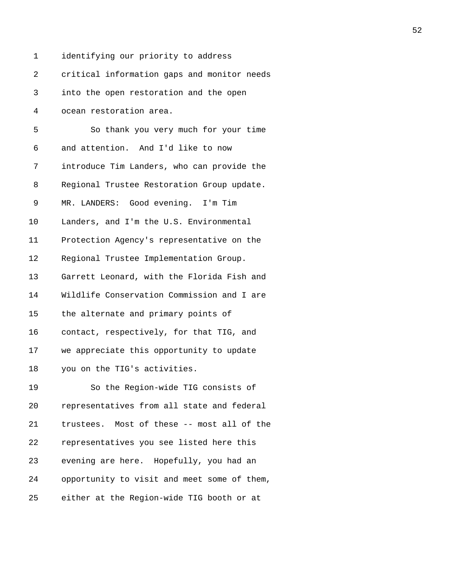1 identifying our priority to address 2 critical information gaps and monitor needs 3 into the open restoration and the open 4 ocean restoration area. 5 So thank you very much for your time 6 and attention. And I'd like to now 7 introduce Tim Landers, who can provide the 8 Regional Trustee Restoration Group update. 9 MR. LANDERS: Good evening. I'm Tim 10 Landers, and I'm the U.S. Environmental 11 Protection Agency's representative on the 12 Regional Trustee Implementation Group. 13 Garrett Leonard, with the Florida Fish and 14 Wildlife Conservation Commission and I are 15 the alternate and primary points of 16 contact, respectively, for that TIG, and 17 we appreciate this opportunity to update 18 you on the TIG's activities. 19 So the Region-wide TIG consists of 20 representatives from all state and federal 21 trustees. Most of these -- most all of the 22 representatives you see listed here this 23 evening are here. Hopefully, you had an 24 opportunity to visit and meet some of them,

25 either at the Region-wide TIG booth or at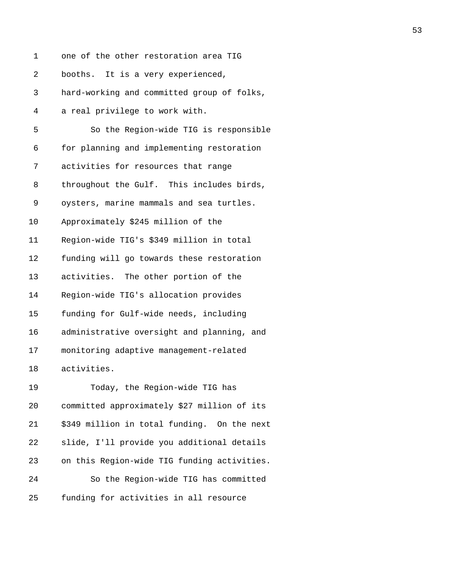| 1  | one of the other restoration area TIG       |
|----|---------------------------------------------|
| 2  | booths. It is a very experienced,           |
| 3  | hard-working and committed group of folks,  |
| 4  | a real privilege to work with.              |
| 5  | So the Region-wide TIG is responsible       |
| 6  | for planning and implementing restoration   |
| 7  | activities for resources that range         |
| 8  | throughout the Gulf. This includes birds,   |
| 9  | oysters, marine mammals and sea turtles.    |
| 10 | Approximately \$245 million of the          |
| 11 | Region-wide TIG's \$349 million in total    |
| 12 | funding will go towards these restoration   |
| 13 | activities. The other portion of the        |
| 14 | Region-wide TIG's allocation provides       |
| 15 | funding for Gulf-wide needs, including      |
| 16 | administrative oversight and planning, and  |
| 17 | monitoring adaptive management-related      |
| 18 | activities.                                 |
| 19 | Today, the Region-wide TIG has              |
| 20 | committed approximately \$27 million of its |
| 21 | \$349 million in total funding. On the next |
| 22 | slide, I'll provide you additional details  |
| 23 | on this Region-wide TIG funding activities. |
| 24 | So the Region-wide TIG has committed        |
| 25 | funding for activities in all resource      |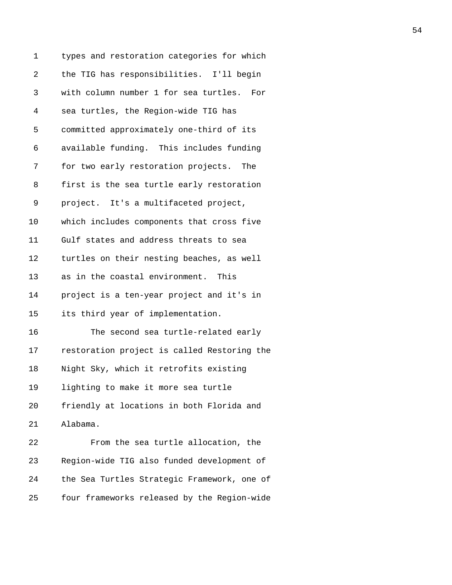| 1  | types and restoration categories for which   |
|----|----------------------------------------------|
| 2  | the TIG has responsibilities. I'll begin     |
| 3  | with column number 1 for sea turtles.<br>For |
| 4  | sea turtles, the Region-wide TIG has         |
| 5  | committed approximately one-third of its     |
| 6  | available funding. This includes funding     |
| 7  | for two early restoration projects. The      |
| 8  | first is the sea turtle early restoration    |
| 9  | project. It's a multifaceted project,        |
| 10 | which includes components that cross five    |
| 11 | Gulf states and address threats to sea       |
| 12 | turtles on their nesting beaches, as well    |
| 13 | as in the coastal environment. This          |
| 14 | project is a ten-year project and it's in    |
| 15 | its third year of implementation.            |
| 16 | The second sea turtle-related early          |
| 17 | restoration project is called Restoring the  |
| 18 | Night Sky, which it retrofits existing       |
| 19 | lighting to make it more sea turtle          |
| 20 | friendly at locations in both Florida and    |
| 21 | Alabama.                                     |
| 22 | From the sea turtle allocation, the          |
| 23 | Region-wide TIG also funded development of   |
| 24 | the Sea Turtles Strategic Framework, one of  |
| 25 | four frameworks released by the Region-wide  |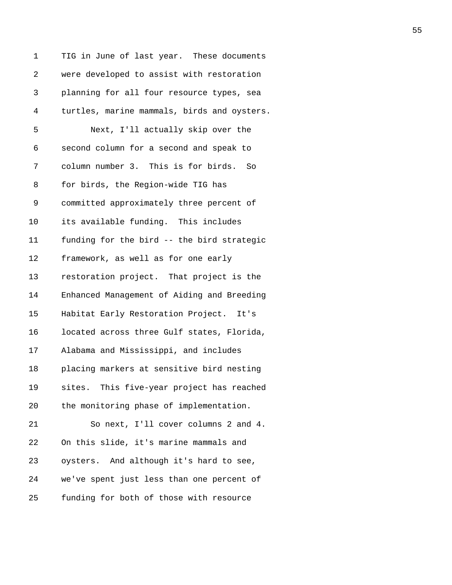| 1  | TIG in June of last year. These documents   |
|----|---------------------------------------------|
| 2  | were developed to assist with restoration   |
| 3  | planning for all four resource types, sea   |
| 4  | turtles, marine mammals, birds and oysters. |
| 5  | Next, I'll actually skip over the           |
| 6  | second column for a second and speak to     |
| 7  | column number 3. This is for birds. So      |
| 8  | for birds, the Region-wide TIG has          |
| 9  | committed approximately three percent of    |
| 10 | its available funding. This includes        |
| 11 | funding for the bird -- the bird strategic  |
| 12 | framework, as well as for one early         |
| 13 | restoration project. That project is the    |
| 14 | Enhanced Management of Aiding and Breeding  |
| 15 | Habitat Early Restoration Project. It's     |
| 16 | located across three Gulf states, Florida,  |
| 17 | Alabama and Mississippi, and includes       |
| 18 | placing markers at sensitive bird nesting   |
| 19 | sites. This five-year project has reached   |
| 20 | the monitoring phase of implementation.     |
| 21 | So next, I'll cover columns 2 and 4.        |
| 22 | On this slide, it's marine mammals and      |
| 23 | oysters. And although it's hard to see,     |
| 24 | we've spent just less than one percent of   |
| 25 | funding for both of those with resource     |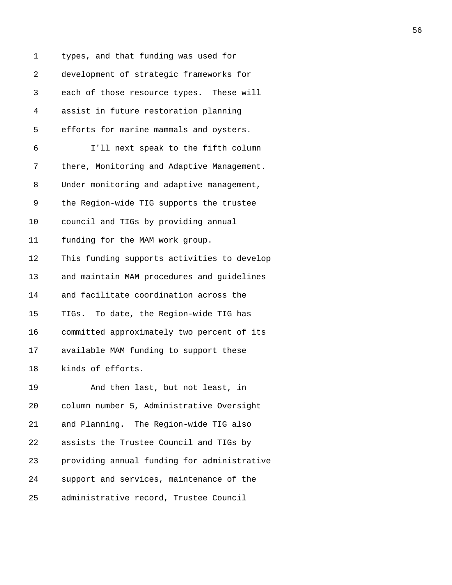| 1  | types, and that funding was used for        |
|----|---------------------------------------------|
| 2  | development of strategic frameworks for     |
| 3  | each of those resource types. These will    |
| 4  | assist in future restoration planning       |
| 5  | efforts for marine mammals and oysters.     |
| 6  | I'll next speak to the fifth column         |
| 7  | there, Monitoring and Adaptive Management.  |
| 8  | Under monitoring and adaptive management,   |
| 9  | the Region-wide TIG supports the trustee    |
| 10 | council and TIGs by providing annual        |
| 11 | funding for the MAM work group.             |
| 12 | This funding supports activities to develop |
| 13 | and maintain MAM procedures and guidelines  |
| 14 | and facilitate coordination across the      |
| 15 | TIGs. To date, the Region-wide TIG has      |
| 16 | committed approximately two percent of its  |
| 17 | available MAM funding to support these      |
| 18 | kinds of efforts.                           |
| 19 | And then last, but not least, in            |
| 20 | column number 5, Administrative Oversight   |
| 21 | and Planning. The Region-wide TIG also      |
| 22 | assists the Trustee Council and TIGs by     |
| 23 | providing annual funding for administrative |
| 24 | support and services, maintenance of the    |
| 25 | administrative record, Trustee Council      |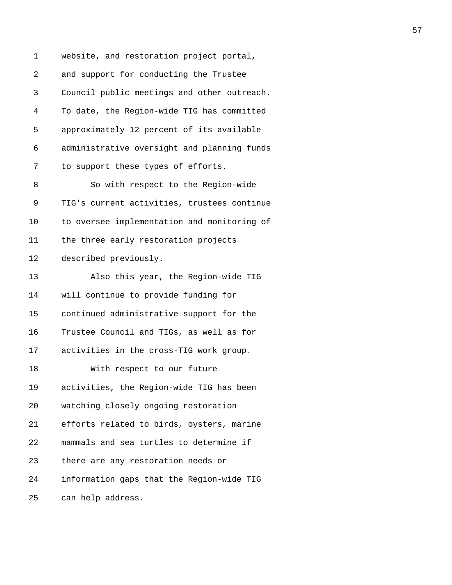1 website, and restoration project portal, 2 and support for conducting the Trustee 3 Council public meetings and other outreach. 4 To date, the Region-wide TIG has committed 5 approximately 12 percent of its available 6 administrative oversight and planning funds 7 to support these types of efforts. 8 So with respect to the Region-wide 9 TIG's current activities, trustees continue 10 to oversee implementation and monitoring of 11 the three early restoration projects 12 described previously. 13 Also this year, the Region-wide TIG 14 will continue to provide funding for 15 continued administrative support for the 16 Trustee Council and TIGs, as well as for 17 activities in the cross-TIG work group. 18 With respect to our future 19 activities, the Region-wide TIG has been 20 watching closely ongoing restoration 21 efforts related to birds, oysters, marine 22 mammals and sea turtles to determine if 23 there are any restoration needs or 24 information gaps that the Region-wide TIG 25 can help address.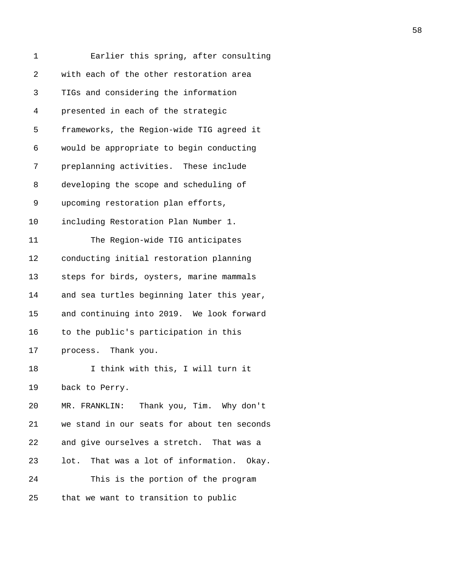| 1          | Earlier this spring, after consulting       |
|------------|---------------------------------------------|
| $\sqrt{2}$ | with each of the other restoration area     |
| 3          | TIGs and considering the information        |
| 4          | presented in each of the strategic          |
| 5          | frameworks, the Region-wide TIG agreed it   |
| 6          | would be appropriate to begin conducting    |
| 7          | preplanning activities. These include       |
| 8          | developing the scope and scheduling of      |
| 9          | upcoming restoration plan efforts,          |
| 10         | including Restoration Plan Number 1.        |
| 11         | The Region-wide TIG anticipates             |
| 12         | conducting initial restoration planning     |
| 13         | steps for birds, oysters, marine mammals    |
| 14         | and sea turtles beginning later this year,  |
| 15         | and continuing into 2019. We look forward   |
| 16         | to the public's participation in this       |
| 17         | process. Thank you.                         |
| 18         | I think with this, I will turn it           |
| 19         | back to Perry.                              |
| 20         | MR. FRANKLIN: Thank you, Tim. Why don't     |
| 21         | we stand in our seats for about ten seconds |
| 22         | and give ourselves a stretch. That was a    |
| 23         | lot. That was a lot of information. Okay.   |
| 24         | This is the portion of the program          |
| 25         | that we want to transition to public        |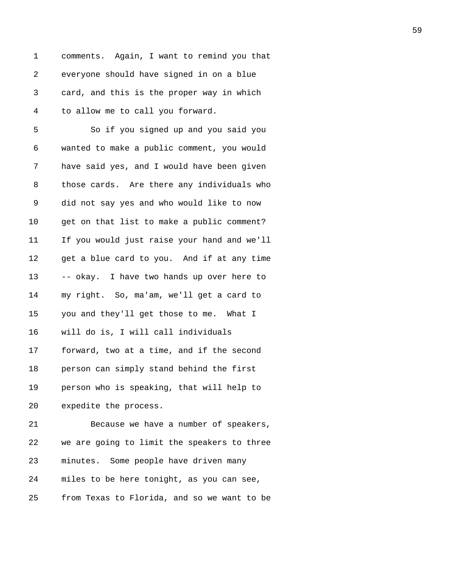1 comments. Again, I want to remind you that 2 everyone should have signed in on a blue 3 card, and this is the proper way in which 4 to allow me to call you forward.

5 So if you signed up and you said you 6 wanted to make a public comment, you would 7 have said yes, and I would have been given 8 those cards. Are there any individuals who 9 did not say yes and who would like to now 10 get on that list to make a public comment? 11 If you would just raise your hand and we'll 12 get a blue card to you. And if at any time 13 -- okay. I have two hands up over here to 14 my right. So, ma'am, we'll get a card to 15 you and they'll get those to me. What I 16 will do is, I will call individuals 17 forward, two at a time, and if the second 18 person can simply stand behind the first 19 person who is speaking, that will help to 20 expedite the process. 21 Because we have a number of speakers, 22 we are going to limit the speakers to three 23 minutes. Some people have driven many

24 miles to be here tonight, as you can see,

25 from Texas to Florida, and so we want to be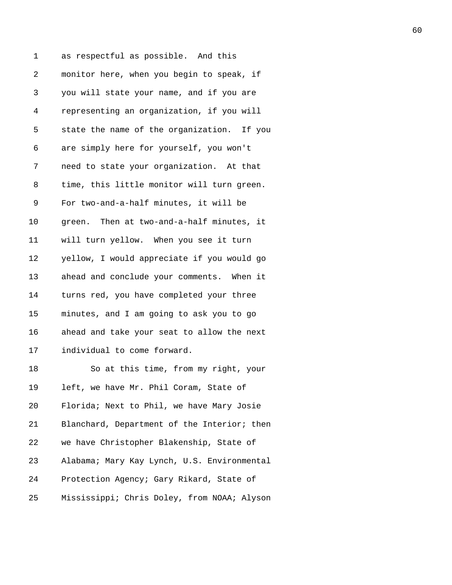1 as respectful as possible. And this 2 monitor here, when you begin to speak, if 3 you will state your name, and if you are 4 representing an organization, if you will 5 state the name of the organization. If you 6 are simply here for yourself, you won't 7 need to state your organization. At that 8 time, this little monitor will turn green. 9 For two-and-a-half minutes, it will be 10 green. Then at two-and-a-half minutes, it 11 will turn yellow. When you see it turn 12 yellow, I would appreciate if you would go 13 ahead and conclude your comments. When it 14 turns red, you have completed your three 15 minutes, and I am going to ask you to go 16 ahead and take your seat to allow the next 17 individual to come forward. 18 So at this time, from my right, your 19 left, we have Mr. Phil Coram, State of 20 Florida; Next to Phil, we have Mary Josie 21 Blanchard, Department of the Interior; then 22 we have Christopher Blakenship, State of 23 Alabama; Mary Kay Lynch, U.S. Environmental 24 Protection Agency; Gary Rikard, State of 25 Mississippi; Chris Doley, from NOAA; Alyson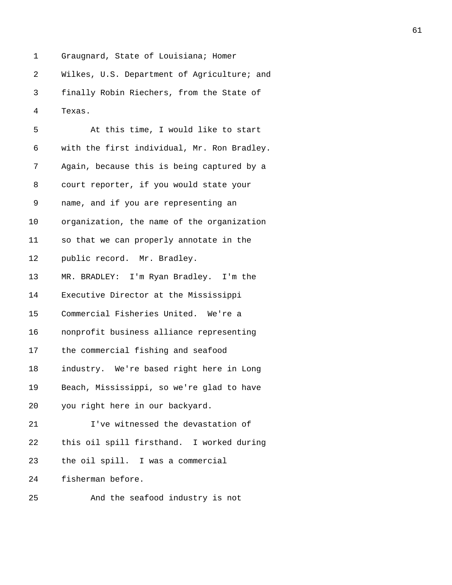1 Graugnard, State of Louisiana; Homer

2 Wilkes, U.S. Department of Agriculture; and

3 finally Robin Riechers, from the State of 4 Texas.

| 5      | At this time, I would like to start         |
|--------|---------------------------------------------|
| 6      | with the first individual, Mr. Ron Bradley. |
| 7      | Again, because this is being captured by a  |
| 8      | court reporter, if you would state your     |
| 9      | name, and if you are representing an        |
| 10     | organization, the name of the organization  |
| 11     | so that we can properly annotate in the     |
| $12\,$ | public record. Mr. Bradley.                 |
| 13     | MR. BRADLEY: I'm Ryan Bradley. I'm the      |
| 14     | Executive Director at the Mississippi       |
| 15     | Commercial Fisheries United. We're a        |
| 16     | nonprofit business alliance representing    |
| 17     | the commercial fishing and seafood          |
| 18     | industry. We're based right here in Long    |
| 19     | Beach, Mississippi, so we're glad to have   |
| 20     | you right here in our backyard.             |
| 21     | I've witnessed the devastation of           |
| 22     | this oil spill firsthand. I worked during   |
| 23     | the oil spill. I was a commercial           |
| 24     | fisherman before.                           |
| 25     | And the seafood industry is not             |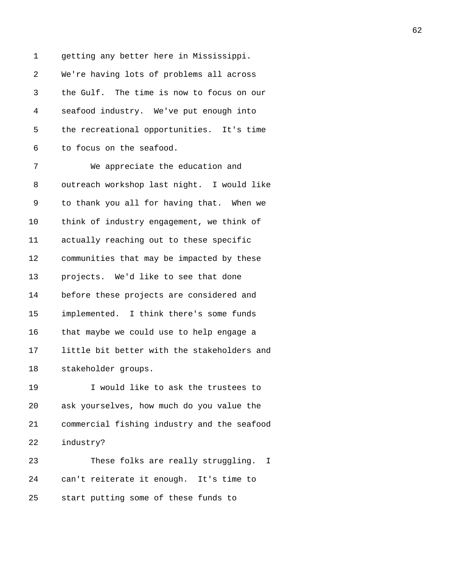1 getting any better here in Mississippi. 2 We're having lots of problems all across 3 the Gulf. The time is now to focus on our 4 seafood industry. We've put enough into 5 the recreational opportunities. It's time 6 to focus on the seafood. 7 We appreciate the education and 8 outreach workshop last night. I would like 9 to thank you all for having that. When we 10 think of industry engagement, we think of 11 actually reaching out to these specific 12 communities that may be impacted by these 13 projects. We'd like to see that done 14 before these projects are considered and 15 implemented. I think there's some funds 16 that maybe we could use to help engage a 17 little bit better with the stakeholders and 18 stakeholder groups. 19 I would like to ask the trustees to 20 ask yourselves, how much do you value the 21 commercial fishing industry and the seafood 22 industry? 23 These folks are really struggling. I

24 can't reiterate it enough. It's time to 25 start putting some of these funds to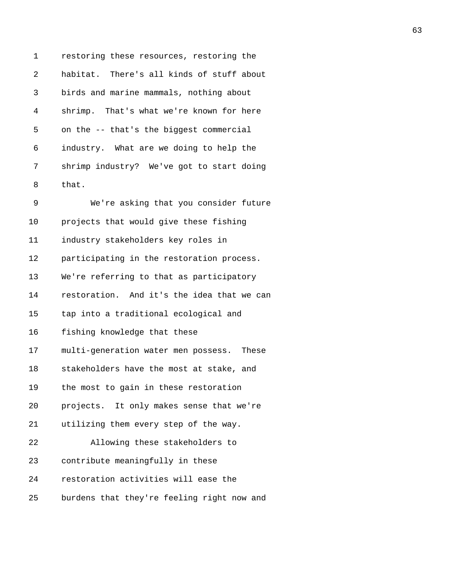1 restoring these resources, restoring the 2 habitat. There's all kinds of stuff about 3 birds and marine mammals, nothing about 4 shrimp. That's what we're known for here 5 on the -- that's the biggest commercial 6 industry. What are we doing to help the 7 shrimp industry? We've got to start doing 8 that. 9 We're asking that you consider future 10 projects that would give these fishing 11 industry stakeholders key roles in 12 participating in the restoration process. 13 We're referring to that as participatory 14 restoration. And it's the idea that we can 15 tap into a traditional ecological and 16 fishing knowledge that these 17 multi-generation water men possess. These 18 stakeholders have the most at stake, and 19 the most to gain in these restoration 20 projects. It only makes sense that we're 21 utilizing them every step of the way. 22 Allowing these stakeholders to 23 contribute meaningfully in these 24 restoration activities will ease the 25 burdens that they're feeling right now and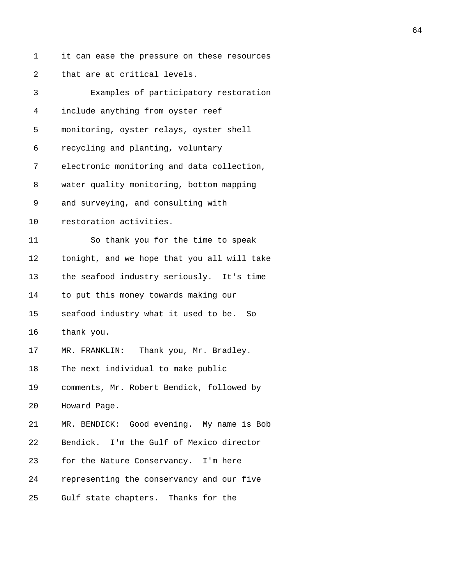| 1              | it can ease the pressure on these resources |
|----------------|---------------------------------------------|
| $\overline{2}$ | that are at critical levels.                |
| 3              | Examples of participatory restoration       |
| 4              | include anything from oyster reef           |
| 5              | monitoring, oyster relays, oyster shell     |
| 6              | recycling and planting, voluntary           |
| 7              | electronic monitoring and data collection,  |
| 8              | water quality monitoring, bottom mapping    |
| 9              | and surveying, and consulting with          |
| 10             | restoration activities.                     |
| 11             | So thank you for the time to speak          |
| 12             | tonight, and we hope that you all will take |
| 13             | the seafood industry seriously. It's time   |
| 14             | to put this money towards making our        |
| 15             | seafood industry what it used to be. So     |
| 16             | thank you.                                  |
| 17             | MR. FRANKLIN: Thank you, Mr. Bradley.       |
| 18             | The next individual to make public          |
| 19             | comments, Mr. Robert Bendick, followed by   |
| 20             | Howard Page.                                |
| 21             | MR. BENDICK: Good evening. My name is Bob   |
| 22             | Bendick. I'm the Gulf of Mexico director    |
| 23             | for the Nature Conservancy. I'm here        |
| 24             | representing the conservancy and our five   |
| 25             | Gulf state chapters. Thanks for the         |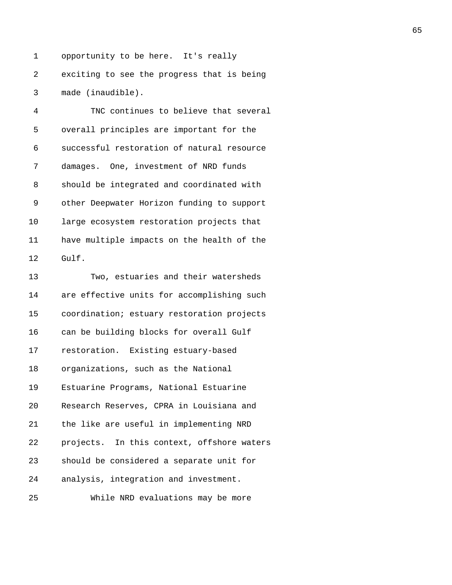1 opportunity to be here. It's really 2 exciting to see the progress that is being 3 made (inaudible).

4 TNC continues to believe that several 5 overall principles are important for the 6 successful restoration of natural resource 7 damages. One, investment of NRD funds 8 should be integrated and coordinated with 9 other Deepwater Horizon funding to support 10 large ecosystem restoration projects that 11 have multiple impacts on the health of the 12 Gulf.

13 Two, estuaries and their watersheds 14 are effective units for accomplishing such 15 coordination; estuary restoration projects 16 can be building blocks for overall Gulf 17 restoration. Existing estuary-based 18 organizations, such as the National 19 Estuarine Programs, National Estuarine 20 Research Reserves, CPRA in Louisiana and 21 the like are useful in implementing NRD 22 projects. In this context, offshore waters 23 should be considered a separate unit for 24 analysis, integration and investment. 25 While NRD evaluations may be more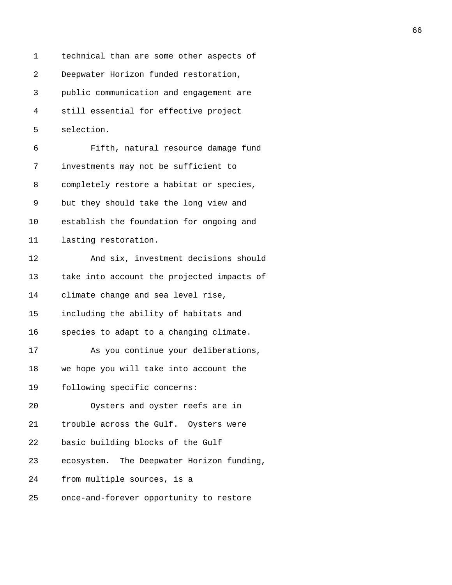1 technical than are some other aspects of 2 Deepwater Horizon funded restoration, 3 public communication and engagement are 4 still essential for effective project 5 selection. 6 Fifth, natural resource damage fund 7 investments may not be sufficient to 8 completely restore a habitat or species, 9 but they should take the long view and 10 establish the foundation for ongoing and 11 lasting restoration. 12 And six, investment decisions should 13 take into account the projected impacts of 14 climate change and sea level rise, 15 including the ability of habitats and 16 species to adapt to a changing climate. 17 As you continue your deliberations, 18 we hope you will take into account the 19 following specific concerns: 20 Oysters and oyster reefs are in 21 trouble across the Gulf. Oysters were 22 basic building blocks of the Gulf 23 ecosystem. The Deepwater Horizon funding, 24 from multiple sources, is a 25 once-and-forever opportunity to restore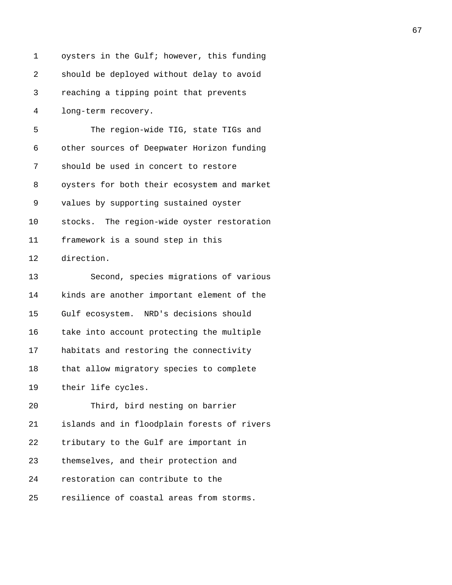| 1  | oysters in the Gulf; however, this funding  |
|----|---------------------------------------------|
| 2  | should be deployed without delay to avoid   |
| 3  | reaching a tipping point that prevents      |
| 4  | long-term recovery.                         |
| 5  | The region-wide TIG, state TIGs and         |
| 6  | other sources of Deepwater Horizon funding  |
| 7  | should be used in concert to restore        |
| 8  | oysters for both their ecosystem and market |
| 9  | values by supporting sustained oyster       |
| 10 | stocks. The region-wide oyster restoration  |
| 11 | framework is a sound step in this           |
| 12 | direction.                                  |
| 13 | Second, species migrations of various       |
| 14 | kinds are another important element of the  |
| 15 | Gulf ecosystem. NRD's decisions should      |
| 16 | take into account protecting the multiple   |
| 17 | habitats and restoring the connectivity     |
| 18 | that allow migratory species to complete    |
| 19 | their life cycles.                          |
| 20 | Third, bird nesting on barrier              |
| 21 | islands and in floodplain forests of rivers |
| 22 | tributary to the Gulf are important in      |
| 23 | themselves, and their protection and        |
| 24 | restoration can contribute to the           |
| 25 | resilience of coastal areas from storms.    |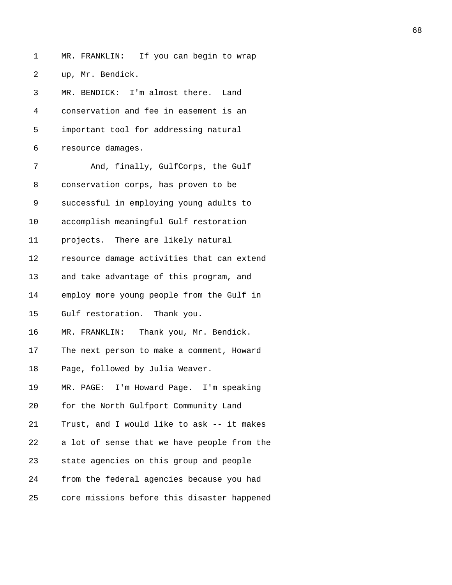1 MR. FRANKLIN: If you can begin to wrap 2 up, Mr. Bendick.

|                   | 3 MR. BENDICK: I'm almost there. Land  |
|-------------------|----------------------------------------|
| $4\degree$        | conservation and fee in easement is an |
| 5                 | important tool for addressing natural  |
| $6 \qquad \qquad$ | resource damages.                      |

7 And, finally, GulfCorps, the Gulf 8 conservation corps, has proven to be 9 successful in employing young adults to 10 accomplish meaningful Gulf restoration 11 projects. There are likely natural 12 resource damage activities that can extend 13 and take advantage of this program, and 14 employ more young people from the Gulf in 15 Gulf restoration. Thank you. 16 MR. FRANKLIN: Thank you, Mr. Bendick. 17 The next person to make a comment, Howard 18 Page, followed by Julia Weaver. 19 MR. PAGE: I'm Howard Page. I'm speaking 20 for the North Gulfport Community Land 21 Trust, and I would like to ask -- it makes 22 a lot of sense that we have people from the 23 state agencies on this group and people 24 from the federal agencies because you had 25 core missions before this disaster happened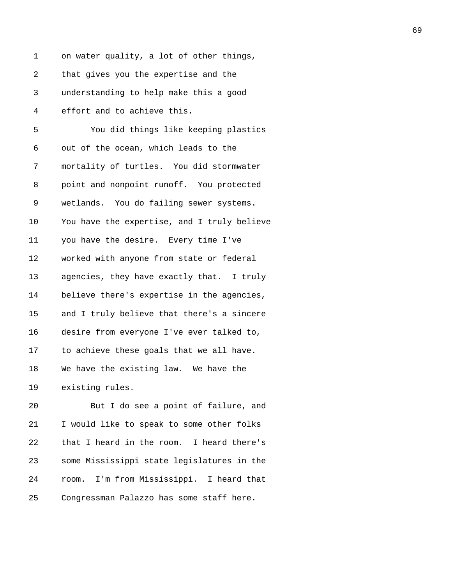| 1  | on water quality, a lot of other things,    |
|----|---------------------------------------------|
| 2  | that gives you the expertise and the        |
| 3  | understanding to help make this a good      |
| 4  | effort and to achieve this.                 |
| 5  | You did things like keeping plastics        |
| 6  | out of the ocean, which leads to the        |
| 7  | mortality of turtles. You did stormwater    |
| 8  | point and nonpoint runoff. You protected    |
| 9  | wetlands. You do failing sewer systems.     |
| 10 | You have the expertise, and I truly believe |
| 11 | you have the desire. Every time I've        |
| 12 | worked with anyone from state or federal    |
| 13 | agencies, they have exactly that. I truly   |
| 14 | believe there's expertise in the agencies,  |
| 15 | and I truly believe that there's a sincere  |
| 16 | desire from everyone I've ever talked to,   |
| 17 | to achieve these goals that we all have.    |
| 18 | We have the existing law. We have the       |
| 19 | existing rules.                             |
| 20 | But I do see a point of failure, and        |
| 21 | I would like to speak to some other folks   |

21 I would like to speak to some other folks 22 that I heard in the room. I heard there's 23 some Mississippi state legislatures in the 24 room. I'm from Mississippi. I heard that 25 Congressman Palazzo has some staff here.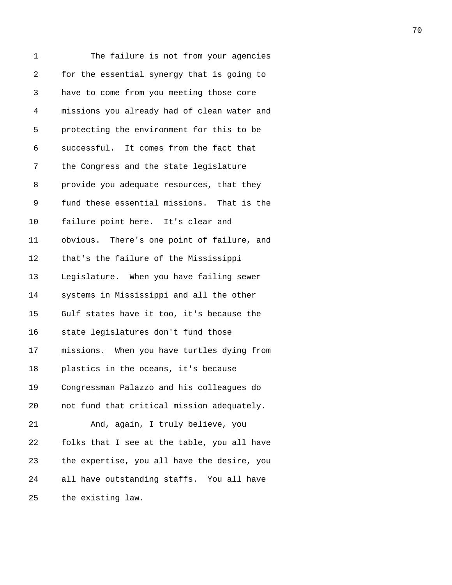| 1          | The failure is not from your agencies       |
|------------|---------------------------------------------|
| $\sqrt{2}$ | for the essential synergy that is going to  |
| 3          | have to come from you meeting those core    |
| 4          | missions you already had of clean water and |
| 5          | protecting the environment for this to be   |
| 6          | successful. It comes from the fact that     |
| 7          | the Congress and the state legislature      |
| 8          | provide you adequate resources, that they   |
| 9          | fund these essential missions. That is the  |
| 10         | failure point here. It's clear and          |
| 11         | obvious. There's one point of failure, and  |
| 12         | that's the failure of the Mississippi       |
| 13         | Legislature. When you have failing sewer    |
| 14         | systems in Mississippi and all the other    |
| 15         | Gulf states have it too, it's because the   |
| 16         | state legislatures don't fund those         |
| 17         | missions. When you have turtles dying from  |
| 18         | plastics in the oceans, it's because        |
| 19         | Congressman Palazzo and his colleagues do   |
| 20         | not fund that critical mission adequately.  |
| 21         | And, again, I truly believe, you            |
| 22         | folks that I see at the table, you all have |
| 23         | the expertise, you all have the desire, you |
| 24         | all have outstanding staffs. You all have   |
| 25         | the existing law.                           |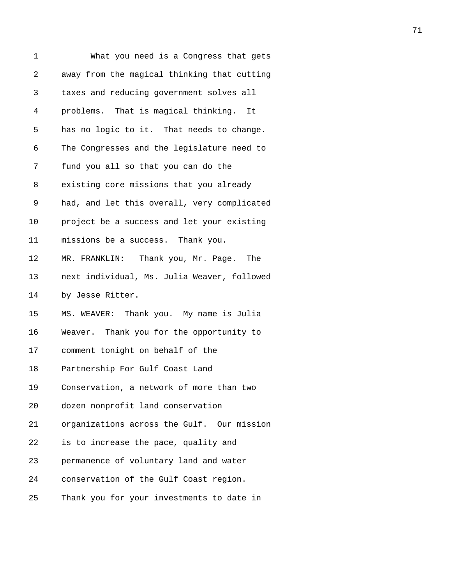| 1  | What you need is a Congress that gets        |
|----|----------------------------------------------|
| 2  | away from the magical thinking that cutting  |
| 3  | taxes and reducing government solves all     |
| 4  | problems. That is magical thinking. It       |
| 5  | has no logic to it. That needs to change.    |
| 6  | The Congresses and the legislature need to   |
| 7  | fund you all so that you can do the          |
| 8  | existing core missions that you already      |
| 9  | had, and let this overall, very complicated  |
| 10 | project be a success and let your existing   |
| 11 | missions be a success. Thank you.            |
| 12 | MR. FRANKLIN:<br>Thank you, Mr. Page.<br>The |
| 13 | next individual, Ms. Julia Weaver, followed  |
| 14 | by Jesse Ritter.                             |
| 15 | MS. WEAVER: Thank you. My name is Julia      |
| 16 | Weaver. Thank you for the opportunity to     |
| 17 | comment tonight on behalf of the             |
| 18 | Partnership For Gulf Coast Land              |
| 19 | Conservation, a network of more than two     |
| 20 | dozen nonprofit land conservation            |
| 21 | organizations across the Gulf. Our mission   |
| 22 | is to increase the pace, quality and         |
| 23 | permanence of voluntary land and water       |
| 24 | conservation of the Gulf Coast region.       |
| 25 | Thank you for your investments to date in    |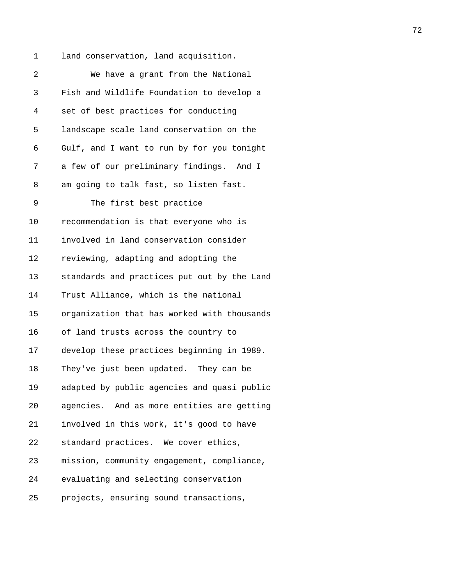1 land conservation, land acquisition. 2 We have a grant from the National 3 Fish and Wildlife Foundation to develop a 4 set of best practices for conducting 5 landscape scale land conservation on the 6 Gulf, and I want to run by for you tonight 7 a few of our preliminary findings. And I 8 am going to talk fast, so listen fast. 9 The first best practice 10 recommendation is that everyone who is 11 involved in land conservation consider 12 reviewing, adapting and adopting the 13 standards and practices put out by the Land 14 Trust Alliance, which is the national 15 organization that has worked with thousands 16 of land trusts across the country to 17 develop these practices beginning in 1989. 18 They've just been updated. They can be

19 adapted by public agencies and quasi public 20 agencies. And as more entities are getting 21 involved in this work, it's good to have 22 standard practices. We cover ethics,

23 mission, community engagement, compliance,

24 evaluating and selecting conservation

25 projects, ensuring sound transactions,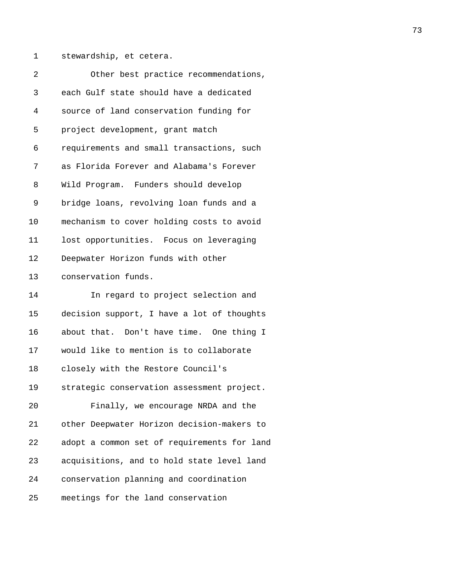1 stewardship, et cetera.

| 2  | Other best practice recommendations,        |
|----|---------------------------------------------|
| 3  | each Gulf state should have a dedicated     |
| 4  | source of land conservation funding for     |
| 5  | project development, grant match            |
| 6  | requirements and small transactions, such   |
| 7  | as Florida Forever and Alabama's Forever    |
| 8  | Wild Program. Funders should develop        |
| 9  | bridge loans, revolving loan funds and a    |
| 10 | mechanism to cover holding costs to avoid   |
| 11 | lost opportunities. Focus on leveraging     |
| 12 | Deepwater Horizon funds with other          |
| 13 | conservation funds.                         |
| 14 | In regard to project selection and          |
| 15 | decision support, I have a lot of thoughts  |
| 16 | about that. Don't have time. One thing I    |
| 17 | would like to mention is to collaborate     |
| 18 | closely with the Restore Council's          |
| 19 | strategic conservation assessment project.  |
| 20 | Finally, we encourage NRDA and the          |
| 21 | other Deepwater Horizon decision-makers to  |
| 22 | adopt a common set of requirements for land |
| 23 | acquisitions, and to hold state level land  |
| 24 | conservation planning and coordination      |
| 25 | meetings for the land conservation          |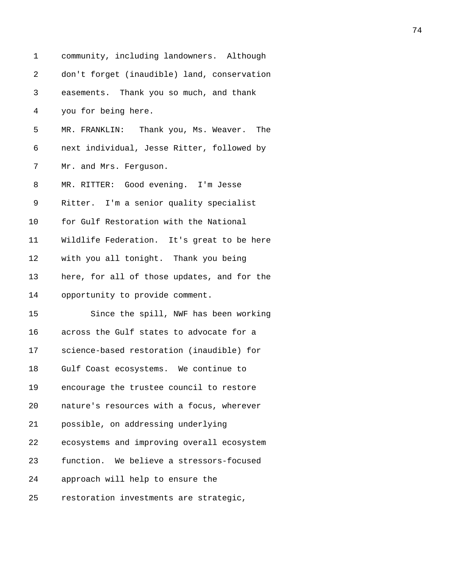| 1  | community, including landowners. Although   |
|----|---------------------------------------------|
| 2  | don't forget (inaudible) land, conservation |
| 3  | easements. Thank you so much, and thank     |
| 4  | you for being here.                         |
| 5  | MR. FRANKLIN: Thank you, Ms. Weaver. The    |
| 6  | next individual, Jesse Ritter, followed by  |
| 7  | Mr. and Mrs. Ferguson.                      |
| 8  | MR. RITTER: Good evening. I'm Jesse         |
| 9  | Ritter. I'm a senior quality specialist     |
| 10 | for Gulf Restoration with the National      |
| 11 | Wildlife Federation. It's great to be here  |
| 12 | with you all tonight. Thank you being       |
| 13 | here, for all of those updates, and for the |
| 14 | opportunity to provide comment.             |
| 15 | Since the spill, NWF has been working       |
| 16 | across the Gulf states to advocate for a    |
| 17 | science-based restoration (inaudible) for   |
| 18 | Gulf Coast ecosystems. We continue to       |
| 19 | encourage the trustee council to restore    |
| 20 | nature's resources with a focus, wherever   |
| 21 | possible, on addressing underlying          |
| 22 | ecosystems and improving overall ecosystem  |
| 23 | function. We believe a stressors-focused    |
| 24 | approach will help to ensure the            |
| 25 | restoration investments are strategic,      |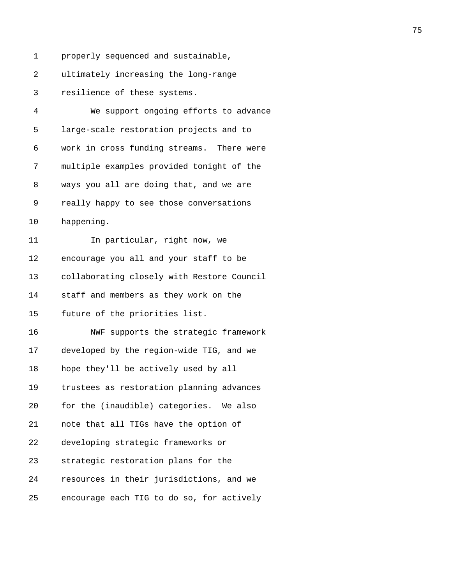1 properly sequenced and sustainable,

2 ultimately increasing the long-range

3 resilience of these systems.

| 4  | We support ongoing efforts to advance      |
|----|--------------------------------------------|
| 5  | large-scale restoration projects and to    |
| 6  | work in cross funding streams. There were  |
| 7  | multiple examples provided tonight of the  |
| 8  | ways you all are doing that, and we are    |
| 9  | really happy to see those conversations    |
| 10 | happening.                                 |
| 11 | In particular, right now, we               |
| 12 | encourage you all and your staff to be     |
| 13 | collaborating closely with Restore Council |
| 14 | staff and members as they work on the      |
| 15 | future of the priorities list.             |
| 16 | NWF supports the strategic framework       |
| 17 | developed by the region-wide TIG, and we   |
| 18 | hope they'll be actively used by all       |
| 19 | trustees as restoration planning advances  |
| 20 | for the (inaudible) categories. We also    |
| 21 | note that all TIGs have the option of      |
| 22 | developing strategic frameworks or         |
| 23 | strategic restoration plans for the        |
| 24 | resources in their jurisdictions, and we   |
| 25 | encourage each TIG to do so, for actively  |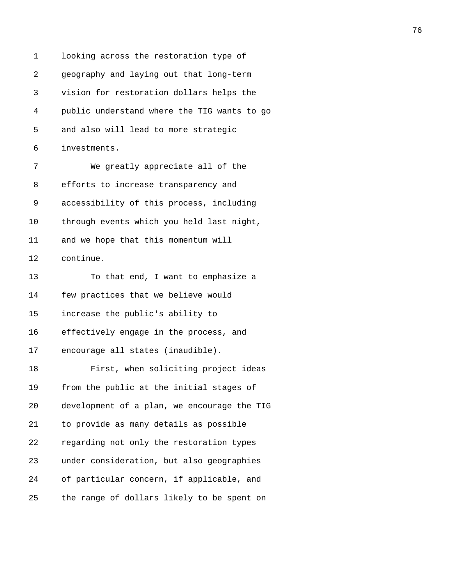1 looking across the restoration type of 2 geography and laying out that long-term 3 vision for restoration dollars helps the 4 public understand where the TIG wants to go 5 and also will lead to more strategic 6 investments. 7 We greatly appreciate all of the 8 efforts to increase transparency and 9 accessibility of this process, including 10 through events which you held last night, 11 and we hope that this momentum will 12 continue. 13 To that end, I want to emphasize a 14 few practices that we believe would 15 increase the public's ability to 16 effectively engage in the process, and 17 encourage all states (inaudible). 18 First, when soliciting project ideas 19 from the public at the initial stages of 20 development of a plan, we encourage the TIG 21 to provide as many details as possible 22 regarding not only the restoration types 23 under consideration, but also geographies 24 of particular concern, if applicable, and 25 the range of dollars likely to be spent on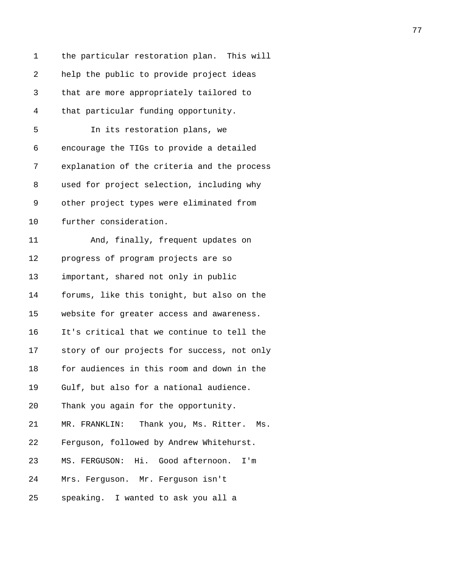| 1  | the particular restoration plan. This will  |
|----|---------------------------------------------|
| 2  | help the public to provide project ideas    |
| 3  | that are more appropriately tailored to     |
| 4  | that particular funding opportunity.        |
| 5  | In its restoration plans, we                |
| 6  | encourage the TIGs to provide a detailed    |
| 7  | explanation of the criteria and the process |
| 8  | used for project selection, including why   |
| 9  | other project types were eliminated from    |
| 10 | further consideration.                      |
| 11 | And, finally, frequent updates on           |
| 12 | progress of program projects are so         |
| 13 | important, shared not only in public        |
| 14 | forums, like this tonight, but also on the  |
| 15 | website for greater access and awareness.   |
| 16 | It's critical that we continue to tell the  |
| 17 | story of our projects for success, not only |
| 18 | for audiences in this room and down in the  |
| 19 | Gulf, but also for a national audience.     |
| 20 | Thank you again for the opportunity.        |
| 21 | MR. FRANKLIN: Thank you, Ms. Ritter. Ms.    |
| 22 | Ferguson, followed by Andrew Whitehurst.    |
| 23 | MS. FERGUSON: Hi. Good afternoon.<br>I'm    |
| 24 | Mrs. Ferguson. Mr. Ferguson isn't           |
| 25 | speaking. I wanted to ask you all a         |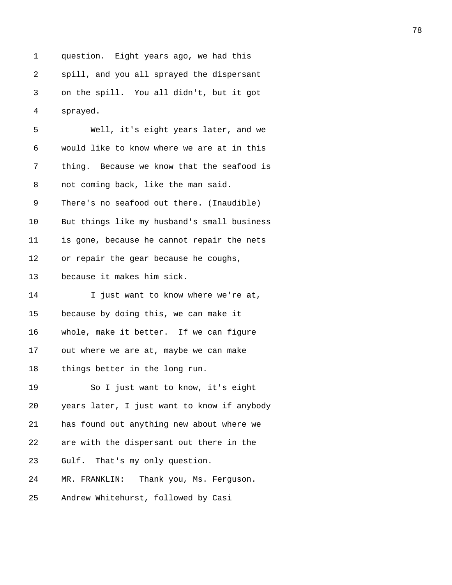1 question. Eight years ago, we had this 2 spill, and you all sprayed the dispersant 3 on the spill. You all didn't, but it got 4 sprayed.

| 5  | Well, it's eight years later, and we        |
|----|---------------------------------------------|
| 6  | would like to know where we are at in this  |
| 7  | thing. Because we know that the seafood is  |
| 8  | not coming back, like the man said.         |
| 9  | There's no seafood out there. (Inaudible)   |
| 10 | But things like my husband's small business |
| 11 | is gone, because he cannot repair the nets  |
| 12 | or repair the gear because he coughs,       |
| 13 | because it makes him sick.                  |
| 14 | I just want to know where we're at,         |
| 15 | because by doing this, we can make it       |
| 16 | whole, make it better. If we can figure     |
| 17 | out where we are at, maybe we can make      |
| 18 | things better in the long run.              |
| 19 | So I just want to know, it's eight          |
| 20 | years later, I just want to know if anybody |
| 21 | has found out anything new about where we   |
| 22 | are with the dispersant out there in the    |
| 23 | Gulf. That's my only question.              |
| 24 | MR. FRANKLIN:<br>Thank you, Ms. Ferguson.   |
| 25 | Andrew Whitehurst, followed by Casi         |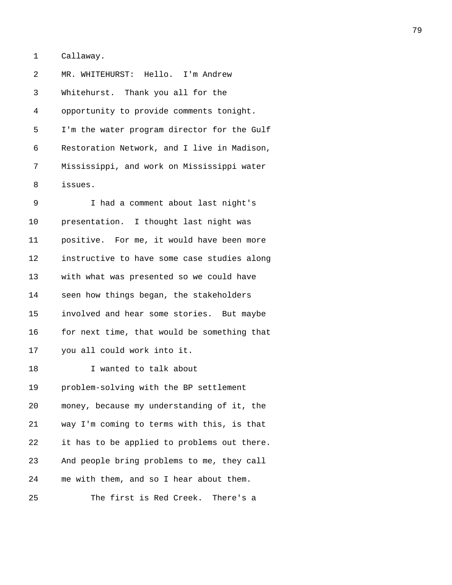1 Callaway.

2 MR. WHITEHURST: Hello. I'm Andrew 3 Whitehurst. Thank you all for the 4 opportunity to provide comments tonight. 5 I'm the water program director for the Gulf 6 Restoration Network, and I live in Madison, 7 Mississippi, and work on Mississippi water 8 issues.

9 I had a comment about last night's 10 presentation. I thought last night was 11 positive. For me, it would have been more 12 instructive to have some case studies along 13 with what was presented so we could have 14 seen how things began, the stakeholders 15 involved and hear some stories. But maybe 16 for next time, that would be something that 17 you all could work into it. 18 I wanted to talk about 19 problem-solving with the BP settlement 20 money, because my understanding of it, the 21 way I'm coming to terms with this, is that 22 it has to be applied to problems out there. 23 And people bring problems to me, they call 24 me with them, and so I hear about them. 25 The first is Red Creek. There's a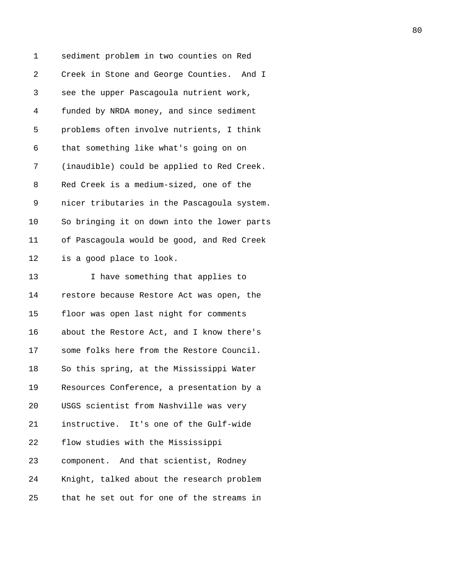1 sediment problem in two counties on Red 2 Creek in Stone and George Counties. And I 3 see the upper Pascagoula nutrient work, 4 funded by NRDA money, and since sediment 5 problems often involve nutrients, I think 6 that something like what's going on on 7 (inaudible) could be applied to Red Creek. 8 Red Creek is a medium-sized, one of the 9 nicer tributaries in the Pascagoula system. 10 So bringing it on down into the lower parts 11 of Pascagoula would be good, and Red Creek 12 is a good place to look. 13 I have something that applies to 14 restore because Restore Act was open, the 15 floor was open last night for comments 16 about the Restore Act, and I know there's 17 some folks here from the Restore Council. 18 So this spring, at the Mississippi Water 19 Resources Conference, a presentation by a 20 USGS scientist from Nashville was very 21 instructive. It's one of the Gulf-wide 22 flow studies with the Mississippi 23 component. And that scientist, Rodney 24 Knight, talked about the research problem 25 that he set out for one of the streams in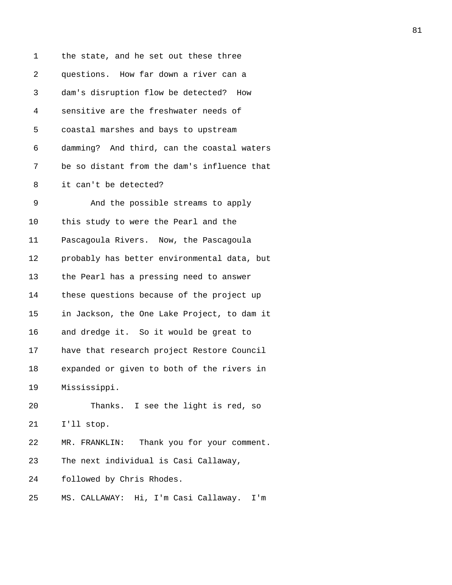| 1  | the state, and he set out these three       |
|----|---------------------------------------------|
| 2  | questions. How far down a river can a       |
| 3  | dam's disruption flow be detected? How      |
| 4  | sensitive are the freshwater needs of       |
| 5  | coastal marshes and bays to upstream        |
| 6  | damming? And third, can the coastal waters  |
| 7  | be so distant from the dam's influence that |
| 8  | it can't be detected?                       |
| 9  | And the possible streams to apply           |
| 10 | this study to were the Pearl and the        |
| 11 | Pascagoula Rivers. Now, the Pascagoula      |
| 12 | probably has better environmental data, but |
| 13 | the Pearl has a pressing need to answer     |
| 14 | these questions because of the project up   |
| 15 | in Jackson, the One Lake Project, to dam it |
| 16 | and dredge it. So it would be great to      |
| 17 | have that research project Restore Council  |
| 18 | expanded or given to both of the rivers in  |
| 19 | Mississippi.                                |
| 20 | Thanks. I see the light is red, so          |
| 21 | I'll stop.                                  |
| 22 | MR. FRANKLIN: Thank you for your comment.   |
| 23 | The next individual is Casi Callaway,       |
| 24 | followed by Chris Rhodes.                   |
| 25 | MS. CALLAWAY: Hi, I'm Casi Callaway.<br>I'm |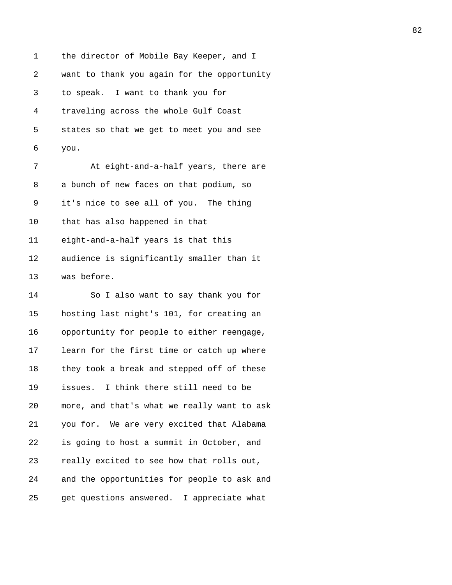1 the director of Mobile Bay Keeper, and I 2 want to thank you again for the opportunity 3 to speak. I want to thank you for 4 traveling across the whole Gulf Coast 5 states so that we get to meet you and see 6 you. 7 At eight-and-a-half years, there are 8 a bunch of new faces on that podium, so 9 it's nice to see all of you. The thing 10 that has also happened in that 11 eight-and-a-half years is that this 12 audience is significantly smaller than it 13 was before. 14 So I also want to say thank you for

15 hosting last night's 101, for creating an 16 opportunity for people to either reengage, 17 learn for the first time or catch up where 18 they took a break and stepped off of these 19 issues. I think there still need to be 20 more, and that's what we really want to ask 21 you for. We are very excited that Alabama 22 is going to host a summit in October, and 23 really excited to see how that rolls out, 24 and the opportunities for people to ask and 25 get questions answered. I appreciate what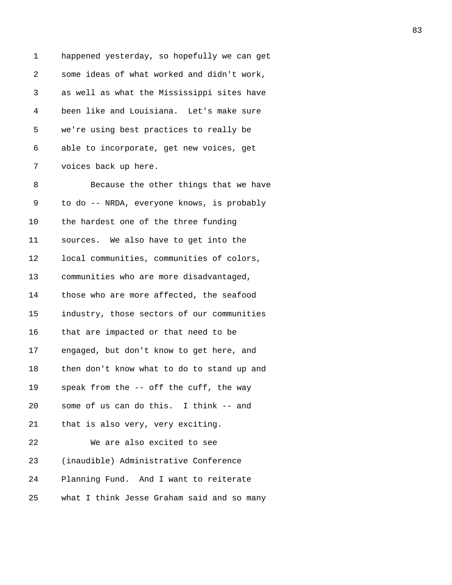| 1      | happened yesterday, so hopefully we can get |
|--------|---------------------------------------------|
| 2      | some ideas of what worked and didn't work,  |
| 3      | as well as what the Mississippi sites have  |
| 4      | been like and Louisiana. Let's make sure    |
| 5      | we're using best practices to really be     |
| 6      | able to incorporate, get new voices, get    |
| 7      | voices back up here.                        |
| 8      | Because the other things that we have       |
| 9      | to do -- NRDA, everyone knows, is probably  |
| 10     | the hardest one of the three funding        |
| 11     | sources. We also have to get into the       |
| 12     | local communities, communities of colors,   |
| 13     | communities who are more disadvantaged,     |
| 14     | those who are more affected, the seafood    |
| 15     | industry, those sectors of our communities  |
| 16     | that are impacted or that need to be        |
| 17     | engaged, but don't know to get here, and    |
| $18\,$ | then don't know what to do to stand up and  |
| 19     | speak from the -- off the cuff, the way     |
| 20     | some of us can do this. I think -- and      |
| 21     | that is also very, very exciting.           |
| 22     | We are also excited to see                  |
| 23     | (inaudible) Administrative Conference       |
| 24     | Planning Fund. And I want to reiterate      |
| 25     | what I think Jesse Graham said and so many  |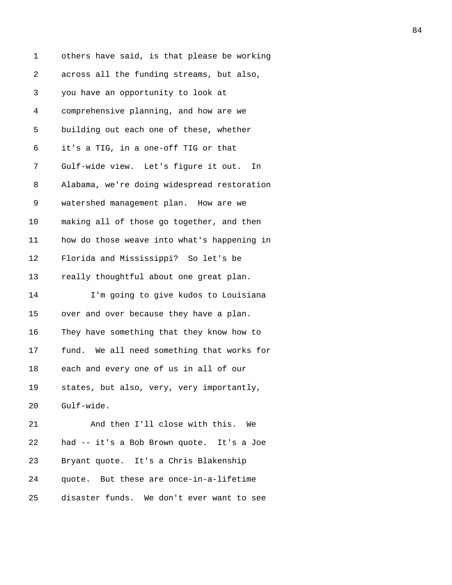| 1          | others have said, is that please be working |
|------------|---------------------------------------------|
| $\sqrt{2}$ | across all the funding streams, but also,   |
| 3          | you have an opportunity to look at          |
| 4          | comprehensive planning, and how are we      |
| 5          | building out each one of these, whether     |
| 6          | it's a TIG, in a one-off TIG or that        |
| 7          | Gulf-wide view. Let's figure it out.<br>In  |
| 8          | Alabama, we're doing widespread restoration |
| 9          | watershed management plan. How are we       |
| 10         | making all of those go together, and then   |
| 11         | how do those weave into what's happening in |
| 12         | Florida and Mississippi? So let's be        |
| 13         | really thoughtful about one great plan.     |
| 14         | I'm going to give kudos to Louisiana        |
| 15         | over and over because they have a plan.     |
| 16         | They have something that they know how to   |
| 17         | fund. We all need something that works for  |
| 18         | each and every one of us in all of our      |
| 19         | states, but also, very, very importantly,   |
| 20         | Gulf-wide.                                  |
| 21         | And then I'll close with this. We           |
| 22         | had -- it's a Bob Brown quote. It's a Joe   |
| 23         | Bryant quote. It's a Chris Blakenship       |
| 24         | quote. But these are once-in-a-lifetime     |
| 25         | disaster funds. We don't ever want to see   |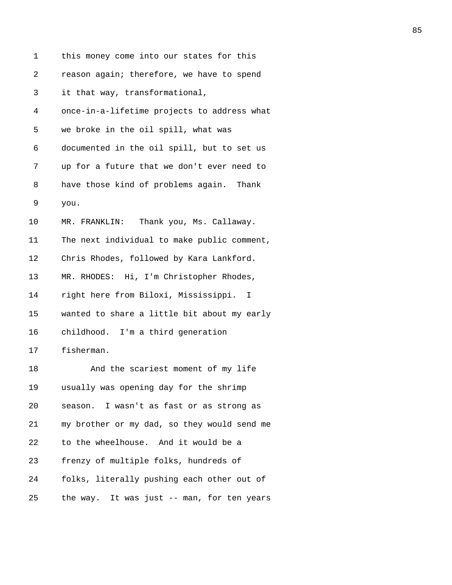| 1  | this money come into our states for this    |
|----|---------------------------------------------|
| 2  | reason again; therefore, we have to spend   |
| 3  | it that way, transformational,              |
| 4  | once-in-a-lifetime projects to address what |
| 5  | we broke in the oil spill, what was         |
| 6  | documented in the oil spill, but to set us  |
| 7  | up for a future that we don't ever need to  |
| 8  | have those kind of problems again. Thank    |
| 9  | you.                                        |
| 10 | MR. FRANKLIN: Thank you, Ms. Callaway.      |
| 11 | The next individual to make public comment, |
| 12 | Chris Rhodes, followed by Kara Lankford.    |
| 13 | MR. RHODES: Hi, I'm Christopher Rhodes,     |
| 14 | right here from Biloxi, Mississippi. I      |
| 15 | wanted to share a little bit about my early |
| 16 | childhood. I'm a third generation           |
| 17 | fisherman.                                  |
| 18 | And the scariest moment of my life          |
| 19 | usually was opening day for the shrimp      |
| 20 | season. I wasn't as fast or as strong as    |
| 21 | my brother or my dad, so they would send me |
| 22 | to the wheelhouse. And it would be a        |
| 23 | frenzy of multiple folks, hundreds of       |
| 24 | folks, literally pushing each other out of  |
| 25 | the way. It was just -- man, for ten years  |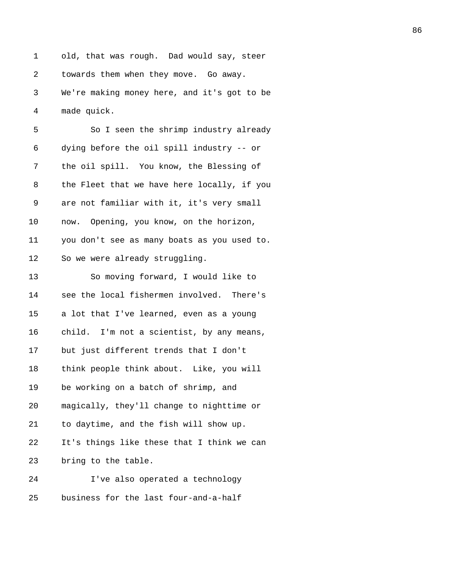1 old, that was rough. Dad would say, steer 2 towards them when they move. Go away. 3 We're making money here, and it's got to be 4 made quick.

| 5  | So I seen the shrimp industry already       |
|----|---------------------------------------------|
| 6  | dying before the oil spill industry -- or   |
| 7  | the oil spill. You know, the Blessing of    |
| 8  | the Fleet that we have here locally, if you |
| 9  | are not familiar with it, it's very small   |
| 10 | now. Opening, you know, on the horizon,     |
| 11 | you don't see as many boats as you used to. |
| 12 | So we were already struggling.              |
| 13 | So moving forward, I would like to          |
| 14 | see the local fishermen involved. There's   |
| 15 | a lot that I've learned, even as a young    |
| 16 | child. I'm not a scientist, by any means,   |
| 17 | but just different trends that I don't      |
| 18 | think people think about. Like, you will    |
| 19 | be working on a batch of shrimp, and        |
| 20 | magically, they'll change to nighttime or   |
| 21 | to daytime, and the fish will show up.      |
| 22 | It's things like these that I think we can  |
| 23 | bring to the table.                         |
| 24 | I've also operated a technology             |
| 25 | business for the last four-and-a-half       |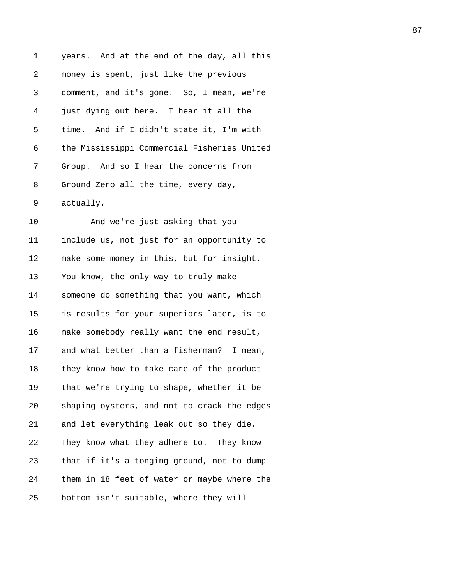| 1  | years. And at the end of the day, all this  |
|----|---------------------------------------------|
| 2  | money is spent, just like the previous      |
| 3  | comment, and it's gone. So, I mean, we're   |
| 4  | just dying out here. I hear it all the      |
| 5  | time. And if I didn't state it, I'm with    |
| 6  | the Mississippi Commercial Fisheries United |
| 7  | Group. And so I hear the concerns from      |
| 8  | Ground Zero all the time, every day,        |
| 9  | actually.                                   |
| 10 | And we're just asking that you              |
| 11 | include us, not just for an opportunity to  |
| 12 | make some money in this, but for insight.   |
| 13 | You know, the only way to truly make        |
| 14 | someone do something that you want, which   |
| 15 | is results for your superiors later, is to  |
| 16 | make somebody really want the end result,   |
| 17 | and what better than a fisherman? I mean,   |
| 18 | they know how to take care of the product   |
| 19 | that we're trying to shape, whether it be   |
| 20 | shaping oysters, and not to crack the edges |
| 21 | and let everything leak out so they die.    |
| 22 | They know what they adhere to. They know    |
| 23 | that if it's a tonging ground, not to dump  |
| 24 | them in 18 feet of water or maybe where the |
| 25 | bottom isn't suitable, where they will      |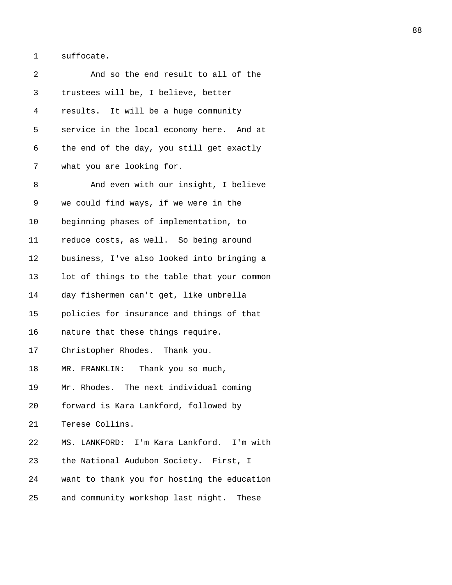1 suffocate.

| 2  | And so the end result to all of the         |
|----|---------------------------------------------|
| 3  | trustees will be, I believe, better         |
| 4  | results. It will be a huge community        |
| 5  | service in the local economy here. And at   |
| 6  | the end of the day, you still get exactly   |
| 7  | what you are looking for.                   |
| 8  | And even with our insight, I believe        |
| 9  | we could find ways, if we were in the       |
| 10 | beginning phases of implementation, to      |
| 11 | reduce costs, as well. So being around      |
| 12 | business, I've also looked into bringing a  |
| 13 | lot of things to the table that your common |
| 14 | day fishermen can't get, like umbrella      |
| 15 | policies for insurance and things of that   |
| 16 | nature that these things require.           |
| 17 | Christopher Rhodes. Thank you.              |
| 18 | MR. FRANKLIN: Thank you so much,            |
| 19 | Mr. Rhodes. The next individual coming      |
| 20 | forward is Kara Lankford, followed by       |
| 21 | Terese Collins.                             |
| 22 | MS. LANKFORD: I'm Kara Lankford. I'm with   |
| 23 | the National Audubon Society. First, I      |
| 24 | want to thank you for hosting the education |
| 25 | and community workshop last night. These    |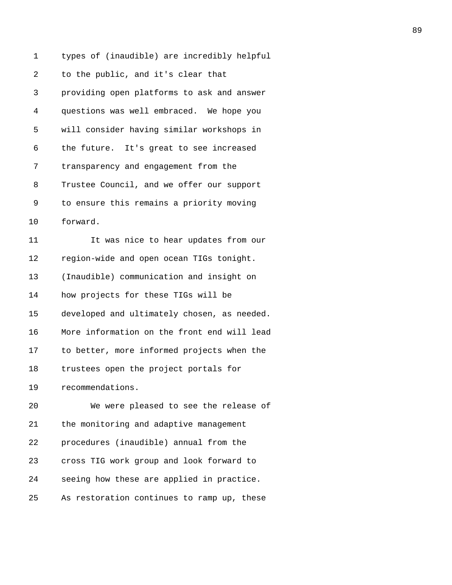1 types of (inaudible) are incredibly helpful 2 to the public, and it's clear that 3 providing open platforms to ask and answer 4 questions was well embraced. We hope you 5 will consider having similar workshops in 6 the future. It's great to see increased 7 transparency and engagement from the 8 Trustee Council, and we offer our support 9 to ensure this remains a priority moving 10 forward. 11 It was nice to hear updates from our 12 region-wide and open ocean TIGs tonight. 13 (Inaudible) communication and insight on 14 how projects for these TIGs will be 15 developed and ultimately chosen, as needed. 16 More information on the front end will lead 17 to better, more informed projects when the 18 trustees open the project portals for 19 recommendations. 20 We were pleased to see the release of 21 the monitoring and adaptive management 22 procedures (inaudible) annual from the 23 cross TIG work group and look forward to 24 seeing how these are applied in practice. 25 As restoration continues to ramp up, these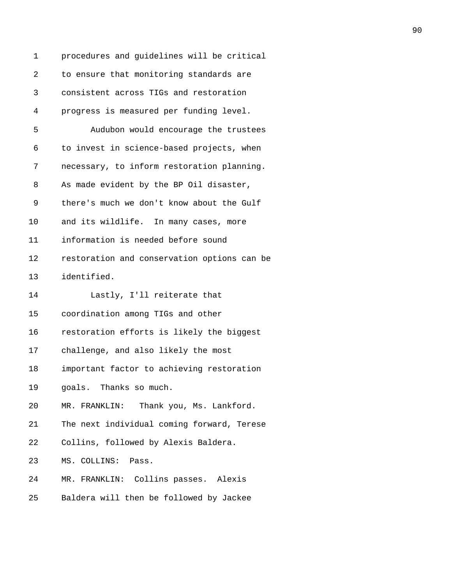| 1  | procedures and guidelines will be critical  |
|----|---------------------------------------------|
| 2  | to ensure that monitoring standards are     |
| 3  | consistent across TIGs and restoration      |
| 4  | progress is measured per funding level.     |
| 5  | Audubon would encourage the trustees        |
| 6  | to invest in science-based projects, when   |
| 7  | necessary, to inform restoration planning.  |
| 8  | As made evident by the BP Oil disaster,     |
| 9  | there's much we don't know about the Gulf   |
| 10 | and its wildlife. In many cases, more       |
| 11 | information is needed before sound          |
| 12 | restoration and conservation options can be |
| 13 | identified.                                 |
| 14 | Lastly, I'll reiterate that                 |
| 15 | coordination among TIGs and other           |
| 16 | restoration efforts is likely the biggest   |
| 17 | challenge, and also likely the most         |
| 18 | important factor to achieving restoration   |
| 19 | goals. Thanks so much.                      |
| 20 | MR. FRANKLIN: Thank you, Ms. Lankford.      |
| 21 | The next individual coming forward, Terese  |
| 22 | Collins, followed by Alexis Baldera.        |
| 23 | MS. COLLINS: Pass.                          |
| 24 | MR. FRANKLIN: Collins passes. Alexis        |
| 25 | Baldera will then be followed by Jackee     |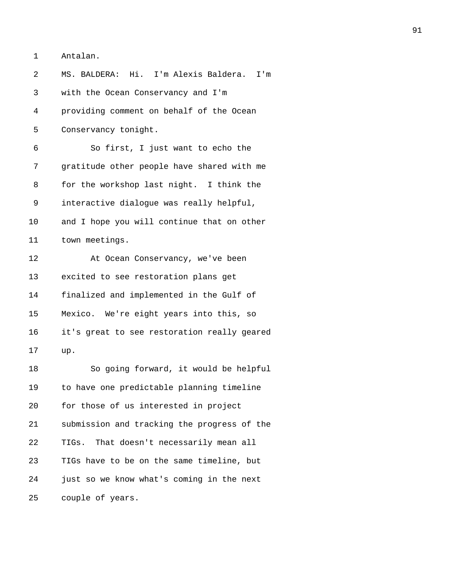1 Antalan.

| 2  | MS. BALDERA: Hi. I'm Alexis Baldera.<br>I'm |
|----|---------------------------------------------|
| 3  | with the Ocean Conservancy and I'm          |
| 4  | providing comment on behalf of the Ocean    |
| 5  | Conservancy tonight.                        |
| 6  | So first, I just want to echo the           |
| 7  | gratitude other people have shared with me  |
| 8  | for the workshop last night. I think the    |
| 9  | interactive dialogue was really helpful,    |
| 10 | and I hope you will continue that on other  |
| 11 | town meetings.                              |
| 12 | At Ocean Conservancy, we've been            |
| 13 | excited to see restoration plans get        |
| 14 | finalized and implemented in the Gulf of    |
| 15 | Mexico. We're eight years into this, so     |
| 16 | it's great to see restoration really geared |
| 17 | up.                                         |
| 18 | So going forward, it would be helpful       |
| 19 | to have one predictable planning timeline   |
| 20 | for those of us interested in project       |
| 21 | submission and tracking the progress of the |
| 22 | TIGs. That doesn't necessarily mean all     |
| 23 | TIGs have to be on the same timeline, but   |
| 24 | just so we know what's coming in the next   |
| 25 | couple of years.                            |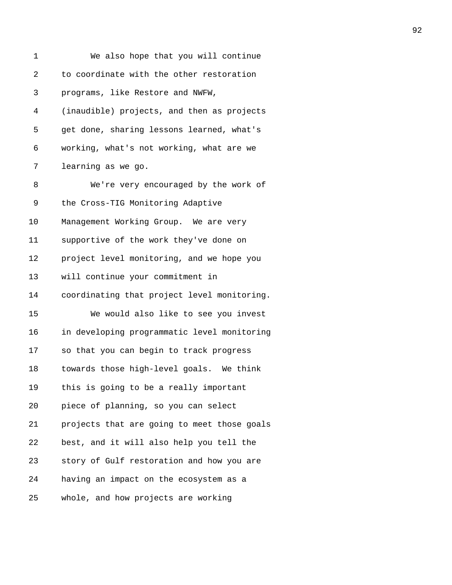| 1  | We also hope that you will continue         |
|----|---------------------------------------------|
| 2  | to coordinate with the other restoration    |
| 3  | programs, like Restore and NWFW,            |
| 4  | (inaudible) projects, and then as projects  |
| 5  | get done, sharing lessons learned, what's   |
| 6  | working, what's not working, what are we    |
| 7  | learning as we go.                          |
| 8  | We're very encouraged by the work of        |
| 9  | the Cross-TIG Monitoring Adaptive           |
| 10 | Management Working Group. We are very       |
| 11 | supportive of the work they've done on      |
| 12 | project level monitoring, and we hope you   |
| 13 | will continue your commitment in            |
| 14 | coordinating that project level monitoring. |
| 15 | We would also like to see you invest        |
| 16 | in developing programmatic level monitoring |
| 17 | so that you can begin to track progress     |
| 18 | towards those high-level goals. We think    |
| 19 | this is going to be a really important      |
| 20 | piece of planning, so you can select        |
| 21 | projects that are going to meet those goals |
| 22 | best, and it will also help you tell the    |
| 23 | story of Gulf restoration and how you are   |
| 24 | having an impact on the ecosystem as a      |
| 25 | whole, and how projects are working         |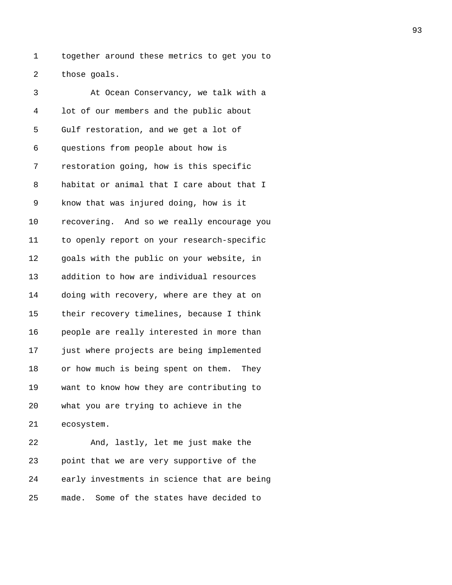1 together around these metrics to get you to 2 those goals.

3 At Ocean Conservancy, we talk with a 4 lot of our members and the public about 5 Gulf restoration, and we get a lot of 6 questions from people about how is 7 restoration going, how is this specific 8 habitat or animal that I care about that I 9 know that was injured doing, how is it 10 recovering. And so we really encourage you 11 to openly report on your research-specific 12 goals with the public on your website, in 13 addition to how are individual resources 14 doing with recovery, where are they at on 15 their recovery timelines, because I think 16 people are really interested in more than 17 just where projects are being implemented 18 or how much is being spent on them. They 19 want to know how they are contributing to 20 what you are trying to achieve in the 21 ecosystem. 22 And, lastly, let me just make the

23 point that we are very supportive of the 24 early investments in science that are being 25 made. Some of the states have decided to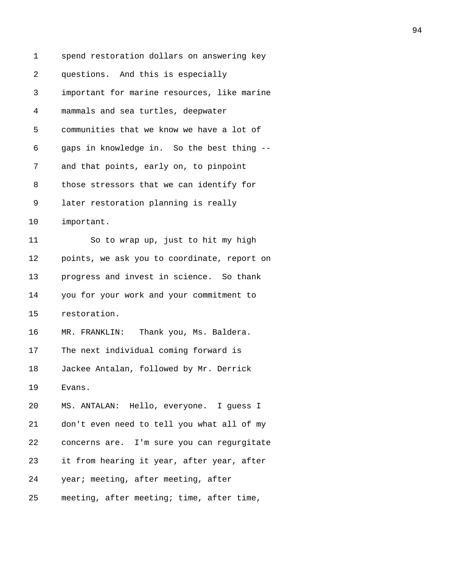| 1  | spend restoration dollars on answering key  |
|----|---------------------------------------------|
| 2  | questions. And this is especially           |
| 3  | important for marine resources, like marine |
| 4  | mammals and sea turtles, deepwater          |
| 5  | communities that we know we have a lot of   |
| 6  | gaps in knowledge in. So the best thing --  |
| 7  | and that points, early on, to pinpoint      |
| 8  | those stressors that we can identify for    |
| 9  | later restoration planning is really        |
| 10 | important.                                  |
| 11 | So to wrap up, just to hit my high          |
| 12 | points, we ask you to coordinate, report on |
| 13 | progress and invest in science. So thank    |
| 14 | you for your work and your commitment to    |
| 15 | restoration.                                |
| 16 | Thank you, Ms. Baldera.<br>MR. FRANKLIN:    |
| 17 | The next individual coming forward is       |
| 18 | Jackee Antalan, followed by Mr. Derrick     |
| 19 | Evans.                                      |
| 20 | MS. ANTALAN: Hello, everyone. I guess I     |
| 21 | don't even need to tell you what all of my  |
| 22 | concerns are. I'm sure you can regurgitate  |
| 23 | it from hearing it year, after year, after  |
| 24 | year; meeting, after meeting, after         |
| 25 | meeting, after meeting; time, after time,   |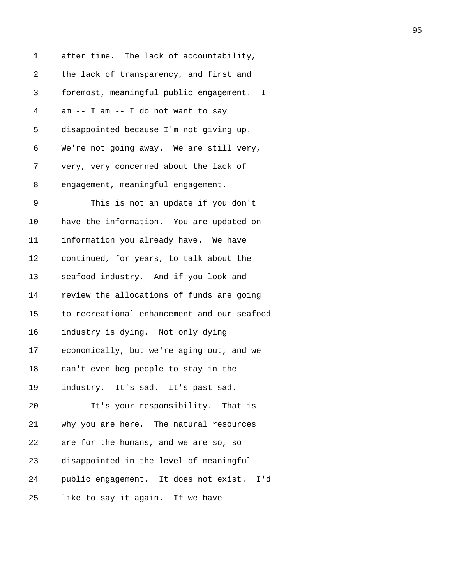1 after time. The lack of accountability, 2 the lack of transparency, and first and 3 foremost, meaningful public engagement. I 4 am -- I am -- I do not want to say 5 disappointed because I'm not giving up. 6 We're not going away. We are still very, 7 very, very concerned about the lack of 8 engagement, meaningful engagement. 9 This is not an update if you don't 10 have the information. You are updated on 11 information you already have. We have 12 continued, for years, to talk about the 13 seafood industry. And if you look and 14 review the allocations of funds are going 15 to recreational enhancement and our seafood 16 industry is dying. Not only dying 17 economically, but we're aging out, and we 18 can't even beg people to stay in the 19 industry. It's sad. It's past sad. 20 It's your responsibility. That is 21 why you are here. The natural resources 22 are for the humans, and we are so, so 23 disappointed in the level of meaningful 24 public engagement. It does not exist. I'd 25 like to say it again. If we have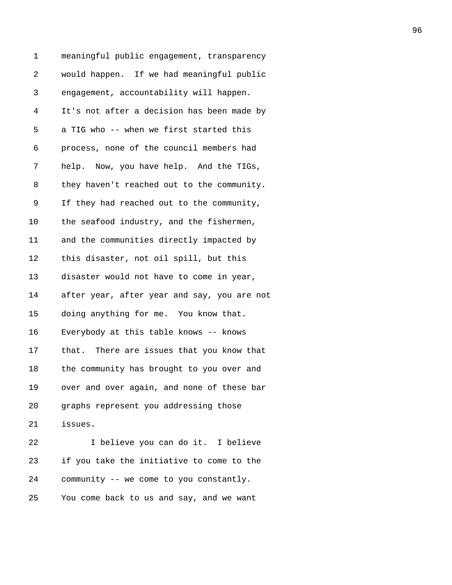1 meaningful public engagement, transparency 2 would happen. If we had meaningful public 3 engagement, accountability will happen. 4 It's not after a decision has been made by 5 a TIG who -- when we first started this 6 process, none of the council members had 7 help. Now, you have help. And the TIGs, 8 they haven't reached out to the community. 9 If they had reached out to the community, 10 the seafood industry, and the fishermen, 11 and the communities directly impacted by 12 this disaster, not oil spill, but this 13 disaster would not have to come in year, 14 after year, after year and say, you are not 15 doing anything for me. You know that. 16 Everybody at this table knows -- knows 17 that. There are issues that you know that 18 the community has brought to you over and 19 over and over again, and none of these bar 20 graphs represent you addressing those 21 issues. 22 I believe you can do it. I believe 23 if you take the initiative to come to the 24 community -- we come to you constantly. 25 You come back to us and say, and we want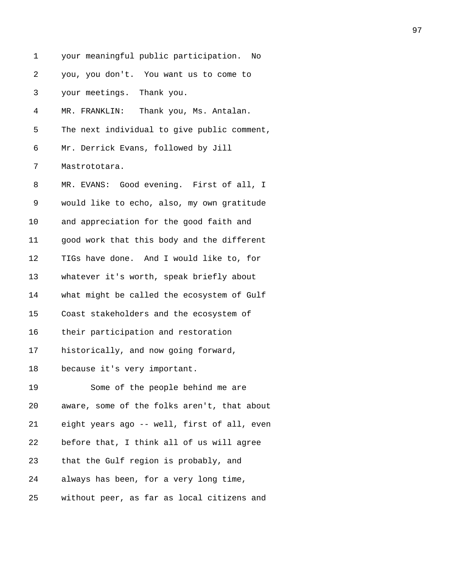| 1  | your meaningful public participation. No    |
|----|---------------------------------------------|
| 2  | you, you don't. You want us to come to      |
| 3  | your meetings. Thank you.                   |
| 4  | Thank you, Ms. Antalan.<br>MR. FRANKLIN:    |
| 5  | The next individual to give public comment, |
| 6  | Mr. Derrick Evans, followed by Jill         |
| 7  | Mastrototara.                               |
| 8  | MR. EVANS: Good evening. First of all, I    |
| 9  | would like to echo, also, my own gratitude  |
| 10 | and appreciation for the good faith and     |
| 11 | good work that this body and the different  |
| 12 | TIGs have done. And I would like to, for    |
| 13 | whatever it's worth, speak briefly about    |
| 14 | what might be called the ecosystem of Gulf  |
| 15 | Coast stakeholders and the ecosystem of     |
| 16 | their participation and restoration         |
| 17 | historically, and now going forward,        |
| 18 | because it's very important.                |
| 19 | Some of the people behind me are            |
| 20 | aware, some of the folks aren't, that about |
| 21 | eight years ago -- well, first of all, even |
| 22 | before that, I think all of us will agree   |
| 23 | that the Gulf region is probably, and       |
| 24 | always has been, for a very long time,      |
| 25 | without peer, as far as local citizens and  |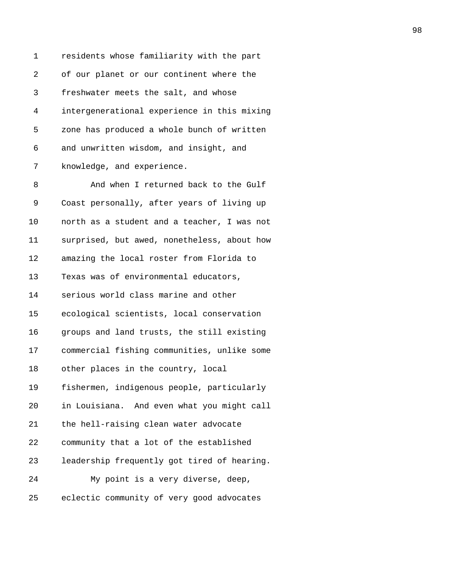1 residents whose familiarity with the part 2 of our planet or our continent where the 3 freshwater meets the salt, and whose 4 intergenerational experience in this mixing 5 zone has produced a whole bunch of written 6 and unwritten wisdom, and insight, and 7 knowledge, and experience. 8 And when I returned back to the Gulf 9 Coast personally, after years of living up 10 north as a student and a teacher, I was not 11 surprised, but awed, nonetheless, about how

12 amazing the local roster from Florida to

13 Texas was of environmental educators,

14 serious world class marine and other

15 ecological scientists, local conservation

16 groups and land trusts, the still existing

17 commercial fishing communities, unlike some

18 other places in the country, local

19 fishermen, indigenous people, particularly

20 in Louisiana. And even what you might call

21 the hell-raising clean water advocate

22 community that a lot of the established

23 leadership frequently got tired of hearing.

24 My point is a very diverse, deep,

25 eclectic community of very good advocates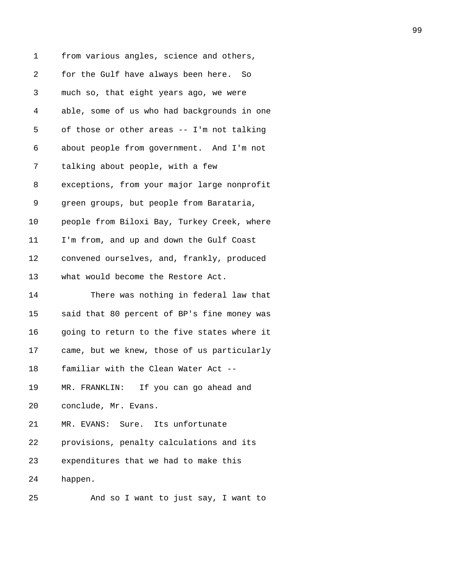| 1              | from various angles, science and others,    |
|----------------|---------------------------------------------|
| $\overline{2}$ | for the Gulf have always been here. So      |
| 3              | much so, that eight years ago, we were      |
| 4              | able, some of us who had backgrounds in one |
| 5              | of those or other areas -- I'm not talking  |
| 6              | about people from government. And I'm not   |
| 7              | talking about people, with a few            |
| 8              | exceptions, from your major large nonprofit |
| 9              | green groups, but people from Barataria,    |
| 10             | people from Biloxi Bay, Turkey Creek, where |
| 11             | I'm from, and up and down the Gulf Coast    |
| 12             | convened ourselves, and, frankly, produced  |
| 13             | what would become the Restore Act.          |
| 14             | There was nothing in federal law that       |
| 15             | said that 80 percent of BP's fine money was |
| 16             | going to return to the five states where it |
| 17             | came, but we knew, those of us particularly |
| 18             | familiar with the Clean Water Act --        |
| 19             | MR. FRANKLIN: If you can go ahead and       |
| 20             | conclude, Mr. Evans.                        |
| 21             | MR. EVANS: Sure. Its unfortunate            |
| 22             | provisions, penalty calculations and its    |
| 23             | expenditures that we had to make this       |
| 24             | happen.                                     |
|                |                                             |

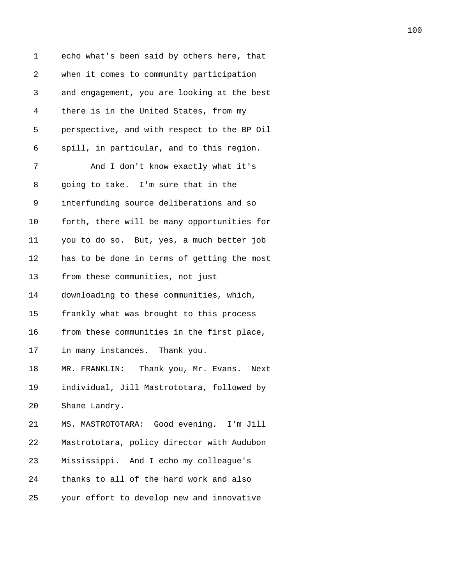| 1  | echo what's been said by others here, that     |
|----|------------------------------------------------|
| 2  | when it comes to community participation       |
| 3  | and engagement, you are looking at the best    |
| 4  | there is in the United States, from my         |
| 5  | perspective, and with respect to the BP Oil    |
| 6  | spill, in particular, and to this region.      |
| 7  | And I don't know exactly what it's             |
| 8  | going to take. I'm sure that in the            |
| 9  | interfunding source deliberations and so       |
| 10 | forth, there will be many opportunities for    |
| 11 | you to do so. But, yes, a much better job      |
| 12 | has to be done in terms of getting the most    |
| 13 | from these communities, not just               |
| 14 | downloading to these communities, which,       |
| 15 | frankly what was brought to this process       |
| 16 | from these communities in the first place,     |
| 17 | in many instances. Thank you.                  |
| 18 | MR. FRANKLIN:<br>Thank you, Mr. Evans.<br>Next |
| 19 | individual, Jill Mastrototara, followed by     |
| 20 | Shane Landry.                                  |
| 21 | MS. MASTROTOTARA: Good evening. I'm Jill       |
| 22 | Mastrototara, policy director with Audubon     |
| 23 | Mississippi. And I echo my colleague's         |
| 24 | thanks to all of the hard work and also        |
| 25 | your effort to develop new and innovative      |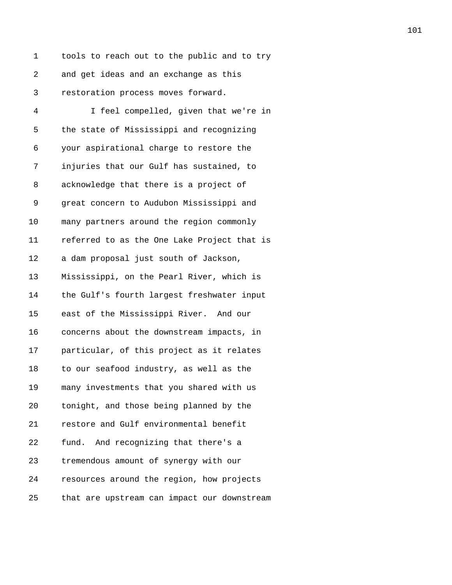1 tools to reach out to the public and to try 2 and get ideas and an exchange as this 3 restoration process moves forward.

4 I feel compelled, given that we're in 5 the state of Mississippi and recognizing 6 your aspirational charge to restore the 7 injuries that our Gulf has sustained, to 8 acknowledge that there is a project of 9 great concern to Audubon Mississippi and 10 many partners around the region commonly 11 referred to as the One Lake Project that is 12 a dam proposal just south of Jackson, 13 Mississippi, on the Pearl River, which is 14 the Gulf's fourth largest freshwater input 15 east of the Mississippi River. And our 16 concerns about the downstream impacts, in 17 particular, of this project as it relates 18 to our seafood industry, as well as the 19 many investments that you shared with us 20 tonight, and those being planned by the 21 restore and Gulf environmental benefit 22 fund. And recognizing that there's a 23 tremendous amount of synergy with our 24 resources around the region, how projects 25 that are upstream can impact our downstream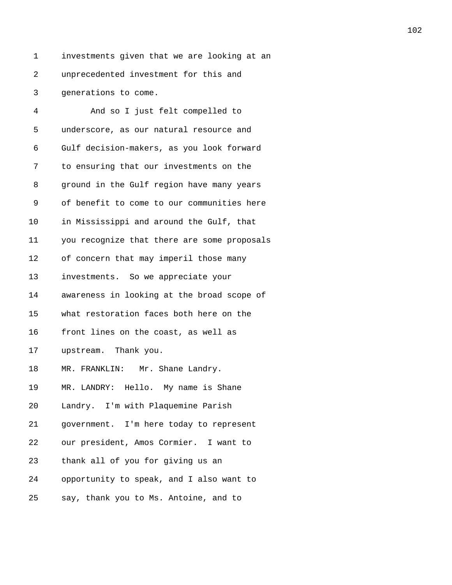1 investments given that we are looking at an 2 unprecedented investment for this and 3 generations to come.

4 And so I just felt compelled to 5 underscore, as our natural resource and 6 Gulf decision-makers, as you look forward 7 to ensuring that our investments on the 8 ground in the Gulf region have many years 9 of benefit to come to our communities here 10 in Mississippi and around the Gulf, that 11 you recognize that there are some proposals 12 of concern that may imperil those many 13 investments. So we appreciate your 14 awareness in looking at the broad scope of 15 what restoration faces both here on the 16 front lines on the coast, as well as 17 upstream. Thank you. 18 MR. FRANKLIN: Mr. Shane Landry. 19 MR. LANDRY: Hello. My name is Shane 20 Landry. I'm with Plaquemine Parish 21 government. I'm here today to represent 22 our president, Amos Cormier. I want to 23 thank all of you for giving us an 24 opportunity to speak, and I also want to 25 say, thank you to Ms. Antoine, and to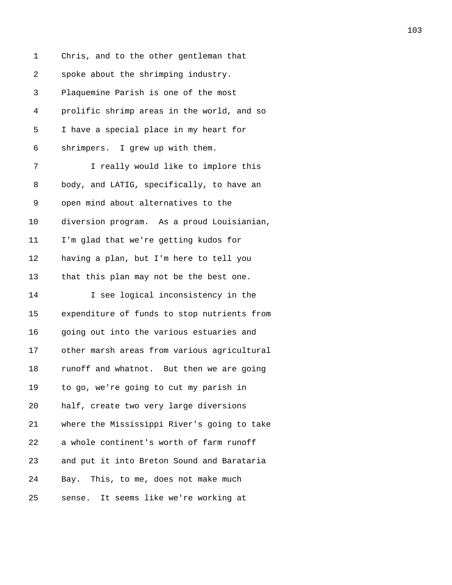1 Chris, and to the other gentleman that 2 spoke about the shrimping industry. 3 Plaquemine Parish is one of the most 4 prolific shrimp areas in the world, and so 5 I have a special place in my heart for 6 shrimpers. I grew up with them. 7 I really would like to implore this 8 body, and LATIG, specifically, to have an 9 open mind about alternatives to the 10 diversion program. As a proud Louisianian, 11 I'm glad that we're getting kudos for 12 having a plan, but I'm here to tell you 13 that this plan may not be the best one. 14 I see logical inconsistency in the 15 expenditure of funds to stop nutrients from 16 going out into the various estuaries and 17 other marsh areas from various agricultural 18 runoff and whatnot. But then we are going 19 to go, we're going to cut my parish in 20 half, create two very large diversions 21 where the Mississippi River's going to take 22 a whole continent's worth of farm runoff 23 and put it into Breton Sound and Barataria 24 Bay. This, to me, does not make much 25 sense. It seems like we're working at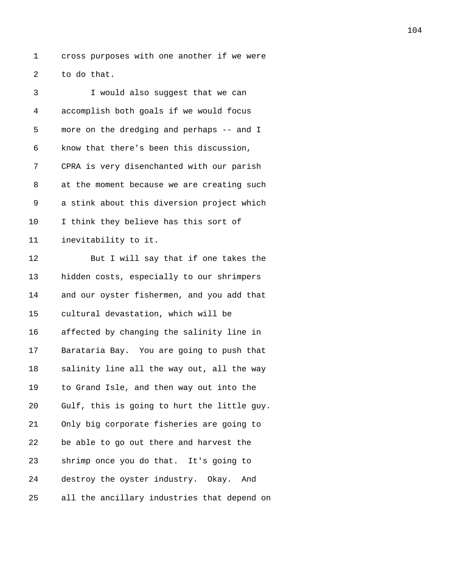1 cross purposes with one another if we were 2 to do that.

| 3  | I would also suggest that we can            |
|----|---------------------------------------------|
| 4  | accomplish both goals if we would focus     |
| 5  | more on the dredging and perhaps -- and I   |
| 6  | know that there's been this discussion,     |
| 7  | CPRA is very disenchanted with our parish   |
| 8  | at the moment because we are creating such  |
| 9  | a stink about this diversion project which  |
| 10 | I think they believe has this sort of       |
| 11 | inevitability to it.                        |
| 12 | But I will say that if one takes the        |
| 13 | hidden costs, especially to our shrimpers   |
| 14 | and our oyster fishermen, and you add that  |
| 15 | cultural devastation, which will be         |
| 16 | affected by changing the salinity line in   |
| 17 | Barataria Bay. You are going to push that   |
| 18 | salinity line all the way out, all the way  |
| 19 | to Grand Isle, and then way out into the    |
| 20 | Gulf, this is going to hurt the little guy. |
| 21 | Only big corporate fisheries are going to   |
| 22 | be able to go out there and harvest the     |
| 23 | shrimp once you do that. It's going to      |
| 24 | destroy the oyster industry. Okay. And      |
| 25 | all the ancillary industries that depend on |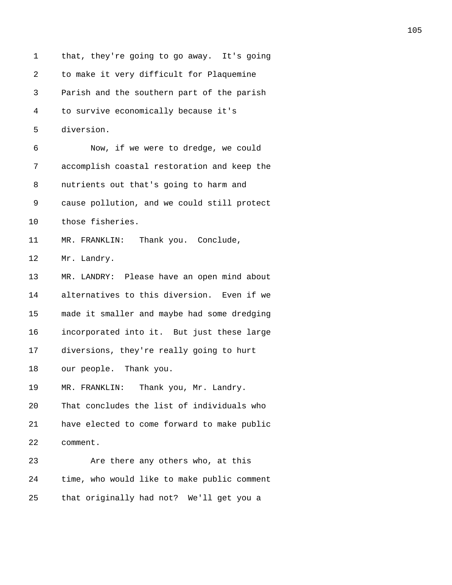| 1  | that, they're going to go away. It's going  |
|----|---------------------------------------------|
| 2  | to make it very difficult for Plaquemine    |
| 3  | Parish and the southern part of the parish  |
| 4  | to survive economically because it's        |
| 5  | diversion.                                  |
| 6  | Now, if we were to dredge, we could         |
| 7  | accomplish coastal restoration and keep the |
| 8  | nutrients out that's going to harm and      |
| 9  | cause pollution, and we could still protect |
| 10 | those fisheries.                            |
| 11 | MR. FRANKLIN: Thank you. Conclude,          |
| 12 | Mr. Landry.                                 |
| 13 | MR. LANDRY: Please have an open mind about  |
| 14 | alternatives to this diversion. Even if we  |
| 15 | made it smaller and maybe had some dredging |
| 16 | incorporated into it. But just these large  |
| 17 | diversions, they're really going to hurt    |
| 18 | our people. Thank you.                      |
| 19 | Thank you, Mr. Landry.<br>MR. FRANKLIN:     |
| 20 | That concludes the list of individuals who  |
| 21 | have elected to come forward to make public |
| 22 | comment.                                    |
| 23 | Are there any others who, at this           |
| 24 | time, who would like to make public comment |
| 25 | that originally had not? We'll get you a    |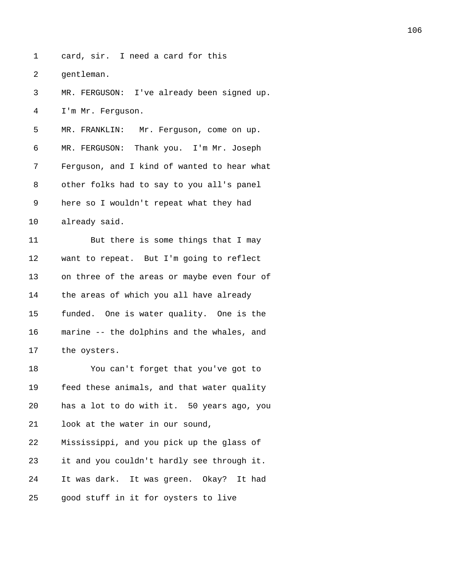1 card, sir. I need a card for this

2 gentleman.

3 MR. FERGUSON: I've already been signed up. 4 I'm Mr. Ferguson. 5 MR. FRANKLIN: Mr. Ferguson, come on up. 6 MR. FERGUSON: Thank you. I'm Mr. Joseph 7 Ferguson, and I kind of wanted to hear what 8 other folks had to say to you all's panel 9 here so I wouldn't repeat what they had 10 already said. 11 But there is some things that I may 12 want to repeat. But I'm going to reflect 13 on three of the areas or maybe even four of 14 the areas of which you all have already 15 funded. One is water quality. One is the 16 marine -- the dolphins and the whales, and 17 the oysters. 18 You can't forget that you've got to 19 feed these animals, and that water quality 20 has a lot to do with it. 50 years ago, you 21 look at the water in our sound, 22 Mississippi, and you pick up the glass of 23 it and you couldn't hardly see through it. 24 It was dark. It was green. Okay? It had

25 good stuff in it for oysters to live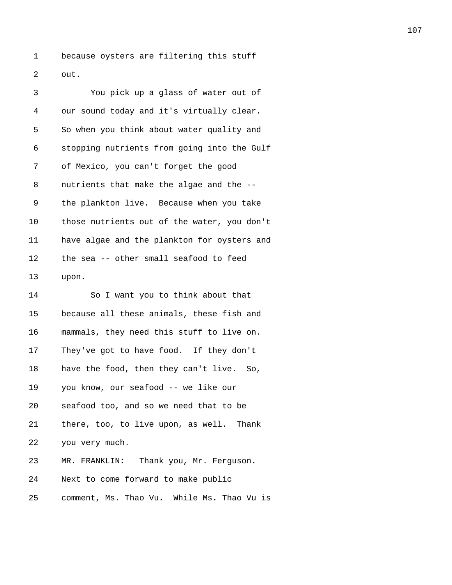1 because oysters are filtering this stuff 2 out.

| 3  | You pick up a glass of water out of         |
|----|---------------------------------------------|
| 4  | our sound today and it's virtually clear.   |
| 5  | So when you think about water quality and   |
| 6  | stopping nutrients from going into the Gulf |
| 7  | of Mexico, you can't forget the good        |
| 8  | nutrients that make the algae and the --    |
| 9  | the plankton live. Because when you take    |
| 10 | those nutrients out of the water, you don't |
| 11 | have algae and the plankton for oysters and |
| 12 | the sea -- other small seafood to feed      |
| 13 | upon.                                       |
| 14 | So I want you to think about that           |
| 15 | because all these animals, these fish and   |
| 16 | mammals, they need this stuff to live on.   |
| 17 | They've got to have food. If they don't     |
|    |                                             |

18 have the food, then they can't live. So,

19 you know, our seafood -- we like our

20 seafood too, and so we need that to be

21 there, too, to live upon, as well. Thank

22 you very much.

23 MR. FRANKLIN: Thank you, Mr. Ferguson.

24 Next to come forward to make public

25 comment, Ms. Thao Vu. While Ms. Thao Vu is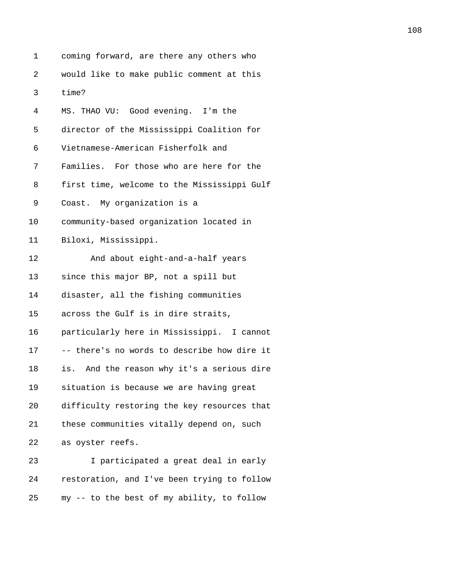| 1  | coming forward, are there any others who      |
|----|-----------------------------------------------|
| 2  | would like to make public comment at this     |
| 3  | time?                                         |
| 4  | MS. THAO VU: Good evening. I'm the            |
| 5  | director of the Mississippi Coalition for     |
| 6  | Vietnamese-American Fisherfolk and            |
| 7  | Families. For those who are here for the      |
| 8  | first time, welcome to the Mississippi Gulf   |
| 9  | Coast. My organization is a                   |
| 10 | community-based organization located in       |
| 11 | Biloxi, Mississippi.                          |
| 12 | And about eight-and-a-half years              |
| 13 | since this major BP, not a spill but          |
| 14 | disaster, all the fishing communities         |
| 15 | across the Gulf is in dire straits,           |
| 16 | particularly here in Mississippi. I cannot    |
| 17 | -- there's no words to describe how dire it   |
| 18 | And the reason why it's a serious dire<br>is. |
| 19 | situation is because we are having great      |
| 20 | difficulty restoring the key resources that   |
| 21 | these communities vitally depend on, such     |
| 22 | as oyster reefs.                              |
| 23 | I participated a great deal in early          |
| 24 | restoration, and I've been trying to follow   |
| 25 | my -- to the best of my ability, to follow    |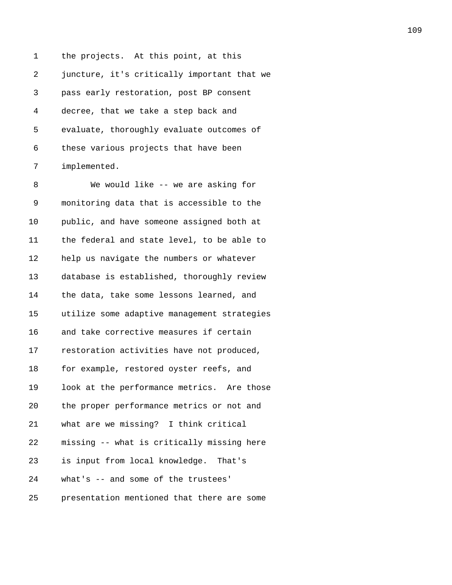1 the projects. At this point, at this 2 juncture, it's critically important that we 3 pass early restoration, post BP consent 4 decree, that we take a step back and 5 evaluate, thoroughly evaluate outcomes of 6 these various projects that have been 7 implemented.

8 We would like -- we are asking for 9 monitoring data that is accessible to the 10 public, and have someone assigned both at 11 the federal and state level, to be able to 12 help us navigate the numbers or whatever 13 database is established, thoroughly review 14 the data, take some lessons learned, and 15 utilize some adaptive management strategies 16 and take corrective measures if certain 17 restoration activities have not produced, 18 for example, restored oyster reefs, and 19 look at the performance metrics. Are those 20 the proper performance metrics or not and 21 what are we missing? I think critical 22 missing -- what is critically missing here 23 is input from local knowledge. That's 24 what's -- and some of the trustees'

25 presentation mentioned that there are some

109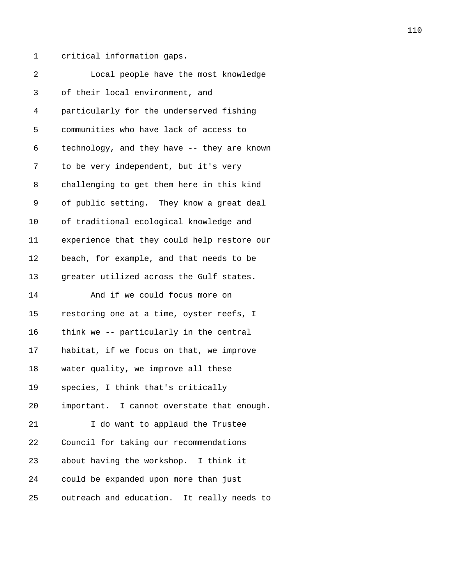1 critical information gaps.

| 2  | Local people have the most knowledge        |
|----|---------------------------------------------|
| 3  | of their local environment, and             |
| 4  | particularly for the underserved fishing    |
| 5  | communities who have lack of access to      |
| 6  | technology, and they have -- they are known |
| 7  | to be very independent, but it's very       |
| 8  | challenging to get them here in this kind   |
| 9  | of public setting. They know a great deal   |
| 10 | of traditional ecological knowledge and     |
| 11 | experience that they could help restore our |
| 12 | beach, for example, and that needs to be    |
| 13 | greater utilized across the Gulf states.    |
| 14 | And if we could focus more on               |
| 15 | restoring one at a time, oyster reefs, I    |
| 16 | think we -- particularly in the central     |
| 17 | habitat, if we focus on that, we improve    |
| 18 | water quality, we improve all these         |
| 19 | species, I think that's critically          |
| 20 | important. I cannot overstate that enough.  |
| 21 | I do want to applaud the Trustee            |
| 22 | Council for taking our recommendations      |
| 23 | about having the workshop. I think it       |
| 24 | could be expanded upon more than just       |
| 25 | outreach and education. It really needs to  |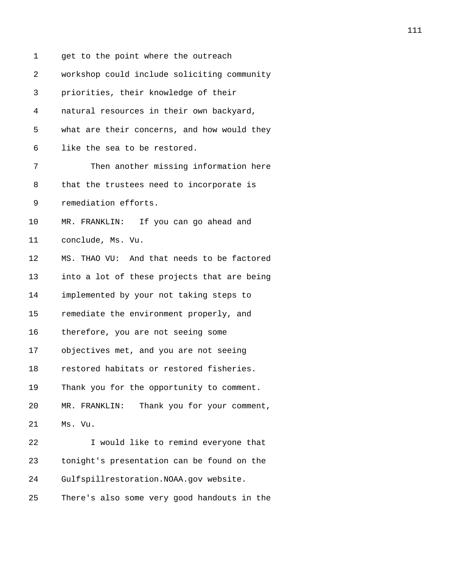| 1  | get to the point where the outreach          |
|----|----------------------------------------------|
| 2  | workshop could include soliciting community  |
| 3  | priorities, their knowledge of their         |
| 4  | natural resources in their own backyard,     |
| 5  | what are their concerns, and how would they  |
| 6  | like the sea to be restored.                 |
| 7  | Then another missing information here        |
| 8  | that the trustees need to incorporate is     |
| 9  | remediation efforts.                         |
| 10 | MR. FRANKLIN: If you can go ahead and        |
| 11 | conclude, Ms. Vu.                            |
| 12 | MS. THAO VU: And that needs to be factored   |
| 13 | into a lot of these projects that are being  |
| 14 | implemented by your not taking steps to      |
| 15 | remediate the environment properly, and      |
| 16 | therefore, you are not seeing some           |
| 17 | objectives met, and you are not seeing       |
| 18 | restored habitats or restored fisheries.     |
| 19 | Thank you for the opportunity to comment.    |
| 20 | Thank you for your comment,<br>MR. FRANKLIN: |
| 21 | Ms. Vu.                                      |
| 22 | I would like to remind everyone that         |
| 23 | tonight's presentation can be found on the   |
| 24 | Gulfspillrestoration.NOAA.gov website.       |
| 25 | There's also some very good handouts in the  |

111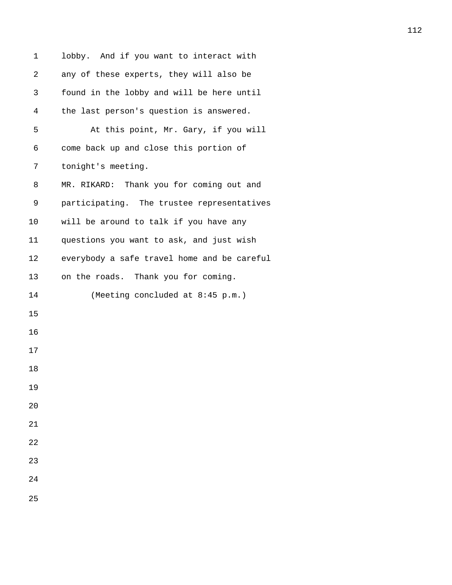| 1  | lobby. And if you want to interact with     |
|----|---------------------------------------------|
| 2  | any of these experts, they will also be     |
| 3  | found in the lobby and will be here until   |
| 4  | the last person's question is answered.     |
| 5  | At this point, Mr. Gary, if you will        |
| 6  | come back up and close this portion of      |
| 7  | tonight's meeting.                          |
| 8  | MR. RIKARD: Thank you for coming out and    |
| 9  | participating. The trustee representatives  |
| 10 | will be around to talk if you have any      |
| 11 | questions you want to ask, and just wish    |
| 12 | everybody a safe travel home and be careful |
| 13 | on the roads. Thank you for coming.         |
| 14 | (Meeting concluded at 8:45 p.m.)            |
| 15 |                                             |
| 16 |                                             |
| 17 |                                             |
| 18 |                                             |
| 19 |                                             |
| 20 |                                             |
| 21 |                                             |
| 22 |                                             |
| 23 |                                             |
| 24 |                                             |
| 25 |                                             |